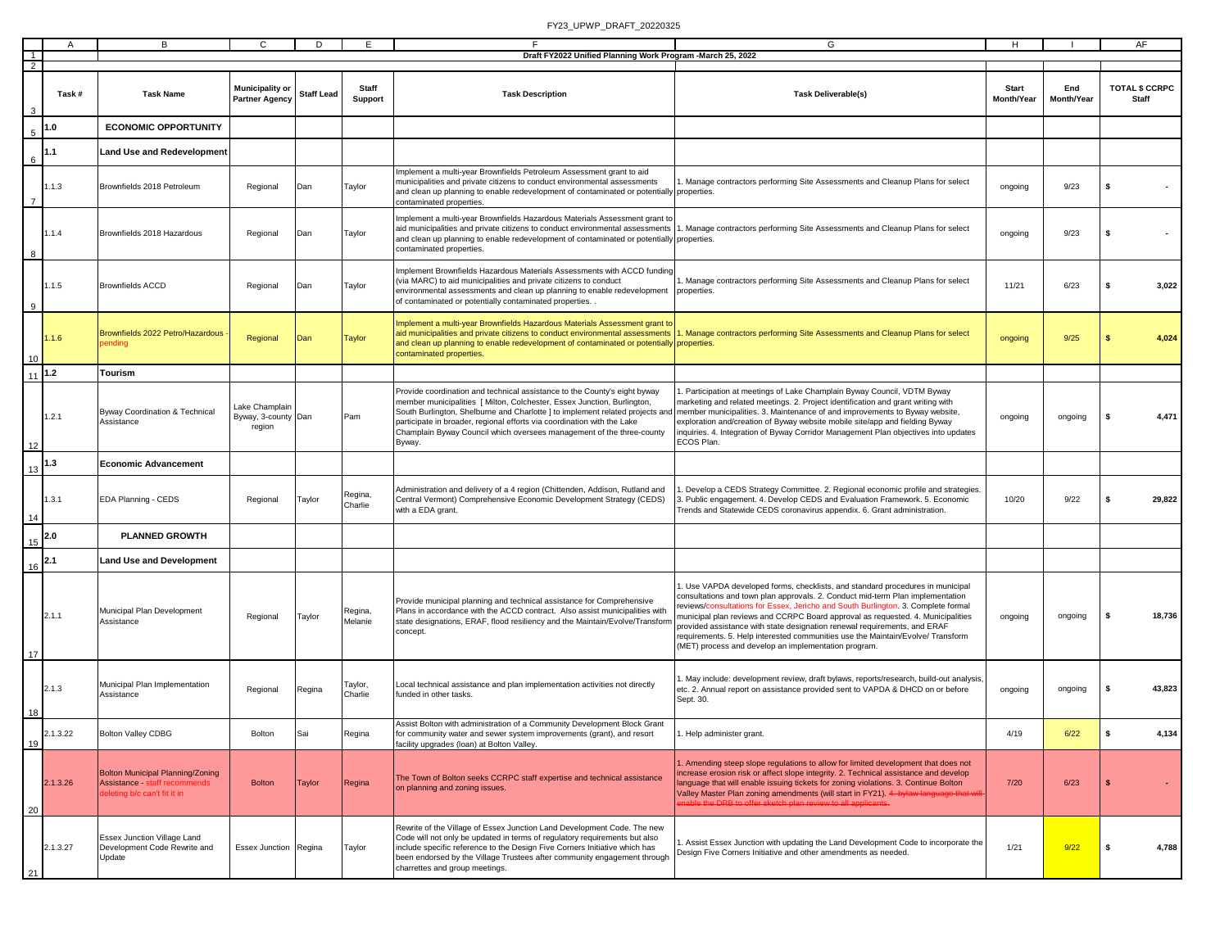|                |          | в                                                                                                |                                                 | D                 | F.                      | F<br>Draft FY2022 Unified Planning Work Program - March 25, 2022                                                                                                                                                                                                                                                                                                                                    | G                                                                                                                                                                                                                                                                                                                                                                                                                                                                                                                                                               |                            |                   | AF.                            |        |
|----------------|----------|--------------------------------------------------------------------------------------------------|-------------------------------------------------|-------------------|-------------------------|-----------------------------------------------------------------------------------------------------------------------------------------------------------------------------------------------------------------------------------------------------------------------------------------------------------------------------------------------------------------------------------------------------|-----------------------------------------------------------------------------------------------------------------------------------------------------------------------------------------------------------------------------------------------------------------------------------------------------------------------------------------------------------------------------------------------------------------------------------------------------------------------------------------------------------------------------------------------------------------|----------------------------|-------------------|--------------------------------|--------|
| $\overline{2}$ |          |                                                                                                  |                                                 |                   |                         |                                                                                                                                                                                                                                                                                                                                                                                                     |                                                                                                                                                                                                                                                                                                                                                                                                                                                                                                                                                                 |                            |                   |                                |        |
| $\mathbf{3}$   | Task #   | <b>Task Name</b>                                                                                 | <b>Municipality or</b><br><b>Partner Agency</b> | <b>Staff Lead</b> | <b>Staff</b><br>Support | <b>Task Description</b>                                                                                                                                                                                                                                                                                                                                                                             | <b>Task Deliverable(s)</b>                                                                                                                                                                                                                                                                                                                                                                                                                                                                                                                                      | <b>Start</b><br>Month/Year | End<br>Month/Year | <b>TOTAL \$ CCRPC</b><br>Staff |        |
| $\,$ 5 $\,$    | 1.0      | <b>ECONOMIC OPPORTUNITY</b>                                                                      |                                                 |                   |                         |                                                                                                                                                                                                                                                                                                                                                                                                     |                                                                                                                                                                                                                                                                                                                                                                                                                                                                                                                                                                 |                            |                   |                                |        |
| 6              | 1.1      | <b>Land Use and Redevelopment</b>                                                                |                                                 |                   |                         |                                                                                                                                                                                                                                                                                                                                                                                                     |                                                                                                                                                                                                                                                                                                                                                                                                                                                                                                                                                                 |                            |                   |                                |        |
| $\overline{7}$ | 1.1.3    | Brownfields 2018 Petroleum                                                                       | Regional                                        | Dan               | Taylor                  | Implement a multi-year Brownfields Petroleum Assessment grant to aid<br>municipalities and private citizens to conduct environmental assessments<br>and clean up planning to enable redevelopment of contaminated or potentially properties.<br>contaminated properties.                                                                                                                            | Manage contractors performing Site Assessments and Cleanup Plans for select                                                                                                                                                                                                                                                                                                                                                                                                                                                                                     | ongoing                    | 9/23              | ŝ.                             |        |
| 8              | 1.1.4    | Brownfields 2018 Hazardous                                                                       | Regional                                        | Dan               | Taylor                  | Implement a multi-year Brownfields Hazardous Materials Assessment grant to<br>aid municipalities and private citizens to conduct environmental assessments<br>and clean up planning to enable redevelopment of contaminated or potentially properties.<br>contaminated properties.                                                                                                                  | . Manage contractors performing Site Assessments and Cleanup Plans for select                                                                                                                                                                                                                                                                                                                                                                                                                                                                                   | ongoing                    | 9/23              |                                |        |
| 9              | 1.1.5    | <b>Brownfields ACCD</b>                                                                          | Regional                                        | Dan               | Taylor                  | mplement Brownfields Hazardous Materials Assessments with ACCD funding<br>(via MARC) to aid municipalities and private citizens to conduct<br>environmental assessments and clean up planning to enable redevelopment<br>of contaminated or potentially contaminated properties. .                                                                                                                  | . Manage contractors performing Site Assessments and Cleanup Plans for select<br>properties.                                                                                                                                                                                                                                                                                                                                                                                                                                                                    | 11/21                      | 6/23              |                                | 3,022  |
| 10             | 1.1.6    | Brownfields 2022 Petro/Hazardous<br>ending                                                       | Regional                                        | Dan               | <b>Taylor</b>           | Implement a multi-year Brownfields Hazardous Materials Assessment grant to<br>aid municipalities and private citizens to conduct environmental assessments<br>and clean up planning to enable redevelopment of contaminated or potentially properties.<br>contaminated properties.                                                                                                                  | . Manage contractors performing Site Assessments and Cleanup Plans for select                                                                                                                                                                                                                                                                                                                                                                                                                                                                                   | ongoing                    | 9/25              |                                | 4,024  |
| 11             | $1.2$    | <b>Tourism</b>                                                                                   |                                                 |                   |                         |                                                                                                                                                                                                                                                                                                                                                                                                     |                                                                                                                                                                                                                                                                                                                                                                                                                                                                                                                                                                 |                            |                   |                                |        |
| 12             | 1.2.1    | <b>Byway Coordination &amp; Technical</b><br>Assistance                                          | Lake Champlair<br>Byway, 3-county Dan<br>region |                   | Pam                     | Provide coordination and technical assistance to the County's eight byway<br>member municipalities [ Milton, Colchester, Essex Junction, Burlington,<br>South Burlington, Shelburne and Charlotte   to implement related projects and<br>participate in broader, regional efforts via coordination with the Lake<br>Champlain Byway Council which oversees management of the three-county<br>Byway. | . Participation at meetings of Lake Champlain Byway Council, VDTM Byway<br>marketing and related meetings. 2. Project identification and grant writing with<br>member municipalities. 3. Maintenance of and improvements to Byway website,<br>exploration and/creation of Byway website mobile site/app and fielding Byway<br>nquiries. 4. Integration of Byway Corridor Management Plan objectives into updates<br>ECOS Plan.                                                                                                                                  | ongoing                    | ongoing           |                                | 4,471  |
| 13             | 1.3      | <b>Economic Advancement</b>                                                                      |                                                 |                   |                         |                                                                                                                                                                                                                                                                                                                                                                                                     |                                                                                                                                                                                                                                                                                                                                                                                                                                                                                                                                                                 |                            |                   |                                |        |
| 14             | 1.3.1    | EDA Planning - CEDS                                                                              | Regional                                        | Taylor            | Regina,<br>Charlie      | Administration and delivery of a 4 region (Chittenden, Addison, Rutland and<br>Central Vermont) Comprehensive Economic Development Strategy (CEDS)<br>with a EDA grant.                                                                                                                                                                                                                             | Develop a CEDS Strategy Committee. 2. Regional economic profile and strategies<br>3. Public engagement. 4. Develop CEDS and Evaluation Framework. 5. Economic<br>Trends and Statewide CEDS coronavirus appendix. 6. Grant administration.                                                                                                                                                                                                                                                                                                                       | 10/20                      | 9/22              |                                | 29,822 |
| 15             | 2.0      | <b>PLANNED GROWTH</b>                                                                            |                                                 |                   |                         |                                                                                                                                                                                                                                                                                                                                                                                                     |                                                                                                                                                                                                                                                                                                                                                                                                                                                                                                                                                                 |                            |                   |                                |        |
| 16             | 2.1      | <b>Land Use and Development</b>                                                                  |                                                 |                   |                         |                                                                                                                                                                                                                                                                                                                                                                                                     |                                                                                                                                                                                                                                                                                                                                                                                                                                                                                                                                                                 |                            |                   |                                |        |
| 17             | 2.1.1    | Municipal Plan Development<br>Assistance                                                         | Regional                                        | Taylor            | Regina,<br>Melanie      | Provide municipal planning and technical assistance for Comprehensive<br>Plans in accordance with the ACCD contract. Also assist municipalities with<br>state designations, ERAF, flood resiliency and the Maintain/Evolve/Transform<br>concept.                                                                                                                                                    | . Use VAPDA developed forms, checklists, and standard procedures in municipal<br>consultations and town plan approvals. 2. Conduct mid-term Plan implementation<br>reviews/consultations for Essex, Jericho and South Burlington. 3. Complete formal<br>municipal plan reviews and CCRPC Board approval as requested. 4. Municipalities<br>provided assistance with state designation renewal requirements, and ERAF<br>requirements. 5. Help interested communities use the Maintain/Evolve/ Transform<br>(MET) process and develop an implementation program. | ongoing                    | ongoing           |                                | 18,736 |
| 18             | 2.1.3    | Municipal Plan Implementation<br>Assistance                                                      | Regional                                        | Regina            | Taylor,<br>Charlie      | Local technical assistance and plan implementation activities not directly<br>funded in other tasks.                                                                                                                                                                                                                                                                                                | May include: development review, draft bylaws, reports/research, build-out analysis<br>etc. 2. Annual report on assistance provided sent to VAPDA & DHCD on or before<br>Sept. 30.                                                                                                                                                                                                                                                                                                                                                                              | ongoing                    | ongoing           |                                | 43,823 |
| 19             | 2.1.3.22 | <b>Bolton Valley CDBG</b>                                                                        | Bolton                                          | Sai               | Regina                  | Assist Bolton with administration of a Community Development Block Grant<br>for community water and sewer system improvements (grant), and resort<br>facility upgrades (Ioan) at Bolton Valley.                                                                                                                                                                                                     | 1. Help administer grant.                                                                                                                                                                                                                                                                                                                                                                                                                                                                                                                                       | 4/19                       | 6/22              | -\$                            | 4,134  |
| 20             | 2.1.3.26 | Bolton Municipal Planning/Zoning<br>Assistance - staff recommends<br>eleting b/c can't fit it in | <b>Bolton</b>                                   | <b>Taylor</b>     | Regina                  | The Town of Bolton seeks CCRPC staff expertise and technical assistance<br>on planning and zoning issues.                                                                                                                                                                                                                                                                                           | . Amending steep slope regulations to allow for limited development that does not<br>ncrease erosion risk or affect slope integrity. 2. Technical assistance and develop<br>anguage that will enable issuing tickets for zoning violations. 3. Continue Bolton<br>Valley Master Plan zoning amendments (will start in FY21). 4. bylaw language that will<br>the DRB to offer sketch plan review to all applicants.                                                                                                                                              | 7/20                       | 6/23              |                                |        |
| 21             | 2.1.3.27 | Essex Junction Village Land<br>Development Code Rewrite and<br>Update                            | Essex Junction Regina                           |                   | Taylor                  | Rewrite of the Village of Essex Junction Land Development Code. The new<br>Code will not only be updated in terms of regulatory requirements but also<br>include specific reference to the Design Five Corners Initiative which has<br>been endorsed by the Village Trustees after community engagement through<br>charrettes and group meetings.                                                   | . Assist Essex Junction with updating the Land Development Code to incorporate the<br>Design Five Corners Initiative and other amendments as needed.                                                                                                                                                                                                                                                                                                                                                                                                            | 1/21                       | 9/22              | -S                             | 4,788  |
|                |          |                                                                                                  |                                                 |                   |                         |                                                                                                                                                                                                                                                                                                                                                                                                     |                                                                                                                                                                                                                                                                                                                                                                                                                                                                                                                                                                 |                            |                   |                                |        |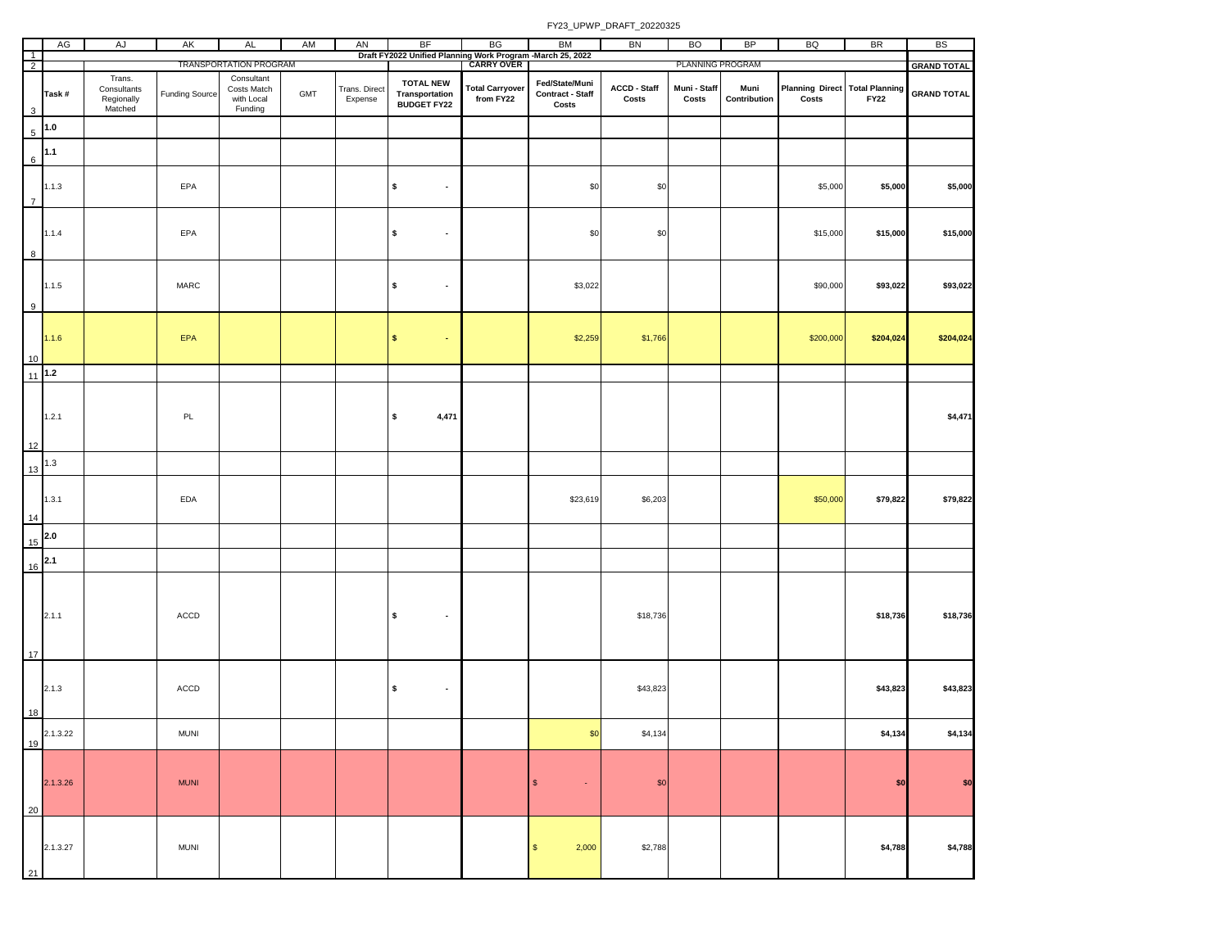|                | AG         | AJ                                             | AK                    | AL                                                 | AM  | AN                       | BF                                                                                      | BG                                  | <b>BM</b>                                          | BN                                      | <b>BO</b>                        | BP                   | BQ                                                        | <b>BR</b>   | <b>BS</b>          |
|----------------|------------|------------------------------------------------|-----------------------|----------------------------------------------------|-----|--------------------------|-----------------------------------------------------------------------------------------|-------------------------------------|----------------------------------------------------|-----------------------------------------|----------------------------------|----------------------|-----------------------------------------------------------|-------------|--------------------|
| $\frac{1}{2}$  |            |                                                |                       | TRANSPORTATION PROGRAM                             |     |                          | Draft FY2022 Unified Planning Work Program -March 25, 2022<br>  CARRY OVER   CARRY OVER |                                     |                                                    |                                         | PLANNING PROGRAM                 |                      |                                                           |             | <b>GRAND TOTAL</b> |
| 3              | Task#      | Trans.<br>Consultants<br>Regionally<br>Matched | <b>Funding Source</b> | Consultant<br>Costs Match<br>with Local<br>Funding | GMT | Trans. Direct<br>Expense | <b>TOTAL NEW</b><br>Transportation<br><b>BUDGET FY22</b>                                | <b>Total Carryover</b><br>from FY22 | Fed/State/Muni<br><b>Contract - Staff</b><br>Costs | ACCD - Staff<br>$\mathsf{Costs}\xspace$ | Muni - Staff<br>$\mathsf{Costs}$ | Muni<br>Contribution | <b>Planning Direct Total Planning</b><br>$\mathsf{Costs}$ | <b>FY22</b> | <b>GRAND TOTAL</b> |
| 5              | $1.0$      |                                                |                       |                                                    |     |                          |                                                                                         |                                     |                                                    |                                         |                                  |                      |                                                           |             |                    |
| 6              | $1.1$      |                                                |                       |                                                    |     |                          |                                                                                         |                                     |                                                    |                                         |                                  |                      |                                                           |             |                    |
| $\overline{7}$ | 1.1.3      |                                                | EPA                   |                                                    |     |                          | \$<br>$\blacksquare$                                                                    |                                     | \$0                                                | \$0                                     |                                  |                      | \$5,000                                                   | \$5,000     | \$5,000            |
| 8              | 1.1.4      |                                                | EPA                   |                                                    |     |                          | \$<br>$\overline{\phantom{a}}$                                                          |                                     | \$0                                                | \$0                                     |                                  |                      | \$15,000                                                  | \$15,000    | \$15,000           |
| 9              | 1.1.5      |                                                | MARC                  |                                                    |     |                          | \$<br>$\blacksquare$                                                                    |                                     | \$3,022                                            |                                         |                                  |                      | \$90,000                                                  | \$93,022    | \$93,022           |
| 10             | 1.1.6      |                                                | <b>EPA</b>            |                                                    |     |                          | $\pmb{\mathsf{s}}$<br>$\sim$                                                            |                                     | \$2,259                                            | \$1,766                                 |                                  |                      | \$200,000                                                 | \$204,024   | \$204,024          |
| 11             | $1.2$      |                                                |                       |                                                    |     |                          |                                                                                         |                                     |                                                    |                                         |                                  |                      |                                                           |             |                    |
| 12             | 1.2.1      |                                                | PL                    |                                                    |     |                          | \$<br>4,471                                                                             |                                     |                                                    |                                         |                                  |                      |                                                           |             | \$4,471            |
|                | $1.3$      |                                                |                       |                                                    |     |                          |                                                                                         |                                     |                                                    |                                         |                                  |                      |                                                           |             |                    |
| 13<br>14       | 1.3.1      |                                                | EDA                   |                                                    |     |                          |                                                                                         |                                     | \$23,619                                           | \$6,203                                 |                                  |                      | \$50,000                                                  | \$79,822    | \$79,822           |
|                | $15^{2.0}$ |                                                |                       |                                                    |     |                          |                                                                                         |                                     |                                                    |                                         |                                  |                      |                                                           |             |                    |
|                | $16^{2.1}$ |                                                |                       |                                                    |     |                          |                                                                                         |                                     |                                                    |                                         |                                  |                      |                                                           |             |                    |
| 17             | 2.1.1      |                                                | ACCD                  |                                                    |     |                          | \$<br>$\bullet$                                                                         |                                     |                                                    | \$18,736                                |                                  |                      |                                                           | \$18,736    | \$18,736           |
| 18             | 2.1.3      |                                                | ACCD                  |                                                    |     |                          | \$<br>$\bullet$                                                                         |                                     |                                                    | \$43,823                                |                                  |                      |                                                           | \$43,823    | \$43,823           |
| 19             | 2.1.3.22   |                                                | <b>MUNI</b>           |                                                    |     |                          |                                                                                         |                                     | \$0                                                | \$4,134                                 |                                  |                      |                                                           | \$4,134     | \$4,134            |
| 20             | 2.1.3.26   |                                                | <b>MUNI</b>           |                                                    |     |                          |                                                                                         |                                     | $\mathbb{S}$<br>$\star$                            | \$0                                     |                                  |                      |                                                           | \$0         | \$0                |
| 21             | 2.1.3.27   |                                                | <b>MUNI</b>           |                                                    |     |                          |                                                                                         |                                     | $\mathbb S$<br>2,000                               | \$2,788                                 |                                  |                      |                                                           | \$4,788     | \$4,788            |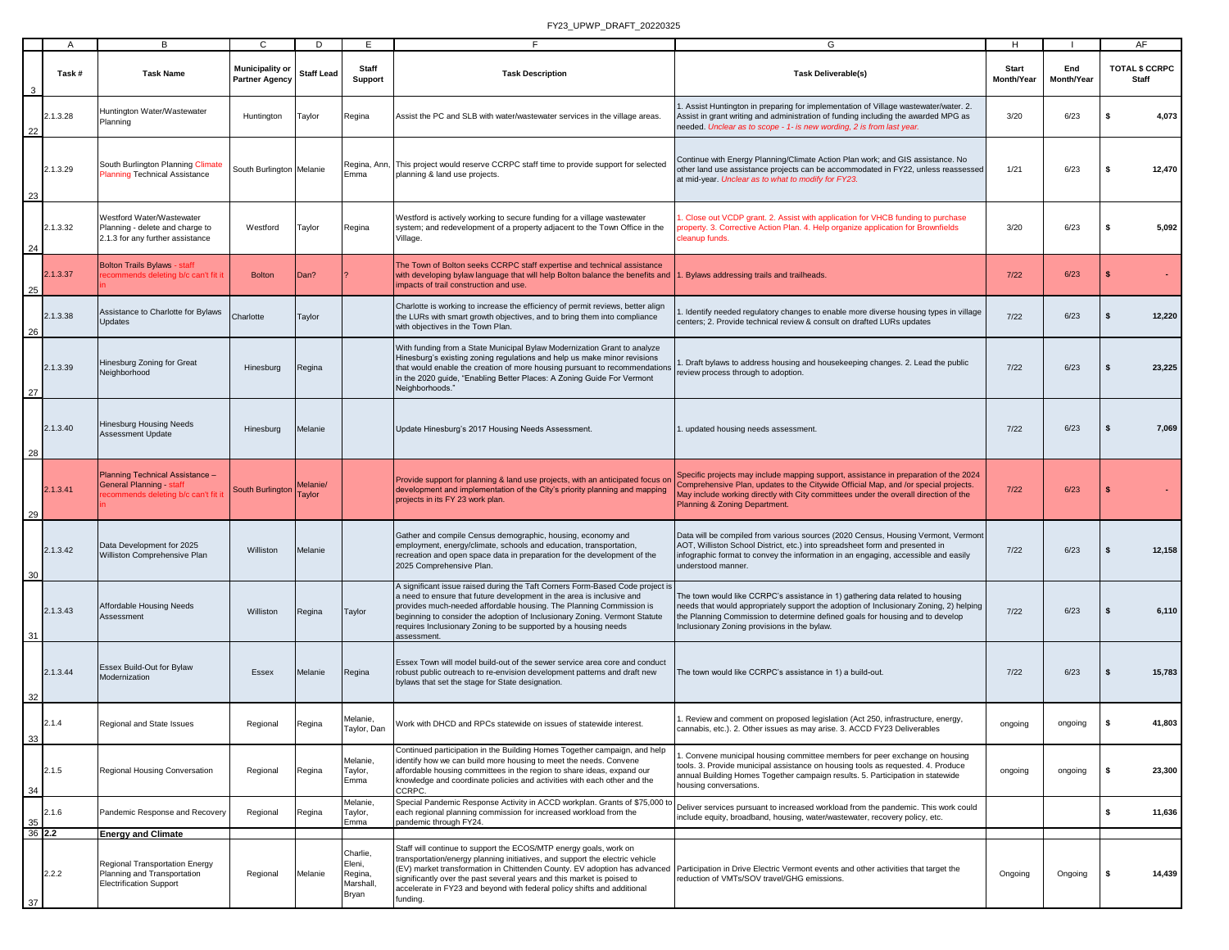|              | $\mathsf{A}$ | В                                                                                                        | C                                        | D                  | E.                                                  | F.                                                                                                                                                                                                                                                                                                                                                                                            | G                                                                                                                                                                                                                                                                                                         | H                          |                   | AF                                    |
|--------------|--------------|----------------------------------------------------------------------------------------------------------|------------------------------------------|--------------------|-----------------------------------------------------|-----------------------------------------------------------------------------------------------------------------------------------------------------------------------------------------------------------------------------------------------------------------------------------------------------------------------------------------------------------------------------------------------|-----------------------------------------------------------------------------------------------------------------------------------------------------------------------------------------------------------------------------------------------------------------------------------------------------------|----------------------------|-------------------|---------------------------------------|
|              | Task #       | <b>Task Name</b>                                                                                         | Municipality or<br><b>Partner Agency</b> | <b>Staff Lead</b>  | Staff<br><b>Support</b>                             | <b>Task Description</b>                                                                                                                                                                                                                                                                                                                                                                       | <b>Task Deliverable(s)</b>                                                                                                                                                                                                                                                                                | <b>Start</b><br>Month/Year | End<br>Month/Year | <b>TOTAL \$ CCRPC</b><br><b>Staff</b> |
| 22           | 2.1.3.28     | Huntington Water/Wastewater<br>Planning                                                                  | Huntington                               | Taylor             | Regina                                              | Assist the PC and SLB with water/wastewater services in the village areas.                                                                                                                                                                                                                                                                                                                    | . Assist Huntington in preparing for implementation of Village wastewater/water. 2.<br>Assist in grant writing and administration of funding including the awarded MPG as<br>needed. Unclear as to scope - 1- is new wording, 2 is from last year.                                                        | 3/20                       | 6/23              | s<br>4,073                            |
| 23           | 2.1.3.29     | South Burlington Planning Climate<br><b>Planning Technical Assistance</b>                                | South Burlington Melanie                 |                    | Emma                                                | Regina, Ann, This project would reserve CCRPC staff time to provide support for selected<br>planning & land use projects.                                                                                                                                                                                                                                                                     | Continue with Energy Planning/Climate Action Plan work; and GIS assistance. No<br>other land use assistance projects can be accommodated in FY22, unless reassessed<br>at mid-year. Unclear as to what to modify for FY23.                                                                                | 1/21                       | 6/23              | 12,470<br>-S                          |
| 24           | 2.1.3.32     | Westford Water/Wastewater<br>Planning - delete and charge to<br>2.1.3 for any further assistance         | Westford                                 | Taylor             | Regina                                              | Westford is actively working to secure funding for a village wastewater<br>system; and redevelopment of a property adjacent to the Town Office in the<br>Village.                                                                                                                                                                                                                             | Close out VCDP grant. 2. Assist with application for VHCB funding to purchase<br>roperty. 3. Corrective Action Plan. 4. Help organize application for Brownfields<br>leanup funds.                                                                                                                        | 3/20                       | 6/23              | -S<br>5,092                           |
| 25           | 2.1.3.37     | <b>Bolton Trails Bylaws - staff</b><br>commends deleting b/c can't fit it                                | <b>Bolton</b>                            | Dan?               |                                                     | The Town of Bolton seeks CCRPC staff expertise and technical assistance<br>with developing bylaw language that will help Bolton balance the benefits and<br>impacts of trail construction and use.                                                                                                                                                                                            | Bylaws addressing trails and trailheads.                                                                                                                                                                                                                                                                  | $7/22$                     | 6/23              | \$                                    |
| 26           | 2.1.3.38     | Assistance to Charlotte for Bylaws<br><b>Updates</b>                                                     | Charlotte                                | Taylor             |                                                     | Charlotte is working to increase the efficiency of permit reviews, better align<br>the LURs with smart growth objectives, and to bring them into compliance<br>with objectives in the Town Plan.                                                                                                                                                                                              | Identify needed regulatory changes to enable more diverse housing types in village<br>centers; 2. Provide technical review & consult on drafted LURs updates                                                                                                                                              | $7/22$                     | 6/23              | 12,220<br>\$                          |
| 27           | 2.1.3.39     | Hinesburg Zoning for Great<br>Neighborhood                                                               | Hinesburg                                | Regina             |                                                     | With funding from a State Municipal Bylaw Modernization Grant to analyze<br>Hinesburg's existing zoning regulations and help us make minor revisions<br>that would enable the creation of more housing pursuant to recommendations<br>in the 2020 guide, "Enabling Better Places: A Zoning Guide For Vermont<br>Neighborhoods."                                                               | Draft bylaws to address housing and housekeeping changes. 2. Lead the public<br>eview process through to adoption.                                                                                                                                                                                        | $7/22$                     | 6/23              | 23,225                                |
| 28           | 2.1.3.40     | Hinesburg Housing Needs<br><b>Assessment Update</b>                                                      | Hinesburg                                | Melanie            |                                                     | Update Hinesburg's 2017 Housing Needs Assessment.                                                                                                                                                                                                                                                                                                                                             | updated housing needs assessment.                                                                                                                                                                                                                                                                         | 7/22                       | 6/23              | 7,069                                 |
| 29           | 2.1.3.41     | Planning Technical Assistance -<br><b>General Planning - staff</b><br>commends deleting b/c can't fit it | South Burlington                         | Melanie/<br>Taylor |                                                     | Provide support for planning & land use projects, with an anticipated focus on<br>development and implementation of the City's priority planning and mapping<br>projects in its FY 23 work plan.                                                                                                                                                                                              | Specific projects may include mapping support, assistance in preparation of the 2024<br>Comprehensive Plan, updates to the Citywide Official Map, and /or special projects.<br>May include working directly with City committees under the overall direction of the<br>Planning & Zoning Department.      | $7/22$                     | 6/23              |                                       |
| 30           | 2.1.3.42     | Data Development for 2025<br>Williston Comprehensive Plan                                                | Williston                                | Melanie            |                                                     | Gather and compile Census demographic, housing, economy and<br>employment, energy/climate, schools and education, transportation,<br>recreation and open space data in preparation for the development of the<br>2025 Comprehensive Plan.                                                                                                                                                     | Data will be compiled from various sources (2020 Census, Housing Vermont, Vermont<br>AOT, Williston School District, etc.) into spreadsheet form and presented in<br>infographic format to convey the information in an engaging, accessible and easily<br>understood manner.                             | 7/22                       | 6/23              | 12,158                                |
| 31           | 2.1.3.43     | Affordable Housing Needs<br>Assessment                                                                   | Williston                                | Regina             | Taylor                                              | A significant issue raised during the Taft Corners Form-Based Code project is<br>a need to ensure that future development in the area is inclusive and<br>provides much-needed affordable housing. The Planning Commission is<br>beginning to consider the adoption of Inclusionary Zoning. Vermont Statute<br>requires Inclusionary Zoning to be supported by a housing needs<br>assessment. | The town would like CCRPC's assistance in 1) gathering data related to housing<br>needs that would appropriately support the adoption of Inclusionary Zoning, 2) helping<br>the Planning Commission to determine defined goals for housing and to develop<br>Inclusionary Zoning provisions in the bylaw. | 7/22                       | 6/23              | 6,110                                 |
| 32           | 2.1.3.44     | Essex Build-Out for Bylaw<br>Modernization                                                               | Essex                                    | Melanie            | Regina                                              | Essex Town will model build-out of the sewer service area core and conduct<br>robust public outreach to re-envision development patterns and draft new<br>bylaws that set the stage for State designation.                                                                                                                                                                                    | The town would like CCRPC's assistance in 1) a build-out.                                                                                                                                                                                                                                                 | 7/22                       | 6/23              | 15,783                                |
| 33           | 2.1.4        | Regional and State Issues                                                                                | Regional                                 | Regina             | Melanie,<br>Taylor, Dan                             | Work with DHCD and RPCs statewide on issues of statewide interest.                                                                                                                                                                                                                                                                                                                            | 1. Review and comment on proposed legislation (Act 250, infrastructure, energy,<br>cannabis, etc.). 2. Other issues as may arise. 3. ACCD FY23 Deliverables                                                                                                                                               | ongoing                    | ongoing           | 41,803<br>\$                          |
| 34           | 2.1.5        | Regional Housing Conversation                                                                            | Regional                                 | Regina             | Melanie,<br>Taylor,<br>Emma                         | Continued participation in the Building Homes Together campaign, and help<br>identify how we can build more housing to meet the needs. Convene<br>affordable housing committees in the region to share ideas, expand our<br>knowledge and coordinate policies and activities with each other and the<br>CCRPC.                                                                                | Convene municipal housing committee members for peer exchange on housing<br>tools. 3. Provide municipal assistance on housing tools as requested. 4. Produce<br>annual Building Homes Together campaign results. 5. Participation in statewide<br>housing conversations.                                  | ongoing                    | ongoing           | 23,300<br>\$                          |
| 35<br>36 2.2 | 2.1.6        | Pandemic Response and Recovery<br><b>Energy and Climate</b>                                              | Regional                                 | Regina             | Melanie,<br>Taylor,<br>Emma                         | Special Pandemic Response Activity in ACCD workplan. Grants of \$75,000 to<br>each regional planning commission for increased workload from the<br>pandemic through FY24.                                                                                                                                                                                                                     | Deliver services pursuant to increased workload from the pandemic. This work could<br>include equity, broadband, housing, water/wastewater, recovery policy, etc.                                                                                                                                         |                            |                   | \$<br>11,636                          |
| 37           | 2.2.2        | Regional Transportation Energy<br>Planning and Transportation<br><b>Electrification Support</b>          | Regional                                 | Melanie            | Charlie,<br>Eleni,<br>Regina,<br>Marshall,<br>Bryan | Staff will continue to support the ECOS/MTP energy goals, work on<br>transportation/energy planning initiatives, and support the electric vehicle<br>significantly over the past several years and this market is poised to<br>accelerate in FY23 and beyond with federal policy shifts and additional<br>funding.                                                                            | (EV) market transformation in Chittenden County. EV adoption has advanced Participation in Drive Electric Vermont events and other activities that target the<br>reduction of VMTs/SOV travel/GHG emissions.                                                                                              | Ongoing                    | Ongoing           | 14,439<br>- \$                        |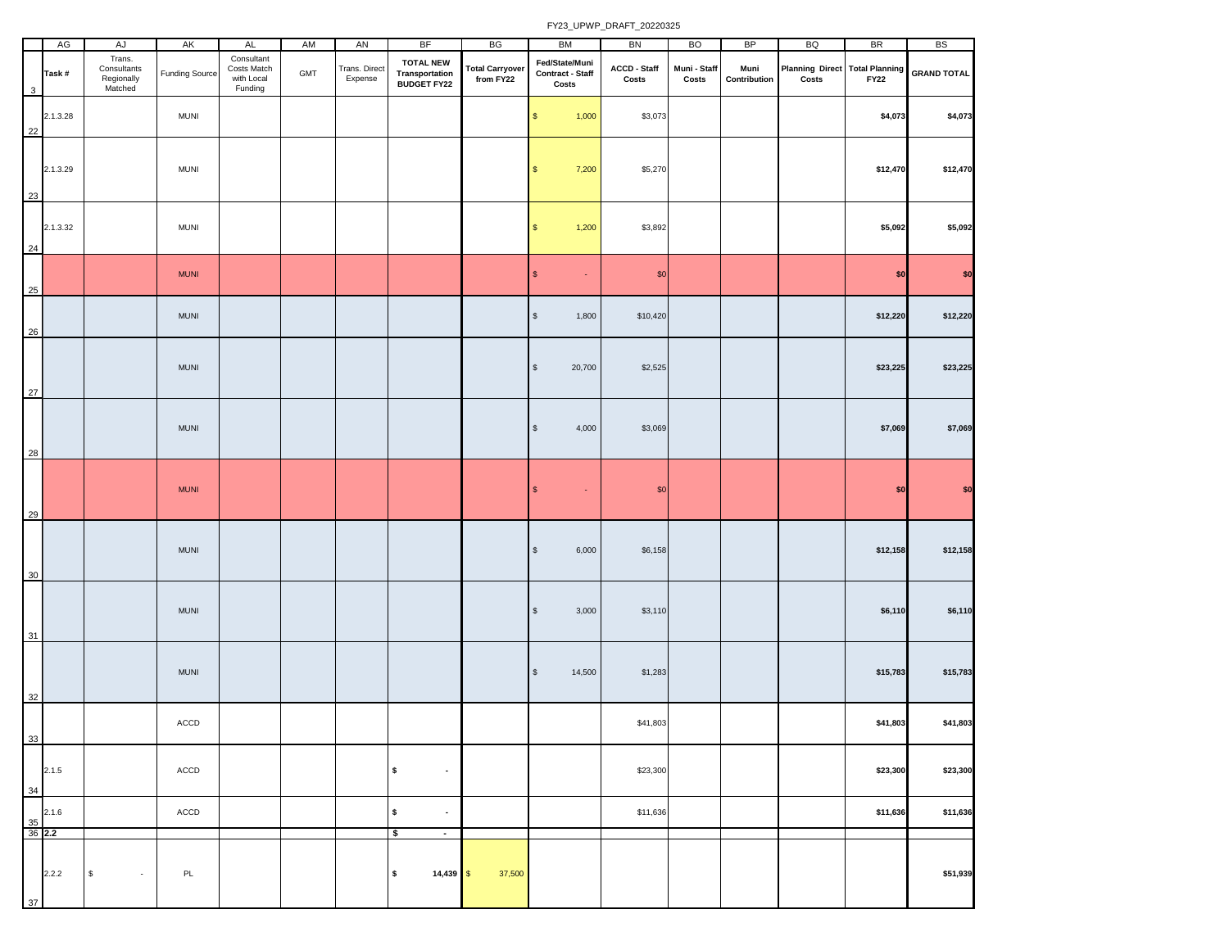|                     | AG       | AJ                                             | AK                    | <b>AL</b>                                          | AM  | AN                       | <b>BF</b>                                         | BG                                  | <b>BM</b>                                          | BN                    | <b>BO</b>             | <b>BP</b>            | BQ                                      | <b>BR</b>   | <b>BS</b>          |
|---------------------|----------|------------------------------------------------|-----------------------|----------------------------------------------------|-----|--------------------------|---------------------------------------------------|-------------------------------------|----------------------------------------------------|-----------------------|-----------------------|----------------------|-----------------------------------------|-------------|--------------------|
| 3                   | Task#    | Trans.<br>Consultants<br>Regionally<br>Matched | <b>Funding Source</b> | Consultant<br>Costs Match<br>with Local<br>Funding | GMT | Trans. Direct<br>Expense | <b>TOTAL NEW</b><br>Transportation<br>BUDGET FY22 | <b>Total Carryover</b><br>from FY22 | Fed/State/Muni<br><b>Contract - Staff</b><br>Costs | ACCD - Staff<br>Costs | Muni - Staff<br>Costs | Muni<br>Contribution | Planning Direct Total Planning<br>Costs | <b>FY22</b> | <b>GRAND TOTAL</b> |
| 22                  | 2.1.3.28 |                                                | <b>MUNI</b>           |                                                    |     |                          |                                                   |                                     | 1,000<br>\$                                        | \$3,073               |                       |                      |                                         | \$4,073     | \$4,073            |
| 23                  | 2.1.3.29 |                                                | MUNI                  |                                                    |     |                          |                                                   |                                     | 7,200<br>$\mathfrak{s}$                            | \$5,270               |                       |                      |                                         | \$12,470    | \$12,470           |
| 24                  | 2.1.3.32 |                                                | MUNI                  |                                                    |     |                          |                                                   |                                     | 1,200<br>\$                                        | \$3,892               |                       |                      |                                         | \$5,092     | \$5,092            |
| 25                  |          |                                                | <b>MUNI</b>           |                                                    |     |                          |                                                   |                                     | $\mathsf{s}$<br>$\omega$                           | \$0                   |                       |                      |                                         | \$0         | \$0                |
| 26                  |          |                                                | <b>MUNI</b>           |                                                    |     |                          |                                                   |                                     | $\mathbb{S}$<br>1,800                              | \$10,420              |                       |                      |                                         | \$12,220    | \$12,220           |
| 27                  |          |                                                | <b>MUNI</b>           |                                                    |     |                          |                                                   |                                     | $\mathbb{S}$<br>20,700                             | \$2,525               |                       |                      |                                         | \$23,225    | \$23,225           |
| 28                  |          |                                                | <b>MUNI</b>           |                                                    |     |                          |                                                   |                                     | $\sqrt[6]{\frac{1}{2}}$<br>4,000                   | \$3,069               |                       |                      |                                         | \$7,069     | \$7,069            |
| 29                  |          |                                                | <b>MUNI</b>           |                                                    |     |                          |                                                   |                                     | $\mathsf{\$}$<br>$\omega$                          | $\$0$                 |                       |                      |                                         | \$0         | \$0                |
| 30                  |          |                                                | <b>MUNI</b>           |                                                    |     |                          |                                                   |                                     | 6,000<br>$\sqrt[6]{\frac{1}{2}}$                   | \$6,158               |                       |                      |                                         | \$12,158    | \$12,158           |
| 31                  |          |                                                | <b>MUNI</b>           |                                                    |     |                          |                                                   |                                     | 3,000<br>$\sqrt[6]{\frac{1}{2}}$                   | \$3,110               |                       |                      |                                         | \$6,110     | \$6,110            |
| 32                  |          |                                                | <b>MUNI</b>           |                                                    |     |                          |                                                   |                                     | 14,500<br>$\mathbb{S}$                             | \$1,283               |                       |                      |                                         | \$15,783    | \$15,783           |
| 33                  |          |                                                | ACCD                  |                                                    |     |                          |                                                   |                                     |                                                    | \$41,803              |                       |                      |                                         | \$41,803    | \$41,803           |
| 34                  | 2.1.5    |                                                | ACCD                  |                                                    |     |                          | \$<br>$\blacksquare$                              |                                     |                                                    | \$23,300              |                       |                      |                                         | \$23,300    | \$23,300           |
| $\frac{35}{36}$ 2.2 | 2.1.6    |                                                | ACCD                  |                                                    |     |                          | \$<br>$\sim$                                      |                                     |                                                    | \$11,636              |                       |                      |                                         | \$11,636    | \$11,636           |
| 37                  | 2.2.2    | $$\mathbb{S}$$<br>$\sim$                       | PL                    |                                                    |     |                          | \$<br>$\sim$<br>\$<br>$14,439$ \$                 | 37,500                              |                                                    |                       |                       |                      |                                         |             | \$51,939           |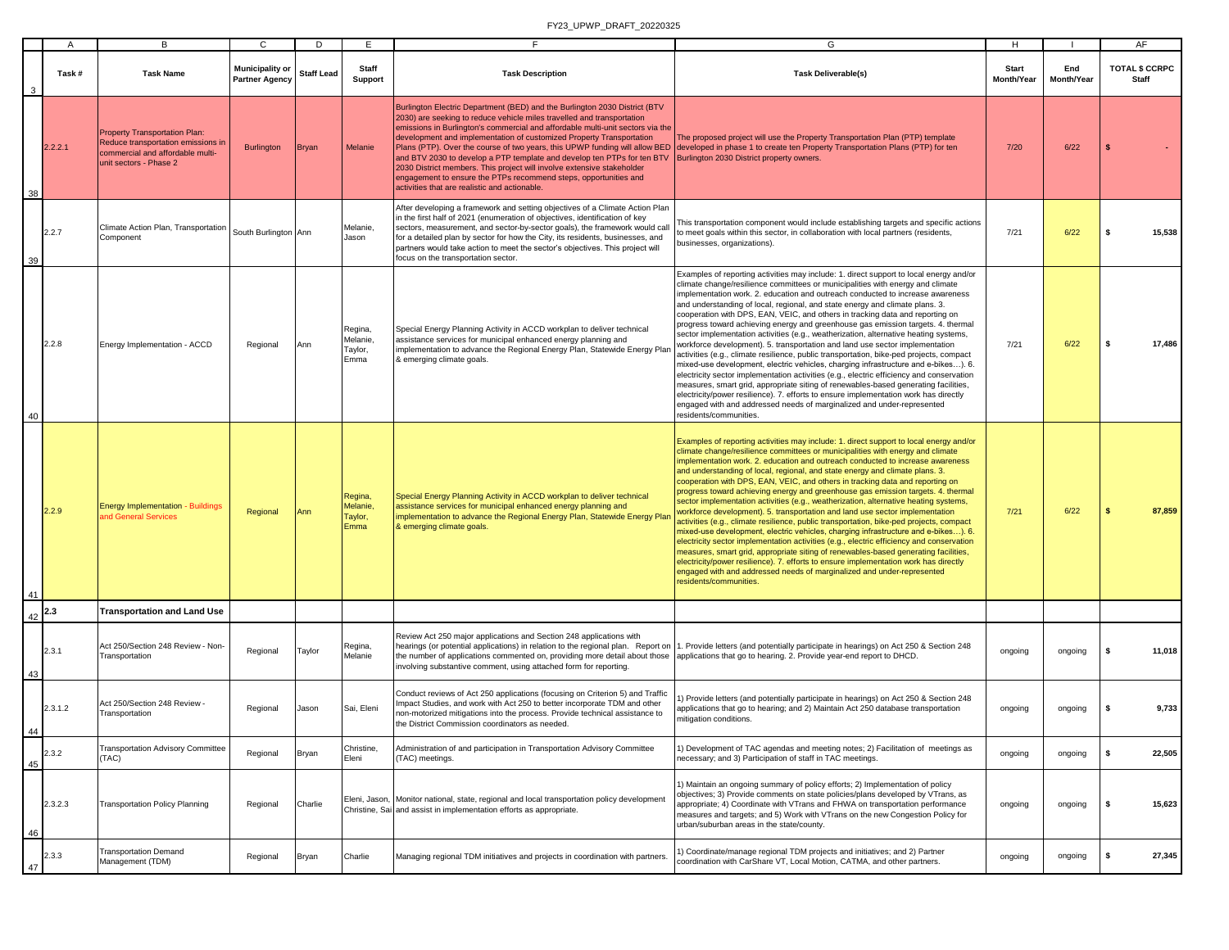|    | $\overline{A}$ | В                                                                                                                                        | C                                               | D                 | E                                      | Е                                                                                                                                                                                                                                                                                                                                                                                                                                                                                                                                                                                        | G                                                                                                                                                                                                                                                                                                                                                                                                                                                                                                                                                                                                                                                                                                                                                                                                                                                                                                                                                                                                                                                                                                                                                                                                                                                      | H                          |                   | AF                                    |
|----|----------------|------------------------------------------------------------------------------------------------------------------------------------------|-------------------------------------------------|-------------------|----------------------------------------|------------------------------------------------------------------------------------------------------------------------------------------------------------------------------------------------------------------------------------------------------------------------------------------------------------------------------------------------------------------------------------------------------------------------------------------------------------------------------------------------------------------------------------------------------------------------------------------|--------------------------------------------------------------------------------------------------------------------------------------------------------------------------------------------------------------------------------------------------------------------------------------------------------------------------------------------------------------------------------------------------------------------------------------------------------------------------------------------------------------------------------------------------------------------------------------------------------------------------------------------------------------------------------------------------------------------------------------------------------------------------------------------------------------------------------------------------------------------------------------------------------------------------------------------------------------------------------------------------------------------------------------------------------------------------------------------------------------------------------------------------------------------------------------------------------------------------------------------------------|----------------------------|-------------------|---------------------------------------|
|    | Task#          | <b>Task Name</b>                                                                                                                         | <b>Municipality or</b><br><b>Partner Agency</b> | <b>Staff Lead</b> | Staff<br>Support                       | <b>Task Description</b>                                                                                                                                                                                                                                                                                                                                                                                                                                                                                                                                                                  | <b>Task Deliverable(s)</b>                                                                                                                                                                                                                                                                                                                                                                                                                                                                                                                                                                                                                                                                                                                                                                                                                                                                                                                                                                                                                                                                                                                                                                                                                             | <b>Start</b><br>Month/Year | End<br>Month/Year | <b>TOTAL \$ CCRPC</b><br><b>Staff</b> |
| 38 | 2.2.2.1        | <b>Property Transportation Plan:</b><br>Reduce transportation emissions in<br>commercial and affordable multi-<br>unit sectors - Phase 2 | <b>Burlington</b>                               | <b>Bryan</b>      | Melanie                                | Burlington Electric Department (BED) and the Burlington 2030 District (BTV<br>2030) are seeking to reduce vehicle miles travelled and transportation<br>emissions in Burlington's commercial and affordable multi-unit sectors via the<br>development and implementation of customized Property Transportation<br>and BTV 2030 to develop a PTP template and develop ten PTPs for ten BTV<br>2030 District members. This project will involve extensive stakeholder<br>engagement to ensure the PTPs recommend steps, opportunities and<br>activities that are realistic and actionable. | The proposed project will use the Property Transportation Plan (PTP) template<br>Plans (PTP). Over the course of two years, this UPWP funding will allow BED developed in phase 1 to create ten Property Transportation Plans (PTP) for ten<br>Burlington 2030 District property owners.                                                                                                                                                                                                                                                                                                                                                                                                                                                                                                                                                                                                                                                                                                                                                                                                                                                                                                                                                               | 7/20                       | 6/22              |                                       |
| 39 | 2.2.7          | Climate Action Plan, Transportation<br>Component                                                                                         | South Burlington Ann                            |                   | Melanie,<br>Jason                      | After developing a framework and setting objectives of a Climate Action Plan<br>in the first half of 2021 (enumeration of objectives, identification of key<br>sectors, measurement, and sector-by-sector goals), the framework would call<br>for a detailed plan by sector for how the City, its residents, businesses, and<br>partners would take action to meet the sector's objectives. This project will<br>focus on the transportation sector.                                                                                                                                     | This transportation component would include establishing targets and specific actions<br>to meet goals within this sector, in collaboration with local partners (residents,<br>businesses, organizations).                                                                                                                                                                                                                                                                                                                                                                                                                                                                                                                                                                                                                                                                                                                                                                                                                                                                                                                                                                                                                                             | 7/21                       | 6/22              | 15,538<br>s.                          |
| 40 | 2.2.8          | Energy Implementation - ACCD                                                                                                             | Regional                                        | Ann               | Regina,<br>Melanie,<br>Taylor,<br>Emma | Special Energy Planning Activity in ACCD workplan to deliver technical<br>assistance services for municipal enhanced energy planning and<br>implementation to advance the Regional Energy Plan, Statewide Energy Plan<br>& emerging climate goals.                                                                                                                                                                                                                                                                                                                                       | Examples of reporting activities may include: 1. direct support to local energy and/or<br>climate change/resilience committees or municipalities with energy and climate<br>implementation work. 2. education and outreach conducted to increase awareness<br>and understanding of local, regional, and state energy and climate plans. 3.<br>cooperation with DPS, EAN, VEIC, and others in tracking data and reporting on<br>progress toward achieving energy and greenhouse gas emission targets. 4. thermal<br>sector implementation activities (e.g., weatherization, alternative heating systems,<br>workforce development). 5. transportation and land use sector implementation<br>ctivities (e.g., climate resilience, public transportation, bike-ped projects, compact<br>mixed-use development, electric vehicles, charging infrastructure and e-bikes). 6.<br>electricity sector implementation activities (e.g., electric efficiency and conservation<br>measures, smart grid, appropriate siting of renewables-based generating facilities,<br>electricity/power resilience). 7. efforts to ensure implementation work has directly<br>engaged with and addressed needs of marginalized and under-represented<br>residents/communities. | 7/21                       | 6/22              | 17,486<br>s.                          |
| 41 | 2.2.9          | <b>Energy Implementation - Buildings</b><br><b>nd General Services</b>                                                                   | Regional                                        | Ann               | Regina,<br>Melanie,<br>Taylor,<br>Emma | Special Energy Planning Activity in ACCD workplan to deliver technical<br>assistance services for municipal enhanced energy planning and<br>implementation to advance the Regional Energy Plan, Statewide Energy Plan<br>& emerging climate goals.                                                                                                                                                                                                                                                                                                                                       | Examples of reporting activities may include: 1. direct support to local energy and/or<br>climate change/resilience committees or municipalities with energy and climate<br>implementation work. 2. education and outreach conducted to increase awareness<br>and understanding of local, regional, and state energy and climate plans. 3.<br>cooperation with DPS, EAN, VEIC, and others in tracking data and reporting on<br>progress toward achieving energy and greenhouse gas emission targets. 4. thermal<br>sector implementation activities (e.g., weatherization, alternative heating systems,<br>vorkforce development). 5. transportation and land use sector implementation<br>ctivities (e.g., climate resilience, public transportation, bike-ped projects, compact<br>mixed-use development, electric vehicles, charging infrastructure and e-bikes). 6.<br>electricity sector implementation activities (e.g., electric efficiency and conservation<br>measures, smart grid, appropriate siting of renewables-based generating facilities,<br>electricity/power resilience). 7. efforts to ensure implementation work has directly<br>engaged with and addressed needs of marginalized and under-represented<br>residents/communities. | 7/21                       | 6/22              | 87,859<br>$\mathbf{s}$                |
| 42 | 2.3            | <b>Transportation and Land Use</b>                                                                                                       |                                                 |                   |                                        |                                                                                                                                                                                                                                                                                                                                                                                                                                                                                                                                                                                          |                                                                                                                                                                                                                                                                                                                                                                                                                                                                                                                                                                                                                                                                                                                                                                                                                                                                                                                                                                                                                                                                                                                                                                                                                                                        |                            |                   |                                       |
| 43 | 2.3.1          | Act 250/Section 248 Review - Non-<br>Transportation                                                                                      | Regional                                        | Taylor            | Regina,<br>Melanie                     | Review Act 250 major applications and Section 248 applications with<br>hearings (or potential applications) in relation to the regional plan. Report on<br>the number of applications commented on, providing more detail about those<br>involving substantive comment, using attached form for reporting.                                                                                                                                                                                                                                                                               | I. Provide letters (and potentially participate in hearings) on Act 250 & Section 248<br>applications that go to hearing. 2. Provide year-end report to DHCD.                                                                                                                                                                                                                                                                                                                                                                                                                                                                                                                                                                                                                                                                                                                                                                                                                                                                                                                                                                                                                                                                                          | ongoing                    | ongoing           | 11,018                                |
| 44 | 2.3.1.2        | Act 250/Section 248 Review -<br>Transportation                                                                                           | Regional                                        | Jason             | Sai, Eleni                             | Conduct reviews of Act 250 applications (focusing on Criterion 5) and Traffic<br>Impact Studies, and work with Act 250 to better incorporate TDM and other<br>non-motorized mitigations into the process. Provide technical assistance to<br>the District Commission coordinators as needed.                                                                                                                                                                                                                                                                                             | ) Provide letters (and potentially participate in hearings) on Act 250 & Section 248<br>pplications that go to hearing; and 2) Maintain Act 250 database transportation<br>nitigation conditions.                                                                                                                                                                                                                                                                                                                                                                                                                                                                                                                                                                                                                                                                                                                                                                                                                                                                                                                                                                                                                                                      | ongoing                    | ongoing           | 9,733<br>\$                           |
| 45 | 2.3.2          | <b>Transportation Advisory Committee</b><br>TAC)                                                                                         | Regional                                        | Bryan             | Christine,<br>Eleni                    | Administration of and participation in Transportation Advisory Committee<br>(TAC) meetings.                                                                                                                                                                                                                                                                                                                                                                                                                                                                                              | 1) Development of TAC agendas and meeting notes; 2) Facilitation of meetings as<br>necessary; and 3) Participation of staff in TAC meetings.                                                                                                                                                                                                                                                                                                                                                                                                                                                                                                                                                                                                                                                                                                                                                                                                                                                                                                                                                                                                                                                                                                           | ongoing                    | ongoing           | 22,505<br>s                           |
| 46 | 2.3.2.3        | <b>Transportation Policy Planning</b>                                                                                                    | Regional                                        | Charlie           |                                        | Eleni, Jason, Monitor national, state, regional and local transportation policy development<br>Christine, Sai and assist in implementation efforts as appropriate.                                                                                                                                                                                                                                                                                                                                                                                                                       | 1) Maintain an ongoing summary of policy efforts; 2) Implementation of policy<br>objectives; 3) Provide comments on state policies/plans developed by VTrans, as<br>appropriate; 4) Coordinate with VTrans and FHWA on transportation performance<br>measures and targets; and 5) Work with VTrans on the new Congestion Policy for<br>urban/suburban areas in the state/county.                                                                                                                                                                                                                                                                                                                                                                                                                                                                                                                                                                                                                                                                                                                                                                                                                                                                       | ongoing                    | ongoing           | 15,623<br>s                           |
| 47 | 2.3.3          | <b>Transportation Demand</b><br>Management (TDM)                                                                                         | Regional                                        | Bryan             | Charlie                                | Managing regional TDM initiatives and projects in coordination with partners                                                                                                                                                                                                                                                                                                                                                                                                                                                                                                             | ) Coordinate/manage regional TDM projects and initiatives; and 2) Partner<br>coordination with CarShare VT, Local Motion, CATMA, and other partners.                                                                                                                                                                                                                                                                                                                                                                                                                                                                                                                                                                                                                                                                                                                                                                                                                                                                                                                                                                                                                                                                                                   | ongoing                    | ongoing           | \$<br>27,345                          |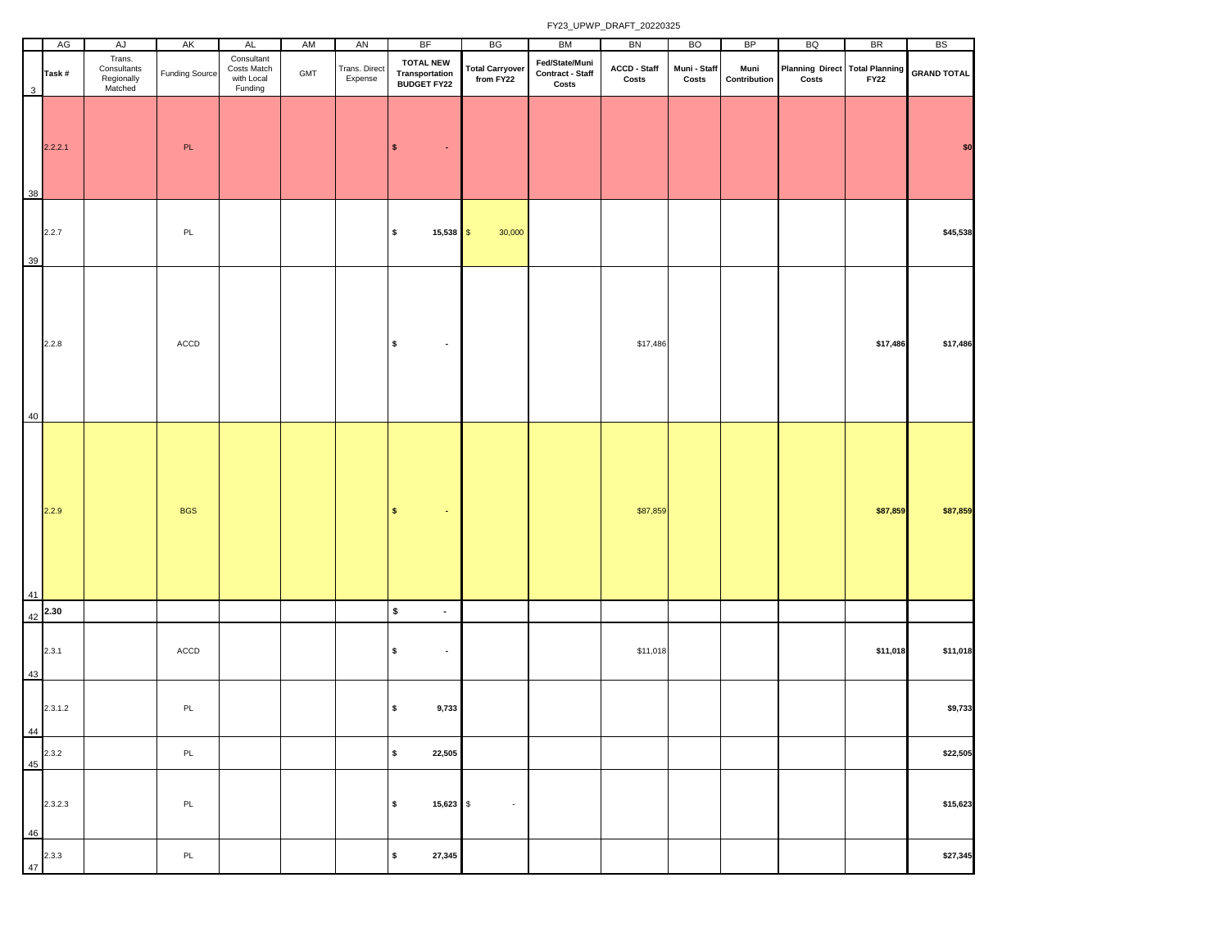|              | AG                   | AJ                                             | AK                    | AL                                                 | AM  | AN                       | <b>BF</b>                                                 | BG                                  | <b>BM</b>                                   | BN                    | <b>BO</b>             | BP                   | BQ                                           | <b>BR</b> | <b>BS</b>          |
|--------------|----------------------|------------------------------------------------|-----------------------|----------------------------------------------------|-----|--------------------------|-----------------------------------------------------------|-------------------------------------|---------------------------------------------|-----------------------|-----------------------|----------------------|----------------------------------------------|-----------|--------------------|
| $\mathbf{3}$ | Task#                | Trans.<br>Consultants<br>Regionally<br>Matched | <b>Funding Source</b> | Consultant<br>Costs Match<br>with Local<br>Funding | GMT | Trans. Direct<br>Expense | <b>TOTAL NEW</b><br><b>Transportation<br/>BUDGET FY22</b> | <b>Total Carryover</b><br>from FY22 | Fed/State/Muni<br>Contract - Staff<br>Costs | ACCD - Staff<br>Costs | Muni - Staff<br>Costs | Muni<br>Contribution | Planning Direct Total Planning<br>Costs FY22 |           | <b>GRAND TOTAL</b> |
| 38           | 2.2.2.1              |                                                | PL                    |                                                    |     |                          | $\pmb{\mathsf{s}}$<br>$\bullet$                           |                                     |                                             |                       |                       |                      |                                              |           | \$0                |
| 39           | 2.2.7                |                                                | PL                    |                                                    |     |                          | \$<br>$15,538$ \$                                         | 30,000                              |                                             |                       |                       |                      |                                              |           | \$45,538           |
| 40           | 2.2.8                |                                                | ACCD                  |                                                    |     |                          | \$<br>$\sim$                                              |                                     |                                             | \$17,486              |                       |                      |                                              | \$17,486  | \$17,486           |
| 41           | 2.2.9                |                                                | <b>BGS</b>            |                                                    |     |                          | $\mathsf S$<br>$\bullet$                                  |                                     |                                             | \$87,859              |                       |                      |                                              | \$87,859  | \$87,859           |
|              | $42$ <sup>2.30</sup> |                                                |                       |                                                    |     |                          | $\pmb{\mathsf{s}}$<br>$\blacksquare$                      |                                     |                                             |                       |                       |                      |                                              |           |                    |
| 43           | 2.3.1                |                                                | ACCD                  |                                                    |     |                          | \$<br>$\bullet$                                           |                                     |                                             | \$11,018              |                       |                      |                                              | \$11,018  | \$11,018           |
| 44           | 2.3.1.2              |                                                | PL                    |                                                    |     |                          | \$<br>9,733                                               |                                     |                                             |                       |                       |                      |                                              |           | \$9,733            |
|              | 2.3.2                |                                                | PL                    |                                                    |     |                          | $\pmb{\mathsf{s}}$<br>22,505                              |                                     |                                             |                       |                       |                      |                                              |           | \$22,505           |
| 45<br>46     | 2.3.2.3              |                                                | PL                    |                                                    |     |                          | \$<br>15,623 \$                                           | $\sim$                              |                                             |                       |                       |                      |                                              |           | \$15,623           |
| 47           | 2.3.3                |                                                | PL                    |                                                    |     |                          | $\pmb{\mathsf{s}}$<br>27,345                              |                                     |                                             |                       |                       |                      |                                              |           | \$27,345           |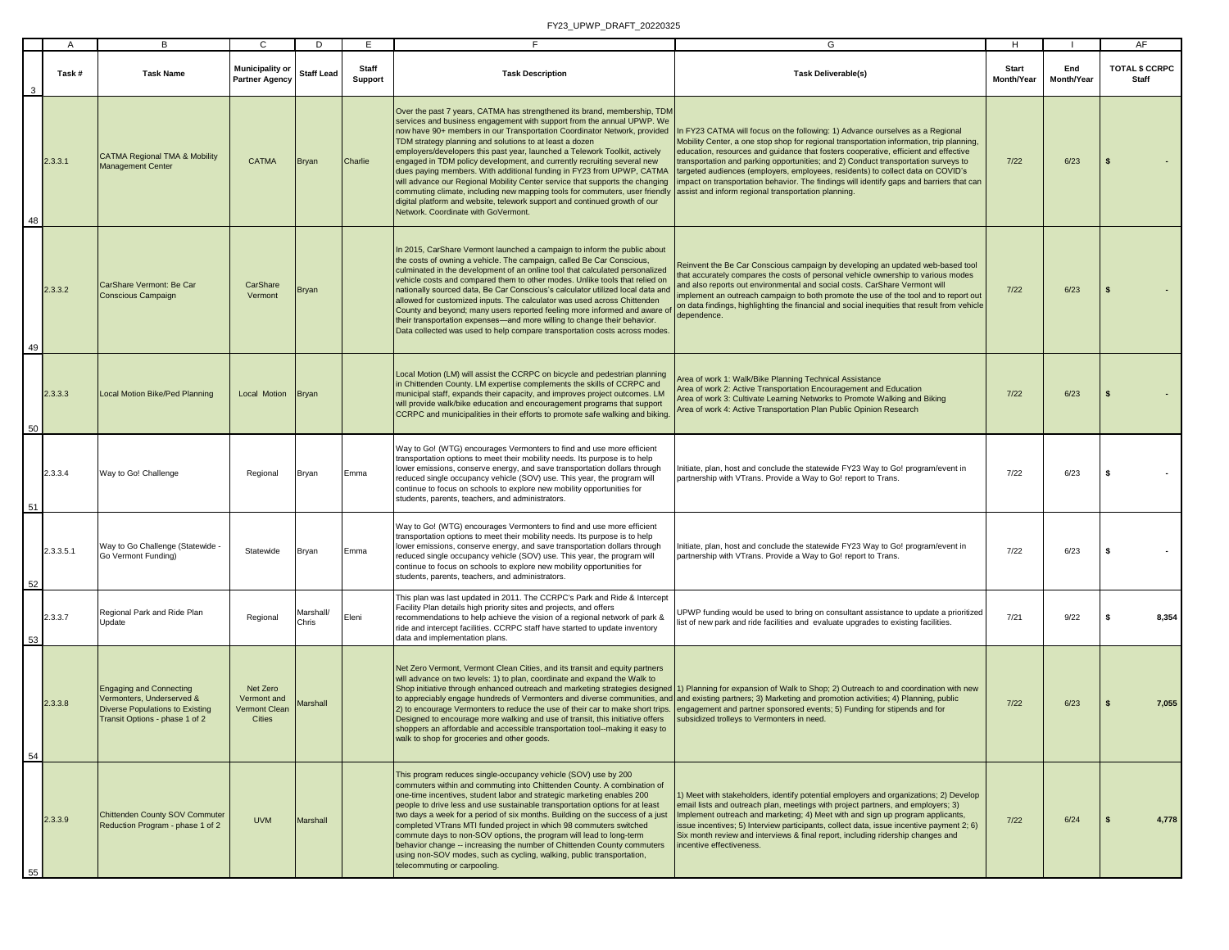|    | A         | B                                                                                                                                | C                                                                | D                  | E                       | Е                                                                                                                                                                                                                                                                                                                                                                                                                                                                                                                                                                                                                                                                                                                                                                                                               | G                                                                                                                                                                                                                                                                                                                                                                                                                                                                                                                                                                                           | Н.                         |                   | AF                             |
|----|-----------|----------------------------------------------------------------------------------------------------------------------------------|------------------------------------------------------------------|--------------------|-------------------------|-----------------------------------------------------------------------------------------------------------------------------------------------------------------------------------------------------------------------------------------------------------------------------------------------------------------------------------------------------------------------------------------------------------------------------------------------------------------------------------------------------------------------------------------------------------------------------------------------------------------------------------------------------------------------------------------------------------------------------------------------------------------------------------------------------------------|---------------------------------------------------------------------------------------------------------------------------------------------------------------------------------------------------------------------------------------------------------------------------------------------------------------------------------------------------------------------------------------------------------------------------------------------------------------------------------------------------------------------------------------------------------------------------------------------|----------------------------|-------------------|--------------------------------|
|    | Task#     | <b>Task Name</b>                                                                                                                 | <b>Municipality or</b><br><b>Partner Agency</b>                  | <b>Staff Lead</b>  | Staff<br><b>Support</b> | <b>Task Description</b>                                                                                                                                                                                                                                                                                                                                                                                                                                                                                                                                                                                                                                                                                                                                                                                         | <b>Task Deliverable(s)</b>                                                                                                                                                                                                                                                                                                                                                                                                                                                                                                                                                                  | <b>Start</b><br>Month/Year | End<br>Month/Year | <b>TOTAL \$ CCRPC</b><br>Staff |
| 48 | 2.3.3.1   | <b>CATMA Regional TMA &amp; Mobility</b><br><b>Management Center</b>                                                             | <b>CATMA</b>                                                     | <b>Bryan</b>       | Charlie                 | Over the past 7 years, CATMA has strengthened its brand, membership, TDM<br>services and business engagement with support from the annual UPWP. We<br>now have 90+ members in our Transportation Coordinator Network, provided<br>TDM strategy planning and solutions to at least a dozen<br>employers/developers this past year, launched a Telework Toolkit, actively<br>engaged in TDM policy development, and currently recruiting several new<br>dues paying members. With additional funding in FY23 from UPWP, CATMA<br>will advance our Regional Mobility Center service that supports the changing<br>commuting climate, including new mapping tools for commuters, user friendly<br>digital platform and website, telework support and continued growth of our<br>Network. Coordinate with GoVermont. | In FY23 CATMA will focus on the following: 1) Advance ourselves as a Regional<br>Mobility Center, a one stop shop for regional transportation information, trip planning,<br>education, resources and guidance that fosters cooperative, efficient and effective<br>transportation and parking opportunities; and 2) Conduct transportation surveys to<br>targeted audiences (employers, employees, residents) to collect data on COVID's<br>mpact on transportation behavior. The findings will identify gaps and barriers that can<br>assist and inform regional transportation planning. | $7/22$                     | 6/23              | $\mathbf{s}$                   |
| 49 | 2.3.3.2   | CarShare Vermont: Be Car<br><b>Conscious Campaign</b>                                                                            | CarShare<br>Vermont                                              | <b>Bryan</b>       |                         | In 2015, CarShare Vermont launched a campaign to inform the public about<br>the costs of owning a vehicle. The campaign, called Be Car Conscious,<br>culminated in the development of an online tool that calculated personalized<br>vehicle costs and compared them to other modes. Unlike tools that relied on<br>nationally sourced data, Be Car Conscious's calculator utilized local data and<br>allowed for customized inputs. The calculator was used across Chittenden<br>County and beyond; many users reported feeling more informed and aware of<br>their transportation expenses-and more willing to change their behavior.<br>Data collected was used to help compare transportation costs across modes.                                                                                           | Reinvent the Be Car Conscious campaign by developing an updated web-based tool<br>hat accurately compares the costs of personal vehicle ownership to various modes<br>and also reports out environmental and social costs. CarShare Vermont will<br>mplement an outreach campaign to both promote the use of the tool and to report out<br>on data findings, highlighting the financial and social inequities that result from vehicle<br>dependence.                                                                                                                                       | $7/22$                     | 6/23              | $\mathbf{s}$                   |
| 50 | 2.3.3.3   | Local Motion Bike/Ped Planning                                                                                                   | Local Motion                                                     | <b>Bryan</b>       |                         | Local Motion (LM) will assist the CCRPC on bicycle and pedestrian planning<br>in Chittenden County. LM expertise complements the skills of CCRPC and<br>municipal staff, expands their capacity, and improves project outcomes. LM<br>will provide walk/bike education and encouragement programs that support<br>CCRPC and municipalities in their efforts to promote safe walking and biking.                                                                                                                                                                                                                                                                                                                                                                                                                 | Area of work 1: Walk/Bike Planning Technical Assistance<br>Area of work 2: Active Transportation Encouragement and Education<br>Area of work 3: Cultivate Learning Networks to Promote Walking and Biking<br>Area of work 4: Active Transportation Plan Public Opinion Research                                                                                                                                                                                                                                                                                                             | $7/22$                     | 6/23              | $\mathbf{s}$                   |
| 51 | 2.3.3.4   | Way to Go! Challenge                                                                                                             | Regional                                                         | Bryan              | Emma                    | Way to Go! (WTG) encourages Vermonters to find and use more efficient<br>transportation options to meet their mobility needs. Its purpose is to help<br>lower emissions, conserve energy, and save transportation dollars through<br>reduced single occupancy vehicle (SOV) use. This year, the program will<br>continue to focus on schools to explore new mobility opportunities for<br>students, parents, teachers, and administrators.                                                                                                                                                                                                                                                                                                                                                                      | Initiate, plan, host and conclude the statewide FY23 Way to Go! program/event in<br>partnership with VTrans. Provide a Way to Go! report to Trans.                                                                                                                                                                                                                                                                                                                                                                                                                                          | 7/22                       | 6/23              | $\sim$                         |
| 52 | 2.3.3.5.1 | Way to Go Challenge (Statewide -<br>Go Vermont Funding)                                                                          | Statewide                                                        | Bryan              | Emma                    | Way to Go! (WTG) encourages Vermonters to find and use more efficient<br>transportation options to meet their mobility needs. Its purpose is to help<br>lower emissions, conserve energy, and save transportation dollars through<br>reduced single occupancy vehicle (SOV) use. This year, the program will<br>continue to focus on schools to explore new mobility opportunities for<br>students, parents, teachers, and administrators.                                                                                                                                                                                                                                                                                                                                                                      | Initiate, plan, host and conclude the statewide FY23 Way to Go! program/event in<br>partnership with VTrans. Provide a Way to Go! report to Trans.                                                                                                                                                                                                                                                                                                                                                                                                                                          | 7/22                       | 6/23              | l S                            |
| 53 | 2.3.3.7   | Regional Park and Ride Plan<br>Update                                                                                            | Regional                                                         | Marshall/<br>Chris | Eleni                   | This plan was last updated in 2011. The CCRPC's Park and Ride & Intercept<br>Facility Plan details high priority sites and projects, and offers<br>recommendations to help achieve the vision of a regional network of park &<br>ride and intercept facilities. CCRPC staff have started to update inventory<br>data and implementation plans.                                                                                                                                                                                                                                                                                                                                                                                                                                                                  | UPWP funding would be used to bring on consultant assistance to update a prioritized<br>list of new park and ride facilities and evaluate upgrades to existing facilities.                                                                                                                                                                                                                                                                                                                                                                                                                  | 7/21                       | 9/22              | s.<br>8,354                    |
| 54 | 2.3.3.8   | <b>Engaging and Connecting</b><br>Vermonters, Underserved &<br>Diverse Populations to Existing<br>Transit Options - phase 1 of 2 | Net Zero<br>Vermont and<br><b>Vermont Clean</b><br><b>Cities</b> | <b>Marshall</b>    |                         | Net Zero Vermont, Vermont Clean Cities, and its transit and equity partners<br>will advance on two levels: 1) to plan, coordinate and expand the Walk to<br>Shop initiative through enhanced outreach and marketing strategies designed<br>to appreciably engage hundreds of Vermonters and diverse communities, and<br>2) to encourage Vermonters to reduce the use of their car to make short trips.<br>Designed to encourage more walking and use of transit, this initiative offers<br>shoppers an affordable and accessible transportation tool--making it easy to<br>walk to shop for groceries and other goods.                                                                                                                                                                                          | 1) Planning for expansion of Walk to Shop; 2) Outreach to and coordination with new<br>and existing partners; 3) Marketing and promotion activities; 4) Planning, public<br>engagement and partner sponsored events; 5) Funding for stipends and for<br>subsidized trolleys to Vermonters in need.                                                                                                                                                                                                                                                                                          | $7/22$                     | 6/23              | 7,055<br>$\sim$                |
| 55 | 2.3.3.9   | <b>Chittenden County SOV Commuter</b><br>Reduction Program - phase 1 of 2                                                        | <b>UVM</b>                                                       | Marshall           |                         | This program reduces single-occupancy vehicle (SOV) use by 200<br>commuters within and commuting into Chittenden County. A combination of<br>one-time incentives, student labor and strategic marketing enables 200<br>people to drive less and use sustainable transportation options for at least<br>two days a week for a period of six months. Building on the success of a just<br>completed VTrans MTI funded project in which 98 commuters switched<br>commute days to non-SOV options, the program will lead to long-term<br>behavior change -- increasing the number of Chittenden County commuters<br>using non-SOV modes, such as cycling, walking, public transportation,<br>telecommuting or carpooling.                                                                                           | 1) Meet with stakeholders, identify potential employers and organizations; 2) Develop<br>email lists and outreach plan, meetings with project partners, and employers; 3)<br>Implement outreach and marketing; 4) Meet with and sign up program applicants,<br>issue incentives; 5) Interview participants, collect data, issue incentive payment 2; 6)<br>Six month review and interviews & final report, including ridership changes and<br>incentive effectiveness.                                                                                                                      | $7/22$                     | 6/24              | ls.<br>4,778                   |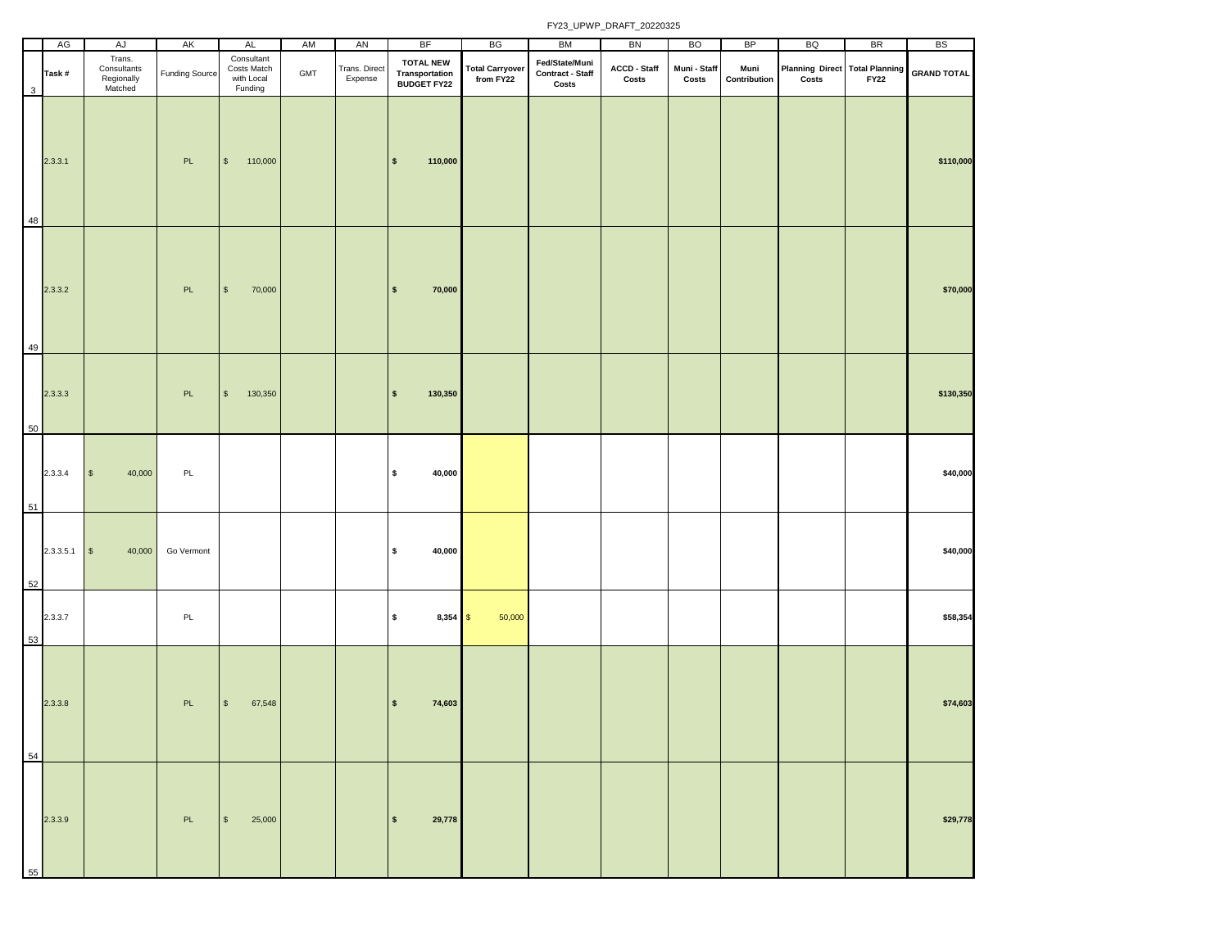|    | AG        | AJ                                             | AK                    | AL                                                 | AM  | AN                       | <b>BF</b>                                                | BG                                  | BM                                          | BN                           | <b>BO</b>             | BP                   | BQ                                                 | <b>BR</b>   | <b>BS</b>          |
|----|-----------|------------------------------------------------|-----------------------|----------------------------------------------------|-----|--------------------------|----------------------------------------------------------|-------------------------------------|---------------------------------------------|------------------------------|-----------------------|----------------------|----------------------------------------------------|-------------|--------------------|
| 3  | Task#     | Trans.<br>Consultants<br>Regionally<br>Matched | <b>Funding Source</b> | Consultant<br>Costs Match<br>with Local<br>Funding | GMT | Trans. Direct<br>Expense | <b>TOTAL NEW</b><br>Transportation<br><b>BUDGET FY22</b> | <b>Total Carryover</b><br>from FY22 | Fed/State/Muni<br>Contract - Staff<br>Costs | <b>ACCD - Staff</b><br>Costs | Muni - Staff<br>Costs | Muni<br>Contribution | Planning Direct Total Planning<br>$\mathsf{Costs}$ | <b>FY22</b> | <b>GRAND TOTAL</b> |
| 48 | 2.3.3.1   |                                                | PL                    | $\sqrt{2}$<br>110,000                              |     |                          | $\sqrt{2}$<br>110,000                                    |                                     |                                             |                              |                       |                      |                                                    |             | \$110,000          |
| 49 | 2.3.3.2   |                                                | PL                    | $$\mathbb{S}$$<br>70,000                           |     |                          | 70,000<br>$\sqrt{2}$                                     |                                     |                                             |                              |                       |                      |                                                    |             | \$70,000           |
| 50 | 2.3.3.3   |                                                | PL                    | $$\mathbb{S}$$<br>130,350                          |     |                          | 130,350<br>$\sqrt{2}$                                    |                                     |                                             |                              |                       |                      |                                                    |             | \$130,350          |
| 51 | 2.3.3.4   | 40,000<br>$\mathbb{S}$                         | PL                    |                                                    |     |                          | $\pmb{\mathsf{s}}$<br>40,000                             |                                     |                                             |                              |                       |                      |                                                    |             | \$40,000           |
| 52 | 2.3.3.5.1 | $\mathbb{S}$<br>40,000                         | Go Vermont            |                                                    |     |                          | $\sqrt{2}$<br>40,000                                     |                                     |                                             |                              |                       |                      |                                                    |             | \$40,000           |
| 53 | 2.3.3.7   |                                                | PL                    |                                                    |     |                          | $\pmb{\mathsf{s}}$<br>$8,354$ \$                         | 50,000                              |                                             |                              |                       |                      |                                                    |             | \$58,354           |
| 54 | 2.3.3.8   |                                                | PL                    | 67,548<br>$\sqrt{3}$                               |     |                          | l \$<br>74,603                                           |                                     |                                             |                              |                       |                      |                                                    |             | \$74,603           |
| 55 | 2.3.3.9   |                                                | PL                    | $\sqrt{3}$<br>25,000                               |     |                          | 29,778<br>$\sqrt{2}$                                     |                                     |                                             |                              |                       |                      |                                                    |             | \$29,778           |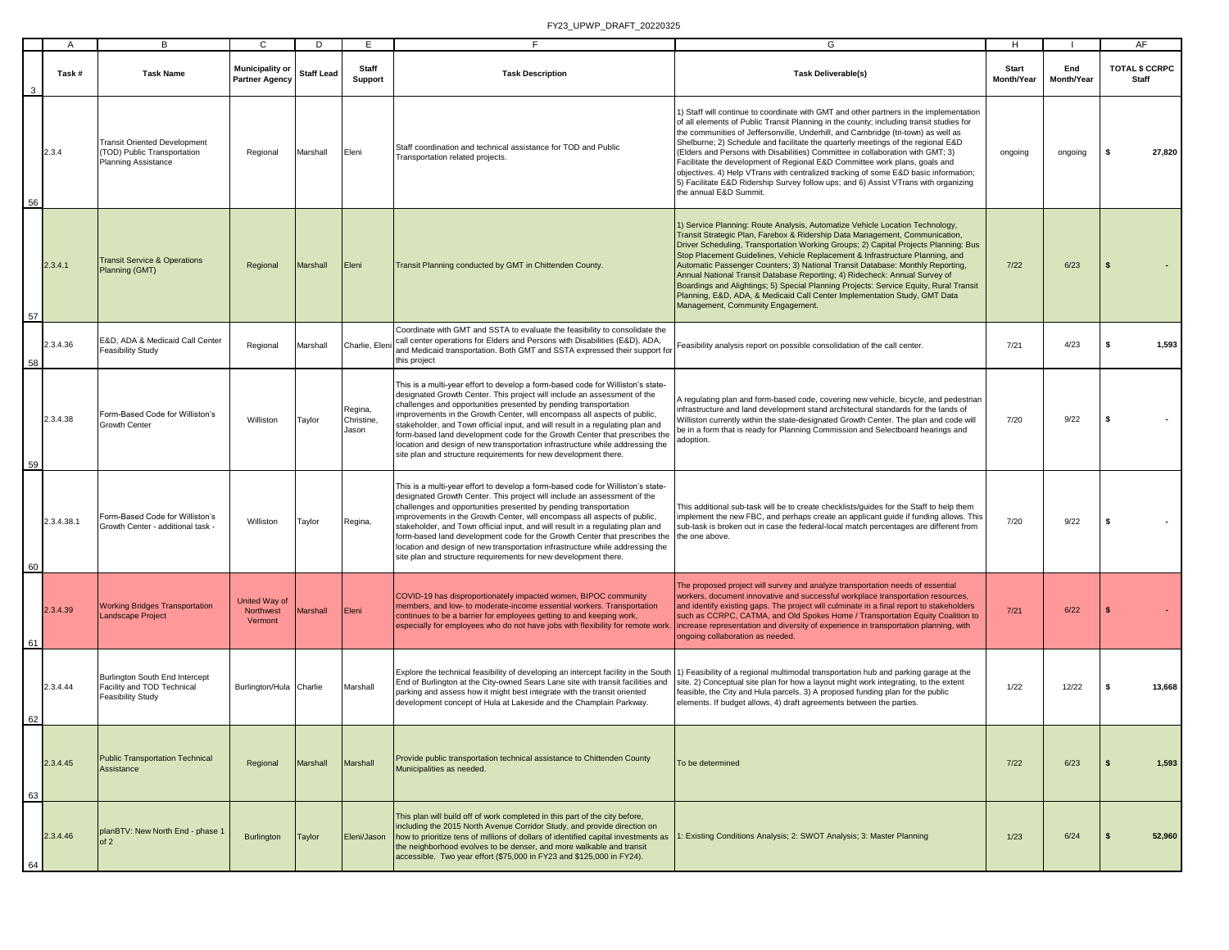|    | A          | В                                                                                                | C                                               | D                 | E                              | F.                                                                                                                                                                                                                                                                                                                                                                                                                                                                                                                                                                                                                              | G                                                                                                                                                                                                                                                                                                                                                                                                                                                                                                                                                                                                                                                                                                                                  | H.                         |                   | AF                                    |
|----|------------|--------------------------------------------------------------------------------------------------|-------------------------------------------------|-------------------|--------------------------------|---------------------------------------------------------------------------------------------------------------------------------------------------------------------------------------------------------------------------------------------------------------------------------------------------------------------------------------------------------------------------------------------------------------------------------------------------------------------------------------------------------------------------------------------------------------------------------------------------------------------------------|------------------------------------------------------------------------------------------------------------------------------------------------------------------------------------------------------------------------------------------------------------------------------------------------------------------------------------------------------------------------------------------------------------------------------------------------------------------------------------------------------------------------------------------------------------------------------------------------------------------------------------------------------------------------------------------------------------------------------------|----------------------------|-------------------|---------------------------------------|
|    | Task #     | <b>Task Name</b>                                                                                 | <b>Municipality or</b><br><b>Partner Agency</b> | <b>Staff Lead</b> | Staff<br>Support               | <b>Task Description</b>                                                                                                                                                                                                                                                                                                                                                                                                                                                                                                                                                                                                         | <b>Task Deliverable(s)</b>                                                                                                                                                                                                                                                                                                                                                                                                                                                                                                                                                                                                                                                                                                         | <b>Start</b><br>Month/Year | End<br>Month/Year | <b>TOTAL \$ CCRPC</b><br><b>Staff</b> |
| 56 | 2.3.4      | <b>Transit Oriented Development</b><br>(TOD) Public Transportation<br><b>Planning Assistance</b> | Regional                                        | Marshall          | Eleni                          | Staff coordination and technical assistance for TOD and Public<br>Transportation related projects.                                                                                                                                                                                                                                                                                                                                                                                                                                                                                                                              | 1) Staff will continue to coordinate with GMT and other partners in the implementation<br>of all elements of Public Transit Planning in the county; including transit studies for<br>the communities of Jeffersonville, Underhill, and Cambridge (tri-town) as well as<br>Shelburne; 2) Schedule and facilitate the quarterly meetings of the regional E&D<br>(Elders and Persons with Disabilities) Committee in collaboration with GMT; 3)<br>Facilitate the development of Regional E&D Committee work plans, goals and<br>objectives. 4) Help VTrans with centralized tracking of some E&D basic information;<br>5) Facilitate E&D Ridership Survey follow ups; and 6) Assist VTrans with organizing<br>the annual E&D Summit. | ongoing                    | ongoing           | 27,820<br>s                           |
| 57 | 2.3.4.1    | <b>Transit Service &amp; Operations</b><br>Planning (GMT)                                        | Regional                                        | Marshall          | Eleni                          | Transit Planning conducted by GMT in Chittenden County.                                                                                                                                                                                                                                                                                                                                                                                                                                                                                                                                                                         | 1) Service Planning: Route Analysis, Automatize Vehicle Location Technology,<br>Transit Strategic Plan, Farebox & Ridership Data Management, Communication,<br>Driver Scheduling, Transportation Working Groups; 2) Capital Projects Planning: Bus<br>Stop Placement Guidelines, Vehicle Replacement & Infrastructure Planning, and<br>Automatic Passenger Counters; 3) National Transit Database: Monthly Reporting,<br>Annual National Transit Database Reporting; 4) Ridecheck: Annual Survey of<br>Boardings and Alightings; 5) Special Planning Projects: Service Equity, Rural Transit<br>Planning, E&D, ADA, & Medicaid Call Center Implementation Study, GMT Data<br>Management, Community Engagement.                     | $7/22$                     | 6/23              |                                       |
| 58 | 2.3.4.36   | E&D, ADA & Medicaid Call Center<br><b>Feasibility Study</b>                                      | Regional                                        | Marshall          | Charlie, Elen                  | Coordinate with GMT and SSTA to evaluate the feasibility to consolidate the<br>call center operations for Elders and Persons with Disabilities (E&D), ADA,<br>and Medicaid transportation. Both GMT and SSTA expressed their support for<br>this project                                                                                                                                                                                                                                                                                                                                                                        | Feasibility analysis report on possible consolidation of the call center.                                                                                                                                                                                                                                                                                                                                                                                                                                                                                                                                                                                                                                                          | 7/21                       | 4/23              | 1,593<br>s                            |
| 59 | 2.3.4.38   | Form-Based Code for Williston's<br>Growth Center                                                 | Williston                                       | Taylor            | Regina,<br>Christine,<br>Jason | This is a multi-year effort to develop a form-based code for Williston's state-<br>designated Growth Center. This project will include an assessment of the<br>challenges and opportunities presented by pending transportation<br>improvements in the Growth Center, will encompass all aspects of public,<br>stakeholder, and Town official input, and will result in a regulating plan and<br>form-based land development code for the Growth Center that prescribes the<br>location and design of new transportation infrastructure while addressing the<br>site plan and structure requirements for new development there. | A regulating plan and form-based code, covering new vehicle, bicycle, and pedestrian<br>infrastructure and land development stand architectural standards for the lands of<br>Williston currently within the state-designated Growth Center. The plan and code will<br>be in a form that is ready for Planning Commission and Selectboard hearings and<br>adoption.                                                                                                                                                                                                                                                                                                                                                                | 7/20                       | 9/22              | s.                                    |
| 60 | 2.3.4.38.1 | Form-Based Code for Williston's<br>Growth Center - additional task -                             | Williston                                       | Taylor            | Regina,                        | This is a multi-year effort to develop a form-based code for Williston's state-<br>designated Growth Center. This project will include an assessment of the<br>challenges and opportunities presented by pending transportation<br>improvements in the Growth Center, will encompass all aspects of public,<br>stakeholder, and Town official input, and will result in a regulating plan and<br>form-based land development code for the Growth Center that prescribes the<br>location and design of new transportation infrastructure while addressing the<br>site plan and structure requirements for new development there. | This additional sub-task will be to create checklists/quides for the Staff to help them<br>implement the new FBC, and perhaps create an applicant guide if funding allows. This<br>sub-task is broken out in case the federal-local match percentages are different from<br>the one above.                                                                                                                                                                                                                                                                                                                                                                                                                                         | 7/20                       | 9/22              | - \$                                  |
| 61 | 2.3.4.39   | <b>Working Bridges Transportation</b><br>andscape Project                                        | <b>United Way of</b><br>Northwest<br>Vermont    | <b>Marshall</b>   | Eleni                          | COVID-19 has disproportionately impacted women, BIPOC community<br>members, and low- to moderate-income essential workers. Transportation<br>continues to be a barrier for employees getting to and keeping work,<br>especially for employees who do not have jobs with flexibility for remote work                                                                                                                                                                                                                                                                                                                             | The proposed project will survey and analyze transportation needs of essential<br>workers, document innovative and successful workplace transportation resources,<br>and identify existing gaps. The project will culminate in a final report to stakeholders<br>such as CCRPC, CATMA, and Old Spokes Home / Transportation Equity Coalition to<br>ncrease representation and diversity of experience in transportation planning, with<br>ongoing collaboration as needed.                                                                                                                                                                                                                                                         | 7/21                       | 6/22              |                                       |
| 62 | 2.3.4.44   | Burlington South End Intercept<br>Facility and TOD Technical<br><b>Feasibility Study</b>         | Burlington/Hula Charlie                         |                   | Marshall                       | Explore the technical feasibility of developing an intercept facility in the South<br>End of Burlington at the City-owned Sears Lane site with transit facilities and<br>parking and assess how it might best integrate with the transit oriented<br>development concept of Hula at Lakeside and the Champlain Parkway.                                                                                                                                                                                                                                                                                                         | 1) Feasibility of a regional multimodal transportation hub and parking garage at the<br>site. 2) Conceptual site plan for how a layout might work integrating, to the extent<br>easible, the City and Hula parcels. 3) A proposed funding plan for the public<br>elements. If budget allows, 4) draft agreements between the parties.                                                                                                                                                                                                                                                                                                                                                                                              | 1/22                       | 12/22             | 13,668<br>\$                          |
| 63 | 2.3.4.45   | <b>Public Transportation Technical</b><br>Assistance                                             | Regional                                        | Marshall          | Marshall                       | Provide public transportation technical assistance to Chittenden County<br>Municipalities as needed.                                                                                                                                                                                                                                                                                                                                                                                                                                                                                                                            | To be determined                                                                                                                                                                                                                                                                                                                                                                                                                                                                                                                                                                                                                                                                                                                   | $7/22$                     | 6/23              | -\$<br>1,593                          |
| 64 | 2.3.4.46   | planBTV: New North End - phase 1<br>of 2                                                         | Burlington                                      | Taylor            | Eleni/Jason                    | This plan will build off of work completed in this part of the city before,<br>including the 2015 North Avenue Corridor Study, and provide direction on<br>how to prioritize tens of millions of dollars of identified capital investments as<br>the neighborhood evolves to be denser, and more walkable and transit<br>accessible. Two year effort (\$75,000 in FY23 and \$125,000 in FY24).                                                                                                                                                                                                                                  | : Existing Conditions Analysis; 2: SWOT Analysis; 3: Master Planning                                                                                                                                                                                                                                                                                                                                                                                                                                                                                                                                                                                                                                                               | 1/23                       | 6/24              | 52,960                                |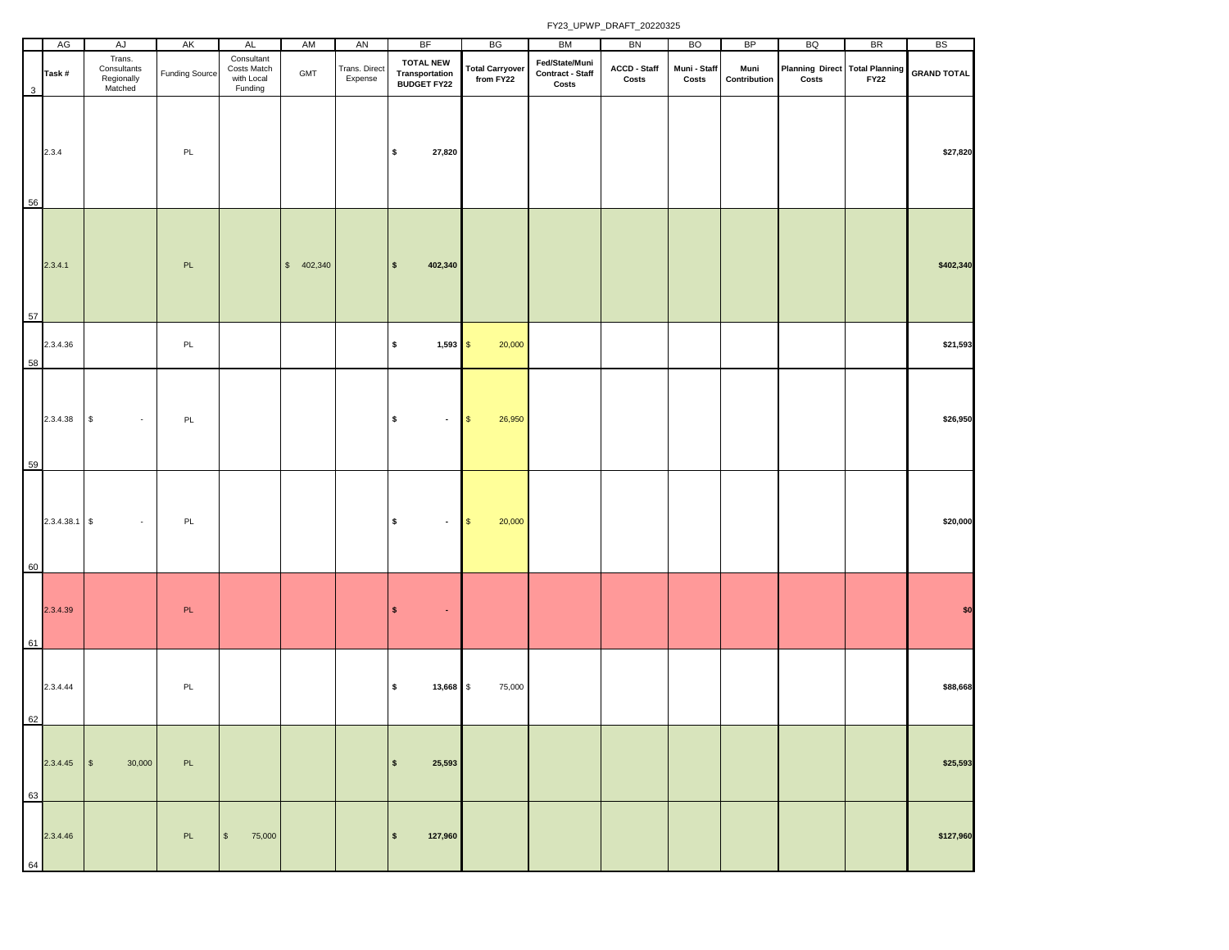|    |    | AG              | AJ                                             | AK             | AL                                                 | AM         | AN                       | <b>BF</b>                                                 | BG                                  | BM                                          | BN                    | <b>BO</b>             | BP                   | BQ                                                 | <b>BR</b>   | <b>BS</b>          |
|----|----|-----------------|------------------------------------------------|----------------|----------------------------------------------------|------------|--------------------------|-----------------------------------------------------------|-------------------------------------|---------------------------------------------|-----------------------|-----------------------|----------------------|----------------------------------------------------|-------------|--------------------|
|    | 3  | Task#           | Trans.<br>Consultants<br>Regionally<br>Matched | Funding Source | Consultant<br>Costs Match<br>with Local<br>Funding | GMT        | Trans. Direct<br>Expense | <b>TOTAL NEW</b><br><b>Transportation<br/>BUDGET FY22</b> | <b>Total Carryover</b><br>from FY22 | Fed/State/Muni<br>Contract - Staff<br>Costs | ACCD - Staff<br>Costs | Muni - Staff<br>Costs | Muni<br>Contribution | Planning Direct Total Planning<br>$\mathsf{Costs}$ | <b>FY22</b> | <b>GRAND TOTAL</b> |
|    | 56 | 2.3.4           |                                                | PL             |                                                    |            |                          | \$<br>27,820                                              |                                     |                                             |                       |                       |                      |                                                    |             | \$27,820           |
|    | 57 | 2.3.4.1         |                                                | <b>PL</b>      |                                                    | \$ 402,340 |                          | $\pmb{\mathsf{s}}$<br>402,340                             |                                     |                                             |                       |                       |                      |                                                    |             | \$402,340          |
|    | 58 | 2.3.4.36        |                                                | PL             |                                                    |            |                          | \$<br>$1,593$ \$                                          | 20,000                              |                                             |                       |                       |                      |                                                    |             | \$21,593           |
|    | 59 | 2.3.4.38        | $\mathbb S$<br>$\sim$                          | PL             |                                                    |            |                          | \$<br>$\blacksquare$                                      | $$\mathbb{S}$$<br>26,950            |                                             |                       |                       |                      |                                                    |             | \$26,950           |
|    | 60 | $2.3.4.38.1$ \$ |                                                | PL             |                                                    |            |                          | \$<br>$\blacksquare$                                      | 20,000<br>\$                        |                                             |                       |                       |                      |                                                    |             | \$20,000           |
|    | 61 | 2.3.4.39        |                                                | PL             |                                                    |            |                          | $\pmb{\mathsf{s}}$<br>$\bullet$                           |                                     |                                             |                       |                       |                      |                                                    |             | \$0                |
| 62 |    | 2.3.4.44        |                                                | PL             |                                                    |            |                          | \$<br>13,668 \$                                           | 75,000                              |                                             |                       |                       |                      |                                                    |             | \$88,668           |
|    | 63 | 2.3.4.45        | 30,000<br>$\sqrt{ }$                           | PL             |                                                    |            |                          | $\pmb{\mathsf{s}}$<br>25,593                              |                                     |                                             |                       |                       |                      |                                                    |             | \$25,593           |
|    | 64 | 2.3.4.46        |                                                | PL             | $\mathbb S$<br>75,000                              |            |                          | 127,960<br>$\boldsymbol{\mathsf{s}}$                      |                                     |                                             |                       |                       |                      |                                                    |             | \$127,960          |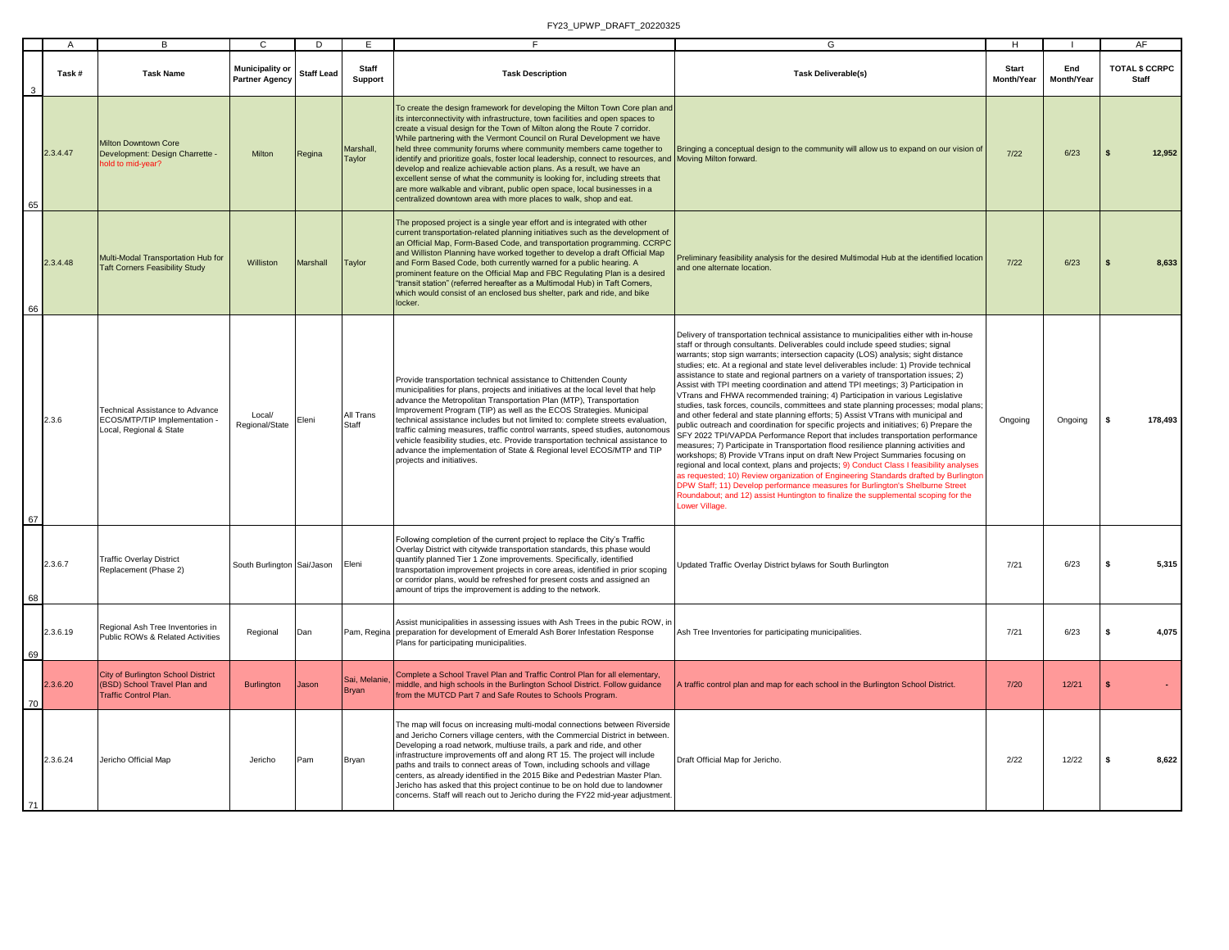|    | $\overline{A}$ | B                                                                                                         | $\mathbf{C}$                                    | D                 | E.                           |                                                                                                                                                                                                                                                                                                                                                                                                                                                                                                                                                                                                                                                                                                                                                                                                                 | G                                                                                                                                                                                                                                                                                                                                                                                                                                                                                                                                                                                                                                                                                                                                                                                                                                                                                                                                                                                                                                                                                                                                                                                                                                                                                                                                                                                                                                                                                                                                   | H                   |                   | AF                                    |
|----|----------------|-----------------------------------------------------------------------------------------------------------|-------------------------------------------------|-------------------|------------------------------|-----------------------------------------------------------------------------------------------------------------------------------------------------------------------------------------------------------------------------------------------------------------------------------------------------------------------------------------------------------------------------------------------------------------------------------------------------------------------------------------------------------------------------------------------------------------------------------------------------------------------------------------------------------------------------------------------------------------------------------------------------------------------------------------------------------------|-------------------------------------------------------------------------------------------------------------------------------------------------------------------------------------------------------------------------------------------------------------------------------------------------------------------------------------------------------------------------------------------------------------------------------------------------------------------------------------------------------------------------------------------------------------------------------------------------------------------------------------------------------------------------------------------------------------------------------------------------------------------------------------------------------------------------------------------------------------------------------------------------------------------------------------------------------------------------------------------------------------------------------------------------------------------------------------------------------------------------------------------------------------------------------------------------------------------------------------------------------------------------------------------------------------------------------------------------------------------------------------------------------------------------------------------------------------------------------------------------------------------------------------|---------------------|-------------------|---------------------------------------|
|    | Task#          | <b>Task Name</b>                                                                                          | <b>Municipality or</b><br><b>Partner Agency</b> | <b>Staff Lead</b> | Staff<br><b>Support</b>      | <b>Task Description</b>                                                                                                                                                                                                                                                                                                                                                                                                                                                                                                                                                                                                                                                                                                                                                                                         | <b>Task Deliverable(s)</b>                                                                                                                                                                                                                                                                                                                                                                                                                                                                                                                                                                                                                                                                                                                                                                                                                                                                                                                                                                                                                                                                                                                                                                                                                                                                                                                                                                                                                                                                                                          | Start<br>Month/Year | End<br>Month/Year | <b>TOTAL \$ CCRPC</b><br><b>Staff</b> |
| 65 | 2.3.4.47       | <b>Milton Downtown Core</b><br>Development: Design Charrette -<br>old to mid-year?                        | Milton                                          | Regina            | Marshall.<br>Taylor          | To create the design framework for developing the Milton Town Core plan and<br>its interconnectivity with infrastructure, town facilities and open spaces to<br>create a visual design for the Town of Milton along the Route 7 corridor.<br>While partnering with the Vermont Council on Rural Development we have<br>held three community forums where community members came together to<br>identify and prioritize goals, foster local leadership, connect to resources, and Moving Milton forward.<br>develop and realize achievable action plans. As a result, we have an<br>excellent sense of what the community is looking for, including streets that<br>are more walkable and vibrant, public open space, local businesses in a<br>centralized downtown area with more places to walk, shop and eat. | Bringing a conceptual design to the community will allow us to expand on our vision of                                                                                                                                                                                                                                                                                                                                                                                                                                                                                                                                                                                                                                                                                                                                                                                                                                                                                                                                                                                                                                                                                                                                                                                                                                                                                                                                                                                                                                              | $7/22$              | 6/23              | 12,952<br>$\mathbf{s}$                |
|    | 2.3.4.48       | Multi-Modal Transportation Hub for<br><b>Taft Corners Feasibility Study</b>                               | Williston                                       | <b>Marshall</b>   | Taylor                       | The proposed project is a single year effort and is integrated with other<br>current transportation-related planning initiatives such as the development of<br>an Official Map, Form-Based Code, and transportation programming. CCRPC<br>and Williston Planning have worked together to develop a draft Official Map<br>and Form Based Code, both currently warned for a public hearing. A<br>prominent feature on the Official Map and FBC Regulating Plan is a desired<br>"transit station" (referred hereafter as a Multimodal Hub) in Taft Corners,<br>which would consist of an enclosed bus shelter, park and ride, and bike<br>locker.                                                                                                                                                                  | Preliminary feasibility analysis for the desired Multimodal Hub at the identified location<br>and one alternate location                                                                                                                                                                                                                                                                                                                                                                                                                                                                                                                                                                                                                                                                                                                                                                                                                                                                                                                                                                                                                                                                                                                                                                                                                                                                                                                                                                                                            | $7/22$              | 6/23              | 8,633                                 |
| 67 | 2.3.6          | Technical Assistance to Advance<br>ECOS/MTP/TIP Implementation -<br>Local, Regional & State               | Local/<br>Regional/State                        | Eleni             | All Trans<br>Staff           | Provide transportation technical assistance to Chittenden County<br>municipalities for plans, projects and initiatives at the local level that help<br>advance the Metropolitan Transportation Plan (MTP), Transportation<br>Improvement Program (TIP) as well as the ECOS Strategies. Municipal<br>technical assistance includes but not limited to: complete streets evaluation<br>traffic calming measures, traffic control warrants, speed studies, autonomous<br>vehicle feasibility studies, etc. Provide transportation technical assistance to<br>advance the implementation of State & Regional level ECOS/MTP and TIP<br>projects and initiatives.                                                                                                                                                    | Delivery of transportation technical assistance to municipalities either with in-house<br>staff or through consultants. Deliverables could include speed studies; signal<br>warrants; stop sign warrants; intersection capacity (LOS) analysis; sight distance<br>studies; etc. At a regional and state level deliverables include: 1) Provide technical<br>assistance to state and regional partners on a variety of transportation issues; 2)<br>Assist with TPI meeting coordination and attend TPI meetings; 3) Participation in<br>VTrans and FHWA recommended training; 4) Participation in various Legislative<br>studies, task forces, councils, committees and state planning processes; modal plans;<br>and other federal and state planning efforts; 5) Assist VTrans with municipal and<br>bublic outreach and coordination for specific projects and initiatives; 6) Prepare the<br>SFY 2022 TPI/VAPDA Performance Report that includes transportation performance<br>measures; 7) Participate in Transportation flood resilience planning activities and<br>workshops; 8) Provide VTrans input on draft New Project Summaries focusing on<br>regional and local context, plans and projects; 9) Conduct Class I feasibility analyses<br>as requested; 10) Review organization of Engineering Standards drafted by Burlington<br>DPW Staff; 11) Develop performance measures for Burlington's Shelburne Street<br>Roundabout; and 12) assist Huntington to finalize the supplemental scoping for the<br>Lower Village. | Ongoing             | Ongoing           | 178,493<br>s.                         |
| 68 | 2.3.6.7        | <b>Traffic Overlay District</b><br>Replacement (Phase 2)                                                  | South Burlington Sai/Jason                      |                   | Eleni                        | Following completion of the current project to replace the City's Traffic<br>Overlay District with citywide transportation standards, this phase would<br>quantify planned Tier 1 Zone improvements. Specifically, identified<br>transportation improvement projects in core areas, identified in prior scoping<br>or corridor plans, would be refreshed for present costs and assigned an<br>amount of trips the improvement is adding to the network.                                                                                                                                                                                                                                                                                                                                                         | Updated Traffic Overlay District bylaws for South Burlington                                                                                                                                                                                                                                                                                                                                                                                                                                                                                                                                                                                                                                                                                                                                                                                                                                                                                                                                                                                                                                                                                                                                                                                                                                                                                                                                                                                                                                                                        | 7/21                | 6/23              | 5,315<br>$\mathbf{s}$                 |
| 69 | 2.3.6.19       | Regional Ash Tree Inventories in<br>Public ROWs & Related Activities                                      | Regional                                        | Dan               |                              | Assist municipalities in assessing issues with Ash Trees in the pubic ROW, in<br>Pam, Regina preparation for development of Emerald Ash Borer Infestation Response<br>Plans for participating municipalities.                                                                                                                                                                                                                                                                                                                                                                                                                                                                                                                                                                                                   | Ash Tree Inventories for participating municipalities.                                                                                                                                                                                                                                                                                                                                                                                                                                                                                                                                                                                                                                                                                                                                                                                                                                                                                                                                                                                                                                                                                                                                                                                                                                                                                                                                                                                                                                                                              | 7/21                | 6/23              | 4,075<br>\$.                          |
| 70 | 2.3.6.20       | <b>City of Burlington School District</b><br>(BSD) School Travel Plan and<br><b>Traffic Control Plan.</b> | <b>Burlington</b>                               | Jason             | Sai, Melanie<br><b>Bryan</b> | Complete a School Travel Plan and Traffic Control Plan for all elementary,<br>niddle, and high schools in the Burlington School District. Follow guidance<br>from the MUTCD Part 7 and Safe Routes to Schools Program.                                                                                                                                                                                                                                                                                                                                                                                                                                                                                                                                                                                          | A traffic control plan and map for each school in the Burlington School District.                                                                                                                                                                                                                                                                                                                                                                                                                                                                                                                                                                                                                                                                                                                                                                                                                                                                                                                                                                                                                                                                                                                                                                                                                                                                                                                                                                                                                                                   | 7/20                | 12/21             | $\mathbf{s}$                          |
| 71 | 2.3.6.24       | Jericho Official Map                                                                                      | Jericho                                         | Pam               | Bryan                        | The map will focus on increasing multi-modal connections between Riverside<br>and Jericho Corners village centers, with the Commercial District in between.<br>Developing a road network, multiuse trails, a park and ride, and other<br>infrastructure improvements off and along RT 15. The project will include<br>paths and trails to connect areas of Town, including schools and village<br>centers, as already identified in the 2015 Bike and Pedestrian Master Plan.<br>Jericho has asked that this project continue to be on hold due to landowner<br>concerns. Staff will reach out to Jericho during the FY22 mid-year adjustment.                                                                                                                                                                  | Draft Official Map for Jericho.                                                                                                                                                                                                                                                                                                                                                                                                                                                                                                                                                                                                                                                                                                                                                                                                                                                                                                                                                                                                                                                                                                                                                                                                                                                                                                                                                                                                                                                                                                     | 2/22                | 12/22             | 8,622<br>\$.                          |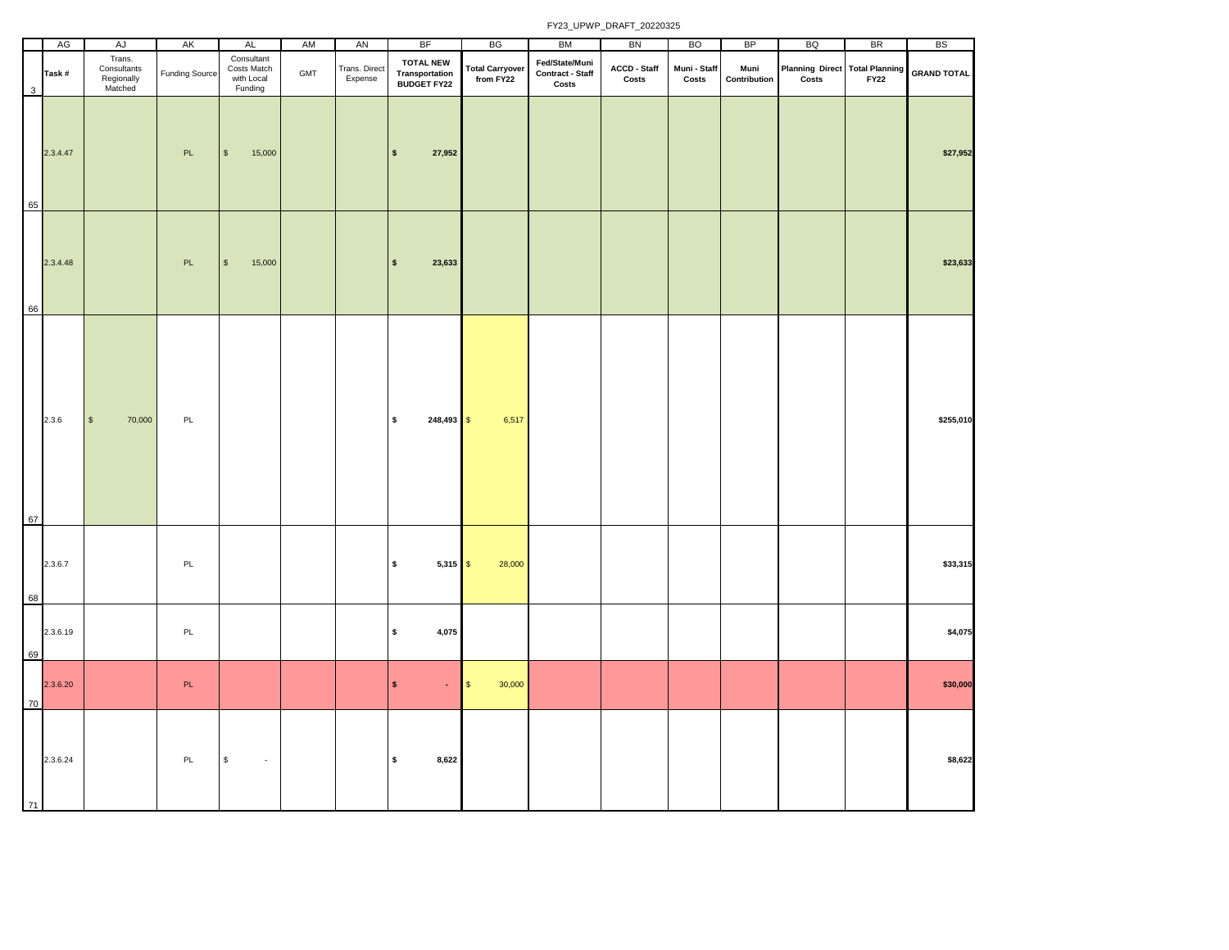|    | AG       | AJ                                             | AK                    | <b>AL</b>                                          | AM  | AN                       | <b>BF</b>                                                | BG                                  | BM                                                 | BN                    | <b>BO</b>             | <b>BP</b>            | BQ                                      | <b>BR</b>   | <b>BS</b>          |
|----|----------|------------------------------------------------|-----------------------|----------------------------------------------------|-----|--------------------------|----------------------------------------------------------|-------------------------------------|----------------------------------------------------|-----------------------|-----------------------|----------------------|-----------------------------------------|-------------|--------------------|
| 3  | Task#    | Trans.<br>Consultants<br>Regionally<br>Matched | <b>Funding Source</b> | Consultant<br>Costs Match<br>with Local<br>Funding | GMT | Trans. Direct<br>Expense | <b>TOTAL NEW</b><br>Transportation<br><b>BUDGET FY22</b> | <b>Total Carryover</b><br>from FY22 | Fed/State/Muni<br><b>Contract - Staff</b><br>Costs | ACCD - Staff<br>Costs | Muni - Staff<br>Costs | Muni<br>Contribution | Planning Direct Total Planning<br>Costs | <b>FY22</b> | <b>GRAND TOTAL</b> |
| 65 | 2.3.4.47 |                                                | PL                    | $$\mathbb{S}$$<br>15,000                           |     |                          | 27,952<br>$\pmb{\mathsf{s}}$                             |                                     |                                                    |                       |                       |                      |                                         |             | \$27,952           |
| 66 | 2.3.4.48 |                                                | $\mathsf{PL}$         | 15,000<br>$$\mathfrak{s}$$                         |     |                          | 23,633<br>$\pmb{\mathsf{s}}$                             |                                     |                                                    |                       |                       |                      |                                         |             | \$23,633           |
| 67 | 2.3.6    | $\mathbb S$<br>70,000                          | PL                    |                                                    |     |                          | \$<br>$248,493$ \$                                       | 6,517                               |                                                    |                       |                       |                      |                                         |             | \$255,010          |
| 68 | 2.3.6.7  |                                                | $\mathsf{PL}$         |                                                    |     |                          | \$<br>$5,315$ \$                                         | 28,000                              |                                                    |                       |                       |                      |                                         |             | \$33,315           |
| 69 | 2.3.6.19 |                                                | PL                    |                                                    |     |                          | $\pmb{\mathsf{s}}$<br>4,075                              |                                     |                                                    |                       |                       |                      |                                         |             | \$4,075            |
| 70 | 2.3.6.20 |                                                | PL                    |                                                    |     |                          | $\pmb{\mathsf{s}}$<br>$\omega$                           | 30,000<br>$\sqrt{3}$                |                                                    |                       |                       |                      |                                         |             | \$30,000           |
| 71 | 2.3.6.24 |                                                | PL                    | $\mathbb S$<br>$\sim$                              |     |                          | $\pmb{\mathsf{s}}$<br>8,622                              |                                     |                                                    |                       |                       |                      |                                         |             | \$8,622            |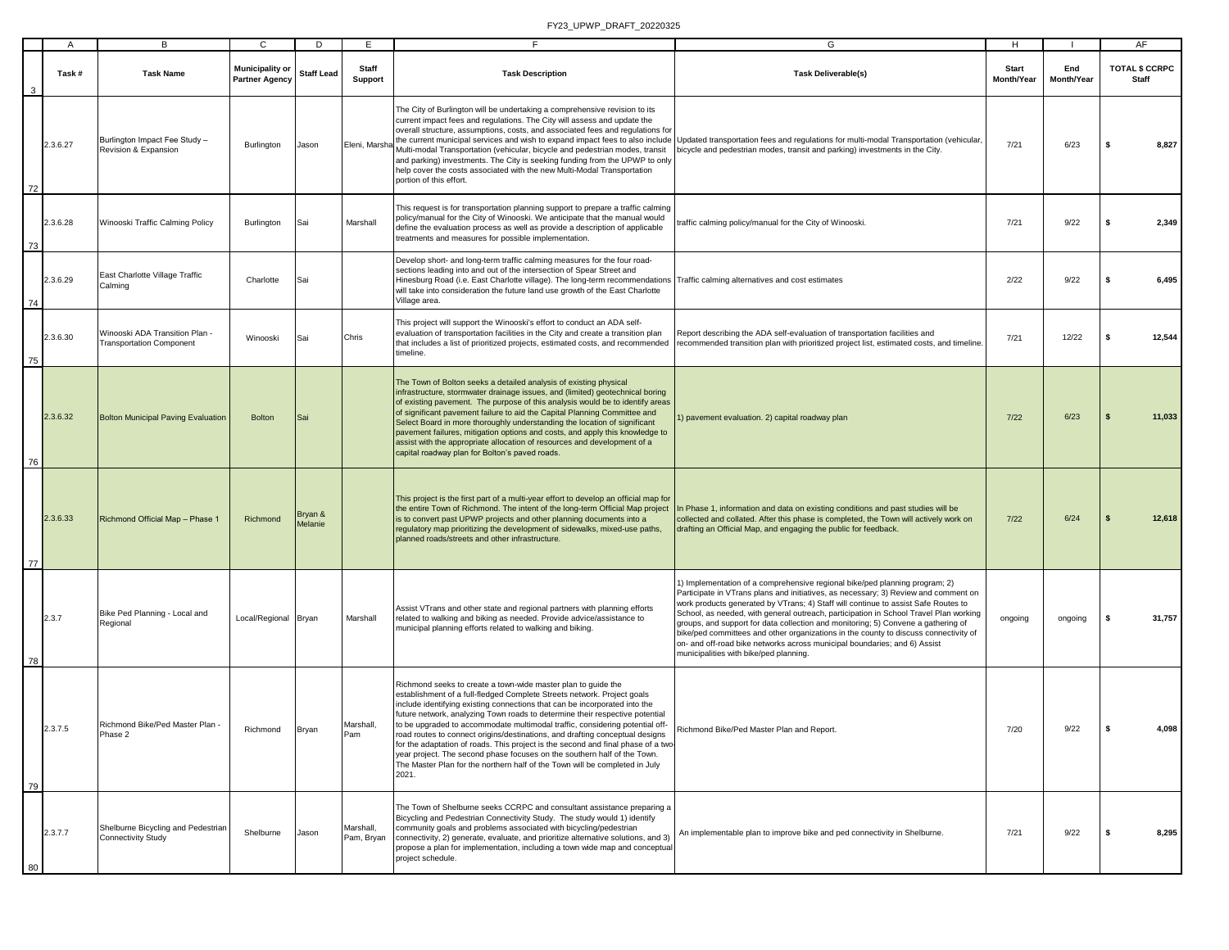|    | $\overline{A}$ | в                                                                 | C                                               | D                  | E                       | F                                                                                                                                                                                                                                                                                                                                                                                                                                                                                                                                                                                                                                                                                                                              | G                                                                                                                                                                                                                                                                                                                                                                                                                                                                                                                                                                                                                                                     | H                          | - 1               | AF                                    |
|----|----------------|-------------------------------------------------------------------|-------------------------------------------------|--------------------|-------------------------|--------------------------------------------------------------------------------------------------------------------------------------------------------------------------------------------------------------------------------------------------------------------------------------------------------------------------------------------------------------------------------------------------------------------------------------------------------------------------------------------------------------------------------------------------------------------------------------------------------------------------------------------------------------------------------------------------------------------------------|-------------------------------------------------------------------------------------------------------------------------------------------------------------------------------------------------------------------------------------------------------------------------------------------------------------------------------------------------------------------------------------------------------------------------------------------------------------------------------------------------------------------------------------------------------------------------------------------------------------------------------------------------------|----------------------------|-------------------|---------------------------------------|
| 3  | Task#          | <b>Task Name</b>                                                  | <b>Municipality or</b><br><b>Partner Agency</b> | <b>Staff Lead</b>  | <b>Staff</b><br>Support | <b>Task Description</b>                                                                                                                                                                                                                                                                                                                                                                                                                                                                                                                                                                                                                                                                                                        | <b>Task Deliverable(s)</b>                                                                                                                                                                                                                                                                                                                                                                                                                                                                                                                                                                                                                            | <b>Start</b><br>Month/Year | End<br>Month/Year | <b>TOTAL \$ CCRPC</b><br><b>Staff</b> |
| 72 | 2.3.6.27       | Burlington Impact Fee Study -<br>Revision & Expansion             | Burlington                                      | Jason              | Eleni, Marsha           | The City of Burlington will be undertaking a comprehensive revision to its<br>current impact fees and regulations. The City will assess and update the<br>overall structure, assumptions, costs, and associated fees and regulations for<br>Multi-modal Transportation (vehicular, bicycle and pedestrian modes, transit<br>and parking) investments. The City is seeking funding from the UPWP to only<br>help cover the costs associated with the new Multi-Modal Transportation<br>portion of this effort.                                                                                                                                                                                                                  | the current municipal services and wish to expand impact fees to also include Updated transportation fees and regulations for multi-modal Transportation (vehicular,<br>bicycle and pedestrian modes, transit and parking) investments in the City.                                                                                                                                                                                                                                                                                                                                                                                                   | 7/21                       | 6/23              | 8,827<br>s                            |
| 73 | 2.3.6.28       | Winooski Traffic Calming Policy                                   | Burlington                                      | Sai                | Marshall                | This request is for transportation planning support to prepare a traffic calming<br>policy/manual for the City of Winooski. We anticipate that the manual would<br>define the evaluation process as well as provide a description of applicable<br>treatments and measures for possible implementation.                                                                                                                                                                                                                                                                                                                                                                                                                        | raffic calming policy/manual for the City of Winooski.                                                                                                                                                                                                                                                                                                                                                                                                                                                                                                                                                                                                | 7/21                       | 9/22              | 2,349<br>s                            |
| 74 | 2.3.6.29       | East Charlotte Village Traffic<br>Calming                         | Charlotte                                       | Sai                |                         | Develop short- and long-term traffic calming measures for the four road-<br>sections leading into and out of the intersection of Spear Street and<br>Hinesburg Road (i.e. East Charlotte village). The long-term recommendations<br>will take into consideration the future land use growth of the East Charlotte<br>Village area.                                                                                                                                                                                                                                                                                                                                                                                             | Traffic calming alternatives and cost estimates                                                                                                                                                                                                                                                                                                                                                                                                                                                                                                                                                                                                       | 2/22                       | 9/22              | 6,495<br>\$                           |
| 75 | 2.3.6.30       | Winooski ADA Transition Plan -<br><b>Transportation Component</b> | Winooski                                        | Sai                | Chris                   | This project will support the Winooski's effort to conduct an ADA self-<br>evaluation of transportation facilities in the City and create a transition plan<br>that includes a list of prioritized projects, estimated costs, and recommended<br>timeline.                                                                                                                                                                                                                                                                                                                                                                                                                                                                     | Report describing the ADA self-evaluation of transportation facilities and<br>recommended transition plan with prioritized project list, estimated costs, and timeline.                                                                                                                                                                                                                                                                                                                                                                                                                                                                               | 7/21                       | 12/22             | 12,544<br>s                           |
| 76 | 2.3.6.32       | <b>Bolton Municipal Paving Evaluation</b>                         | <b>Bolton</b>                                   | Sai                |                         | The Town of Bolton seeks a detailed analysis of existing physical<br>infrastructure, stormwater drainage issues, and (limited) geotechnical boring<br>of existing pavement. The purpose of this analysis would be to identify areas<br>of significant pavement failure to aid the Capital Planning Committee and<br>Select Board in more thoroughly understanding the location of significant<br>pavement failures, mitigation options and costs, and apply this knowledge to<br>assist with the appropriate allocation of resources and development of a<br>capital roadway plan for Bolton's paved roads.                                                                                                                    | ) pavement evaluation. 2) capital roadway plan                                                                                                                                                                                                                                                                                                                                                                                                                                                                                                                                                                                                        | $7/22$                     | 6/23              | 11,033<br>-S                          |
| 77 | 2.3.6.33       | Richmond Official Map - Phase 1                                   | Richmond                                        | Bryan &<br>Melanie |                         | This project is the first part of a multi-year effort to develop an official map for<br>the entire Town of Richmond. The intent of the long-term Official Map project<br>is to convert past UPWP projects and other planning documents into a<br>regulatory map prioritizing the development of sidewalks, mixed-use paths,<br>planned roads/streets and other infrastructure.                                                                                                                                                                                                                                                                                                                                                 | In Phase 1, information and data on existing conditions and past studies will be<br>collected and collated. After this phase is completed, the Town will actively work on<br>drafting an Official Map, and engaging the public for feedback.                                                                                                                                                                                                                                                                                                                                                                                                          | 7/22                       | 6/24              | 12,618                                |
| 78 | 2.3.7          | Bike Ped Planning - Local and<br>Regional                         | Local/Regional Bryan                            |                    | Marshall                | Assist VTrans and other state and regional partners with planning efforts<br>related to walking and biking as needed. Provide advice/assistance to<br>municipal planning efforts related to walking and biking.                                                                                                                                                                                                                                                                                                                                                                                                                                                                                                                | 1) Implementation of a comprehensive regional bike/ped planning program; 2)<br>Participate in VTrans plans and initiatives, as necessary; 3) Review and comment on<br>work products generated by VTrans; 4) Staff will continue to assist Safe Routes to<br>School, as needed, with general outreach, participation in School Travel Plan working<br>groups, and support for data collection and monitoring; 5) Convene a gathering of<br>bike/ped committees and other organizations in the county to discuss connectivity of<br>on- and off-road bike networks across municipal boundaries; and 6) Assist<br>municipalities with bike/ped planning. | ongoing                    | ongoing           | 31,757<br>s                           |
| 79 | 2.3.7.5        | Richmond Bike/Ped Master Plan -<br>hase 2                         | Richmond                                        | Bryan              | Marshall,               | Richmond seeks to create a town-wide master plan to guide the<br>establishment of a full-fledged Complete Streets network. Project goals<br>include identifying existing connections that can be incorporated into the<br>future network, analyzing Town roads to determine their respective potential<br>to be upgraded to accommodate multimodal traffic, considering potential off-<br>oad routes to connect origins/destinations, and drafting conceptual designs<br>for the adaptation of roads. This project is the second and final phase of a two-<br>year project. The second phase focuses on the southern half of the Town.<br>The Master Plan for the northern half of the Town will be completed in July<br>2021. | Richmond Bike/Ped Master Plan and Report.                                                                                                                                                                                                                                                                                                                                                                                                                                                                                                                                                                                                             | 7/20                       | 9/22              | 4,098<br>-S                           |
| 80 | 2.3.7.7        | Shelburne Bicycling and Pedestrian<br><b>Connectivity Study</b>   | Shelburne                                       | Jason              | Marshall,<br>Pam, Bryan | The Town of Shelburne seeks CCRPC and consultant assistance preparing a<br>Bicycling and Pedestrian Connectivity Study. The study would 1) identify<br>community goals and problems associated with bicycling/pedestrian<br>connectivity, 2) generate, evaluate, and prioritize alternative solutions, and 3)<br>propose a plan for implementation, including a town wide map and conceptua<br>project schedule.                                                                                                                                                                                                                                                                                                               | An implementable plan to improve bike and ped connectivity in Shelburne.                                                                                                                                                                                                                                                                                                                                                                                                                                                                                                                                                                              | 7/21                       | 9/22              | 8,295<br>S                            |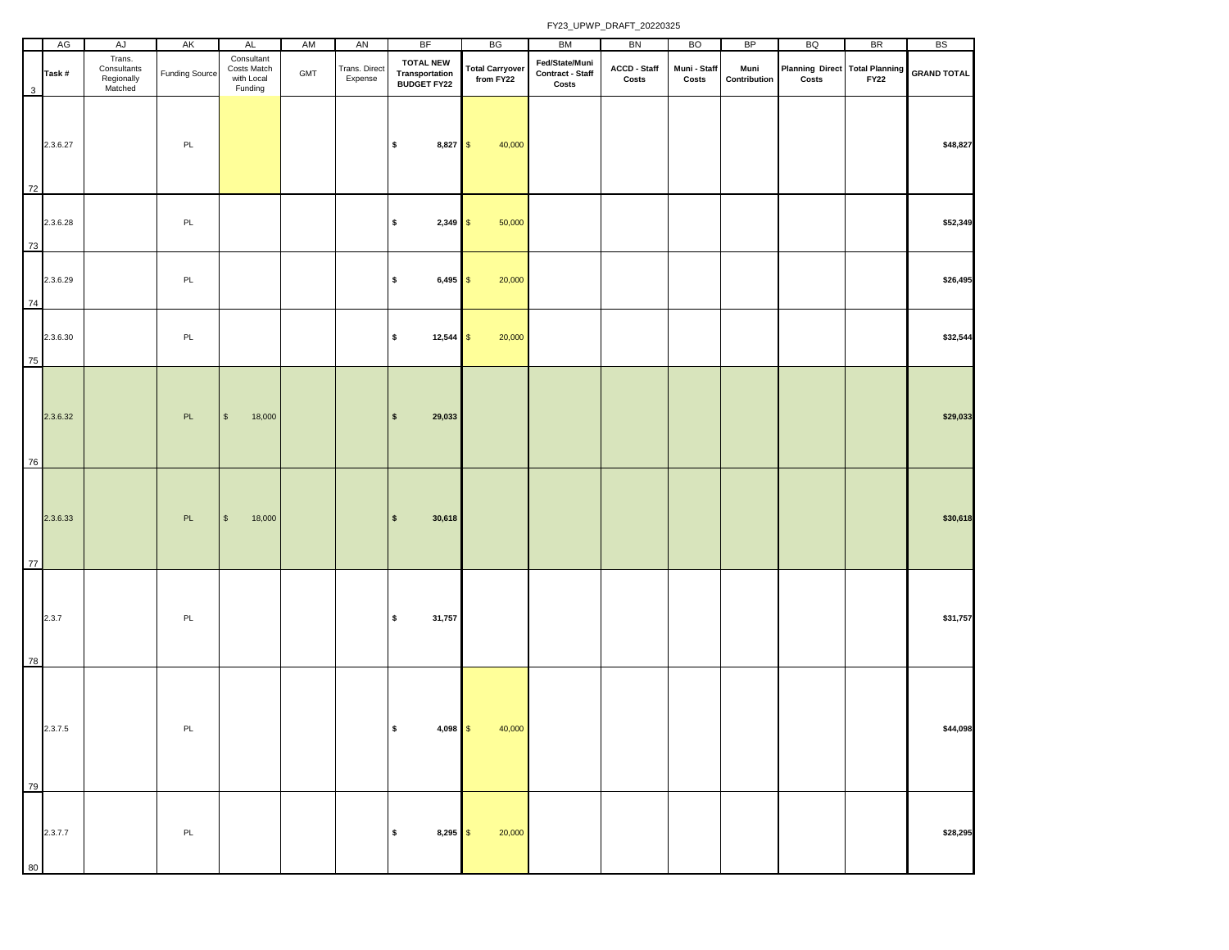|    | AG       | AJ                                             | AK                    | AL                                                 | AM  | AN                       | <b>BF</b>                                                 | BG                                  | BM                                          | BN                    | <b>BO</b>             | BP                   | BQ                                                 | <b>BR</b>   | <b>BS</b>          |
|----|----------|------------------------------------------------|-----------------------|----------------------------------------------------|-----|--------------------------|-----------------------------------------------------------|-------------------------------------|---------------------------------------------|-----------------------|-----------------------|----------------------|----------------------------------------------------|-------------|--------------------|
| 3  | Task#    | Trans.<br>Consultants<br>Regionally<br>Matched | <b>Funding Source</b> | Consultant<br>Costs Match<br>with Local<br>Funding | GMT | Trans. Direct<br>Expense | <b>TOTAL NEW</b><br><b>Transportation<br/>BUDGET FY22</b> | <b>Total Carryover</b><br>from FY22 | Fed/State/Muni<br>Contract - Staff<br>Costs | ACCD - Staff<br>Costs | Muni - Staff<br>Costs | Muni<br>Contribution | Planning Direct Total Planning<br>$\mathsf{Costs}$ | <b>FY22</b> | <b>GRAND TOTAL</b> |
| 72 | 2.3.6.27 |                                                | PL                    |                                                    |     |                          | \$<br>$8,827$ \$                                          | 40,000                              |                                             |                       |                       |                      |                                                    |             | \$48,827           |
| 73 | 2.3.6.28 |                                                | PL                    |                                                    |     |                          | \$<br>$2,349$ \$                                          | 50,000                              |                                             |                       |                       |                      |                                                    |             | \$52,349           |
| 74 | 2.3.6.29 |                                                | PL                    |                                                    |     |                          | \$<br>$6,495$ \$                                          | 20,000                              |                                             |                       |                       |                      |                                                    |             | \$26,495           |
| 75 | 2.3.6.30 |                                                | PL                    |                                                    |     |                          | \$<br>$12,544$ \$                                         | 20,000                              |                                             |                       |                       |                      |                                                    |             | \$32,544           |
| 76 | 2.3.6.32 |                                                | PL                    | $$\mathfrak{S}$$<br>18,000                         |     |                          | 29,033<br>$\mathsf{s}$                                    |                                     |                                             |                       |                       |                      |                                                    |             | \$29,033           |
| 77 | 2.3.6.33 |                                                | PL                    | $$\mathfrak{s}$$<br>18,000                         |     |                          | 30,618<br>$\mathsf{s}$                                    |                                     |                                             |                       |                       |                      |                                                    |             | \$30,618           |
| 78 | 2.3.7    |                                                | PL                    |                                                    |     |                          | \$<br>31,757                                              |                                     |                                             |                       |                       |                      |                                                    |             | \$31,757           |
| 79 | 2.3.7.5  |                                                | PL                    |                                                    |     |                          | $\sqrt{2}$<br>$4,098$ \$                                  | 40,000                              |                                             |                       |                       |                      |                                                    |             | \$44,098           |
| 80 | 2.3.7.7  |                                                | PL                    |                                                    |     |                          | \$<br>$8,295$ \$                                          | 20,000                              |                                             |                       |                       |                      |                                                    |             | \$28,295           |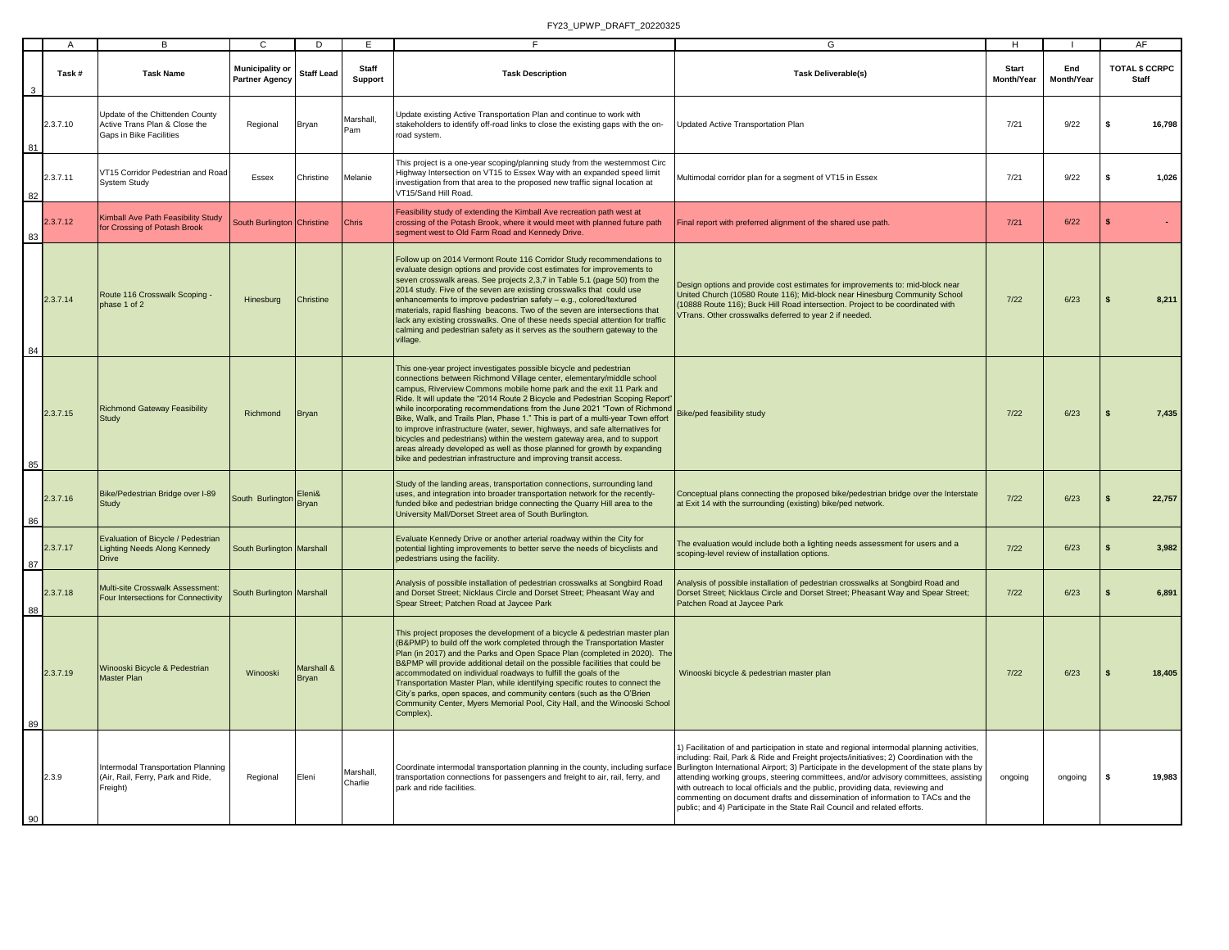|    | A        | В                                                                                           | $\mathsf{C}$                                    | D                          | E                    | F.                                                                                                                                                                                                                                                                                                                                                                                                                                                                                                                                                                                                                                                                                                                                                                              | G                                                                                                                                                                                                                                                                                                                                                                                                                                                                                                                                                                                                                                                                                                          | н                          |                   | AF                             |
|----|----------|---------------------------------------------------------------------------------------------|-------------------------------------------------|----------------------------|----------------------|---------------------------------------------------------------------------------------------------------------------------------------------------------------------------------------------------------------------------------------------------------------------------------------------------------------------------------------------------------------------------------------------------------------------------------------------------------------------------------------------------------------------------------------------------------------------------------------------------------------------------------------------------------------------------------------------------------------------------------------------------------------------------------|------------------------------------------------------------------------------------------------------------------------------------------------------------------------------------------------------------------------------------------------------------------------------------------------------------------------------------------------------------------------------------------------------------------------------------------------------------------------------------------------------------------------------------------------------------------------------------------------------------------------------------------------------------------------------------------------------------|----------------------------|-------------------|--------------------------------|
|    | Task#    | <b>Task Name</b>                                                                            | <b>Municipality or</b><br><b>Partner Agency</b> | <b>Staff Lead</b>          | Staff<br>Support     | <b>Task Description</b>                                                                                                                                                                                                                                                                                                                                                                                                                                                                                                                                                                                                                                                                                                                                                         | <b>Task Deliverable(s)</b>                                                                                                                                                                                                                                                                                                                                                                                                                                                                                                                                                                                                                                                                                 | <b>Start</b><br>Month/Year | End<br>Month/Year | TOTAL \$ CCRPC<br><b>Staff</b> |
| 81 | 2.3.7.10 | Update of the Chittenden County<br>Active Trans Plan & Close the<br>Gaps in Bike Facilities | Regional                                        | Bryan                      | Marshall,<br>Pam     | Update existing Active Transportation Plan and continue to work with<br>stakeholders to identify off-road links to close the existing gaps with the on-<br>road system.                                                                                                                                                                                                                                                                                                                                                                                                                                                                                                                                                                                                         | Jpdated Active Transportation Plan                                                                                                                                                                                                                                                                                                                                                                                                                                                                                                                                                                                                                                                                         | 7/21                       | 9/22              | \$<br>16,798                   |
| 82 | 2.3.7.11 | VT15 Corridor Pedestrian and Road<br><b>System Study</b>                                    | Essex                                           | Christine                  | Melanie              | This project is a one-year scoping/planning study from the westernmost Circ<br>Highway Intersection on VT15 to Essex Way with an expanded speed limit<br>investigation from that area to the proposed new traffic signal location at<br>VT15/Sand Hill Road.                                                                                                                                                                                                                                                                                                                                                                                                                                                                                                                    | Multimodal corridor plan for a segment of VT15 in Essex                                                                                                                                                                                                                                                                                                                                                                                                                                                                                                                                                                                                                                                    | 7/21                       | 9/22              | \$<br>1,026                    |
| 83 | 2.3.7.12 | Kimball Ave Path Feasibility Study<br>for Crossing of Potash Brook                          | South Burlington Christine                      |                            | Chris                | Feasibility study of extending the Kimball Ave recreation path west at<br>crossing of the Potash Brook, where it would meet with planned future path<br>segment west to Old Farm Road and Kennedy Drive.                                                                                                                                                                                                                                                                                                                                                                                                                                                                                                                                                                        | Final report with preferred alignment of the shared use path.                                                                                                                                                                                                                                                                                                                                                                                                                                                                                                                                                                                                                                              | 7/21                       | 6/22              | \$                             |
| 84 | 2.3.7.14 | Route 116 Crosswalk Scoping -<br>phase 1 of 2                                               | Hinesburg                                       | Christine                  |                      | Follow up on 2014 Vermont Route 116 Corridor Study recommendations to<br>evaluate design options and provide cost estimates for improvements to<br>seven crosswalk areas. See projects 2,3,7 in Table 5.1 (page 50) from the<br>2014 study. Five of the seven are existing crosswalks that could use<br>enhancements to improve pedestrian safety - e.g., colored/textured<br>materials, rapid flashing beacons. Two of the seven are intersections that<br>lack any existing crosswalks. One of these needs special attention for traffic<br>calming and pedestrian safety as it serves as the southern gateway to the<br>village.                                                                                                                                             | Design options and provide cost estimates for improvements to: mid-block near<br>United Church (10580 Route 116); Mid-block near Hinesburg Community School<br>10888 Route 116); Buck Hill Road intersection. Project to be coordinated with<br>/Trans. Other crosswalks deferred to year 2 if needed.                                                                                                                                                                                                                                                                                                                                                                                                     | $7/22$                     | 6/23              | 8,211<br>$\mathbf{s}$          |
| 85 | 2.3.7.15 | <b>Richmond Gateway Feasibility</b><br>Study                                                | Richmond                                        | Bryan                      |                      | This one-year project investigates possible bicycle and pedestrian<br>connections between Richmond Village center, elementary/middle school<br>campus, Riverview Commons mobile home park and the exit 11 Park and<br>Ride. It will update the "2014 Route 2 Bicycle and Pedestrian Scoping Report"<br>while incorporating recommendations from the June 2021 "Town of Richmond<br>Bike, Walk, and Trails Plan, Phase 1." This is part of a multi-year Town effort<br>to improve infrastructure (water, sewer, highways, and safe alternatives for<br>bicycles and pedestrians) within the western gateway area, and to support<br>areas already developed as well as those planned for growth by expanding<br>bike and pedestrian infrastructure and improving transit access. | <b>Bike/ped feasibility study</b>                                                                                                                                                                                                                                                                                                                                                                                                                                                                                                                                                                                                                                                                          | 7/22                       | 6/23              | 7,435<br>\$                    |
| 86 | 2.3.7.16 | Bike/Pedestrian Bridge over I-89<br>Study                                                   | South Burlington Bryan                          | Eleni&                     |                      | Study of the landing areas, transportation connections, surrounding land<br>uses, and integration into broader transportation network for the recently-<br>funded bike and pedestrian bridge connecting the Quarry Hill area to the<br>University Mall/Dorset Street area of South Burlington.                                                                                                                                                                                                                                                                                                                                                                                                                                                                                  | Conceptual plans connecting the proposed bike/pedestrian bridge over the Interstate<br>at Exit 14 with the surrounding (existing) bike/ped network.                                                                                                                                                                                                                                                                                                                                                                                                                                                                                                                                                        | $7/22$                     | 6/23              | 22,757                         |
| 87 | 2.3.7.17 | Evaluation of Bicycle / Pedestrian<br><b>Lighting Needs Along Kennedy</b><br>Drive          | South Burlington Marshall                       |                            |                      | Evaluate Kennedy Drive or another arterial roadway within the City for<br>potential lighting improvements to better serve the needs of bicyclists and<br>pedestrians using the facility.                                                                                                                                                                                                                                                                                                                                                                                                                                                                                                                                                                                        | The evaluation would include both a lighting needs assessment for users and a<br>scoping-level review of installation options.                                                                                                                                                                                                                                                                                                                                                                                                                                                                                                                                                                             | $7/22$                     | 6/23              | 3,982<br>$\mathbf{s}$          |
| 88 | 2.3.7.18 | Multi-site Crosswalk Assessment:<br>Four Intersections for Connectivity                     | South Burlington Marshall                       |                            |                      | Analysis of possible installation of pedestrian crosswalks at Songbird Road<br>and Dorset Street; Nicklaus Circle and Dorset Street; Pheasant Way and<br>Spear Street; Patchen Road at Jaycee Park                                                                                                                                                                                                                                                                                                                                                                                                                                                                                                                                                                              | Analysis of possible installation of pedestrian crosswalks at Songbird Road and<br>Dorset Street; Nicklaus Circle and Dorset Street; Pheasant Way and Spear Street;<br>Patchen Road at Jaycee Park                                                                                                                                                                                                                                                                                                                                                                                                                                                                                                         | $7/22$                     | 6/23              | 6,891<br>\$                    |
| 89 | 2.3.7.19 | Winooski Bicycle & Pedestrian<br>Master Plan                                                | Winooski                                        | Marshall &<br><b>Bryan</b> |                      | This project proposes the development of a bicycle & pedestrian master plan<br>(B&PMP) to build off the work completed through the Transportation Master<br>Plan (in 2017) and the Parks and Open Space Plan (completed in 2020). The<br>B&PMP will provide additional detail on the possible facilities that could be<br>accommodated on individual roadways to fulfill the goals of the<br>Transportation Master Plan, while identifying specific routes to connect the<br>City's parks, open spaces, and community centers (such as the O'Brien<br>Community Center, Myers Memorial Pool, City Hall, and the Winooski School<br>Complex).                                                                                                                                    | Winooski bicycle & pedestrian master plan                                                                                                                                                                                                                                                                                                                                                                                                                                                                                                                                                                                                                                                                  | 7/22                       | 6/23              | 18,405<br>$\mathbf{s}$         |
| 90 | 2.3.9    | Intermodal Transportation Planning<br>(Air, Rail, Ferry, Park and Ride,<br>Freight)         | Regional                                        | Eleni                      | Marshall,<br>Charlie | transportation connections for passengers and freight to air, rail, ferry, and<br>park and ride facilities.                                                                                                                                                                                                                                                                                                                                                                                                                                                                                                                                                                                                                                                                     | 1) Facilitation of and participation in state and regional intermodal planning activities,<br>including: Rail, Park & Ride and Freight projects/initiatives; 2) Coordination with the<br>Coordinate intermodal transportation planning in the county, including surface Burlington International Airport; 3) Participate in the development of the state plans by<br>attending working groups, steering committees, and/or advisory committees, assisting<br>with outreach to local officials and the public, providing data, reviewing and<br>commenting on document drafts and dissemination of information to TACs and the<br>public; and 4) Participate in the State Rail Council and related efforts. | ongoing                    | ongoing           | 19,983<br>s                    |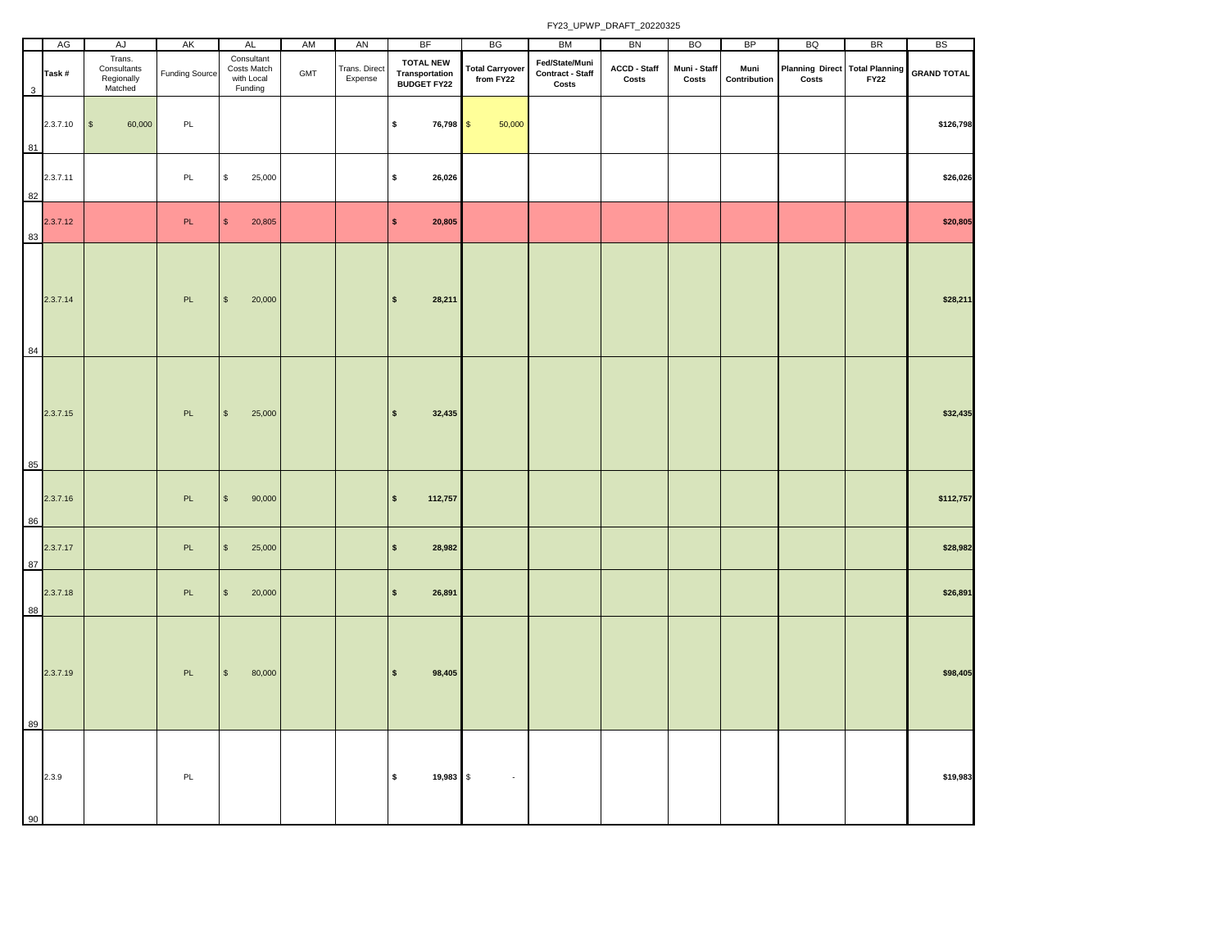|    | AG       | AJ                                             | AK                    | <b>AL</b>                                          | AM  | AN                       | <b>BF</b>                                                | BG                                  | BM                                          | BN                    | <b>BO</b>             | BP                   | BQ                                             | <b>BR</b>   | BS                 |
|----|----------|------------------------------------------------|-----------------------|----------------------------------------------------|-----|--------------------------|----------------------------------------------------------|-------------------------------------|---------------------------------------------|-----------------------|-----------------------|----------------------|------------------------------------------------|-------------|--------------------|
| 3  | Task#    | Trans.<br>Consultants<br>Regionally<br>Matched | <b>Funding Source</b> | Consultant<br>Costs Match<br>with Local<br>Funding | GMT | Trans. Direct<br>Expense | <b>TOTAL NEW</b><br>Transportation<br><b>BUDGET FY22</b> | <b>Total Carryover</b><br>from FY22 | Fed/State/Muni<br>Contract - Staff<br>Costs | ACCD - Staff<br>Costs | Muni - Staff<br>Costs | Muni<br>Contribution | <b>Planning Direct Total Planning</b><br>Costs | <b>FY22</b> | <b>GRAND TOTAL</b> |
| 81 | 2.3.7.10 | 60,000<br>$\mathbb{S}$                         | PL                    |                                                    |     |                          | \$<br>76,798 \$                                          | 50,000                              |                                             |                       |                       |                      |                                                |             | \$126,798          |
| 82 | 2.3.7.11 |                                                | PL                    | \$<br>25,000                                       |     |                          | $\pmb{\mathsf{s}}$<br>26,026                             |                                     |                                             |                       |                       |                      |                                                |             | \$26,026           |
| 83 | 2.3.7.12 |                                                | PL                    | $\mathbb S$<br>20,805                              |     |                          | \$<br>20,805                                             |                                     |                                             |                       |                       |                      |                                                |             | \$20,805           |
| 84 | 2.3.7.14 |                                                | PL                    | $\mathbb{S}$<br>20,000                             |     |                          | $\mathbf{s}$<br>28,211                                   |                                     |                                             |                       |                       |                      |                                                |             | \$28,211           |
| 85 | 2.3.7.15 |                                                | PL                    | 25,000<br>$\mathbb{S}$                             |     |                          | 32,435<br>$\mathbf{s}$                                   |                                     |                                             |                       |                       |                      |                                                |             | \$32,435           |
| 86 | 2.3.7.16 |                                                | PL.                   | $\mathbb S$<br>90,000                              |     |                          | 112,757<br>$\mathbf{s}$                                  |                                     |                                             |                       |                       |                      |                                                |             | \$112,757          |
| 87 | 2.3.7.17 |                                                | PL                    | $\mathbb{S}$<br>25,000                             |     |                          | 28,982<br>$\mathsf{s}$                                   |                                     |                                             |                       |                       |                      |                                                |             | \$28,982           |
| 88 | 2.3.7.18 |                                                | PL.                   | $$\mathbb{S}$$<br>20,000                           |     |                          | $\pmb{\mathsf{s}}$<br>26,891                             |                                     |                                             |                       |                       |                      |                                                |             | \$26,891           |
| 89 | 2.3.7.19 |                                                | PL                    | $\mathbb S$<br>80,000                              |     |                          | 98,405<br>\$                                             |                                     |                                             |                       |                       |                      |                                                |             | \$98,405           |
| 90 | 2.3.9    |                                                | PL.                   |                                                    |     |                          | $\mathsf{s}$<br>19,983 \$                                | $\mathcal{L}$                       |                                             |                       |                       |                      |                                                |             | \$19,983           |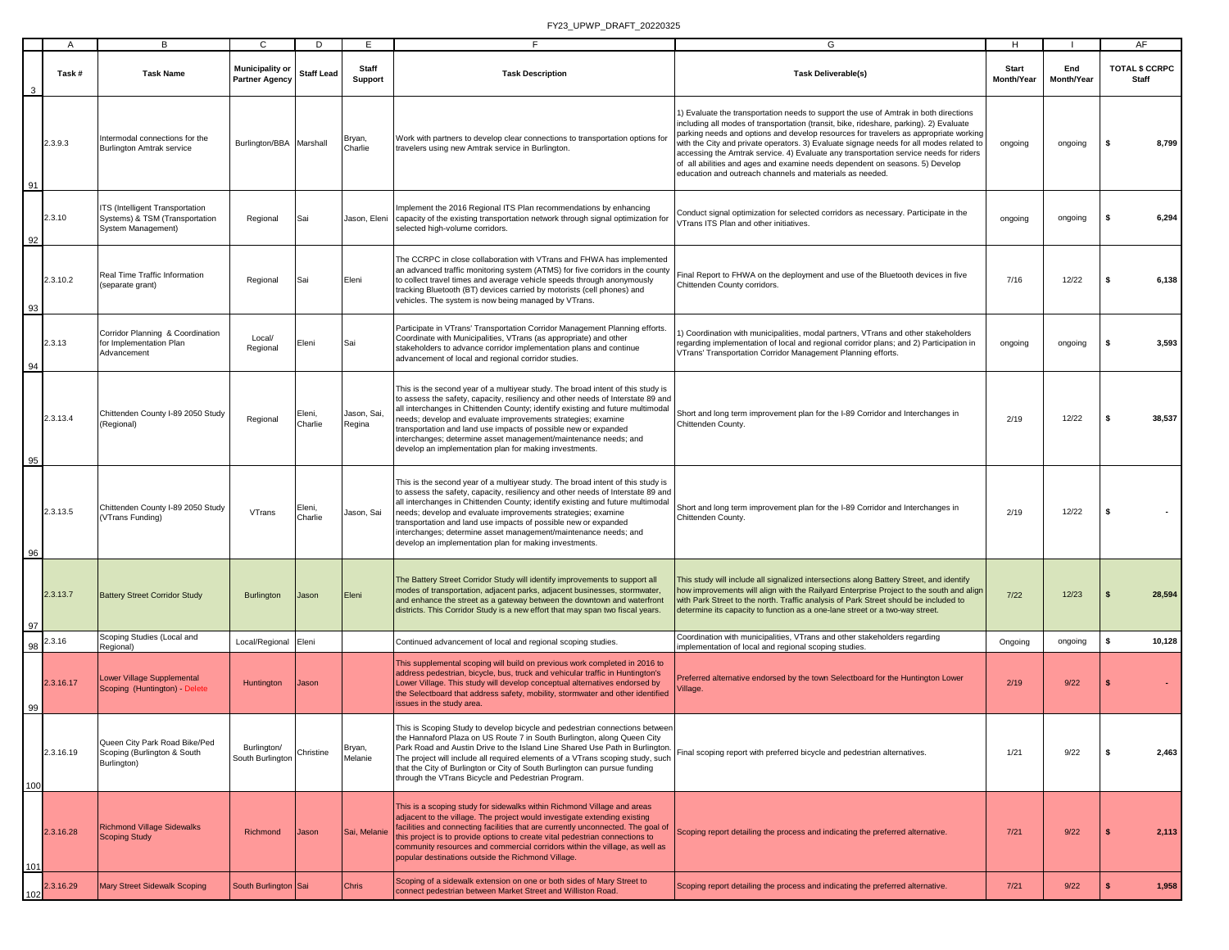|     | $\mathsf{A}$ | B                                                                                       | C                                               | D                 | E.                    | F.                                                                                                                                                                                                                                                                                                                                                                                                                                                                                                                   | G                                                                                                                                                                                                                                                                                                                                                                                                                                                                                                                                                                                                      | H                          | - 1               | AF                                    |
|-----|--------------|-----------------------------------------------------------------------------------------|-------------------------------------------------|-------------------|-----------------------|----------------------------------------------------------------------------------------------------------------------------------------------------------------------------------------------------------------------------------------------------------------------------------------------------------------------------------------------------------------------------------------------------------------------------------------------------------------------------------------------------------------------|--------------------------------------------------------------------------------------------------------------------------------------------------------------------------------------------------------------------------------------------------------------------------------------------------------------------------------------------------------------------------------------------------------------------------------------------------------------------------------------------------------------------------------------------------------------------------------------------------------|----------------------------|-------------------|---------------------------------------|
|     | Task #       | <b>Task Name</b>                                                                        | <b>Municipality or</b><br><b>Partner Agency</b> | <b>Staff Lead</b> | Staff<br>Support      | <b>Task Description</b>                                                                                                                                                                                                                                                                                                                                                                                                                                                                                              | <b>Task Deliverable(s)</b>                                                                                                                                                                                                                                                                                                                                                                                                                                                                                                                                                                             | <b>Start</b><br>Month/Year | End<br>Month/Year | <b>TOTAL \$ CCRPC</b><br><b>Staff</b> |
| 91  | 2.3.9.3      | Intermodal connections for the<br><b>Burlington Amtrak service</b>                      | Burlington/BBA Marshall                         |                   | Bryan,<br>Charlie     | Work with partners to develop clear connections to transportation options for<br>travelers using new Amtrak service in Burlington.                                                                                                                                                                                                                                                                                                                                                                                   | 1) Evaluate the transportation needs to support the use of Amtrak in both directions<br>including all modes of transportation (transit, bike, rideshare, parking). 2) Evaluate<br>parking needs and options and develop resources for travelers as appropriate working<br>with the City and private operators. 3) Evaluate signage needs for all modes related to<br>accessing the Amtrak service. 4) Evaluate any transportation service needs for riders<br>of all abilities and ages and examine needs dependent on seasons. 5) Develop<br>education and outreach channels and materials as needed. | ongoing                    | ongoing           | -S<br>8,799                           |
| 92  | 2.3.10       | ITS (Intelligent Transportation<br>Systems) & TSM (Transportation<br>System Management) | Regional                                        | Sai               | Jason, Eleni          | mplement the 2016 Regional ITS Plan recommendations by enhancing<br>capacity of the existing transportation network through signal optimization for<br>selected high-volume corridors.                                                                                                                                                                                                                                                                                                                               | Conduct signal optimization for selected corridors as necessary. Participate in the<br>/Trans ITS Plan and other initiatives.                                                                                                                                                                                                                                                                                                                                                                                                                                                                          | ongoing                    | ongoing           | 6,294<br>s                            |
| 93  | 2.3.10.2     | Real Time Traffic Information<br>(separate grant)                                       | Regional                                        | Sai               | Eleni                 | The CCRPC in close collaboration with VTrans and FHWA has implemented<br>an advanced traffic monitoring system (ATMS) for five corridors in the county<br>to collect travel times and average vehicle speeds through anonymously<br>tracking Bluetooth (BT) devices carried by motorists (cell phones) and<br>vehicles. The system is now being managed by VTrans.                                                                                                                                                   | Final Report to FHWA on the deployment and use of the Bluetooth devices in five<br>Chittenden County corridors.                                                                                                                                                                                                                                                                                                                                                                                                                                                                                        | 7/16                       | 12/22             | 6,138                                 |
| 94  | 2.3.13       | Corridor Planning & Coordination<br>for Implementation Plan<br>Advancement              | Local/<br>Regional                              | Eleni             | Sai                   | Participate in VTrans' Transportation Corridor Management Planning efforts.<br>Coordinate with Municipalities, VTrans (as appropriate) and other<br>stakeholders to advance corridor implementation plans and continue<br>advancement of local and regional corridor studies.                                                                                                                                                                                                                                        | ) Coordination with municipalities, modal partners, VTrans and other stakeholders<br>regarding implementation of local and regional corridor plans; and 2) Participation in<br>VTrans' Transportation Corridor Management Planning efforts.                                                                                                                                                                                                                                                                                                                                                            | ongoing                    | ongoing           | 3,593<br>-S                           |
| 95  | 2.3.13.4     | Chittenden County I-89 2050 Study<br>(Regional)                                         | Regional                                        | Eleni,<br>Charlie | Jason, Sai,<br>Regina | This is the second year of a multiyear study. The broad intent of this study is<br>to assess the safety, capacity, resiliency and other needs of Interstate 89 and<br>all interchanges in Chittenden County; identify existing and future multimodal<br>needs; develop and evaluate improvements strategies; examine<br>transportation and land use impacts of possible new or expanded<br>interchanges; determine asset management/maintenance needs; and<br>develop an implementation plan for making investments. | Short and long term improvement plan for the I-89 Corridor and Interchanges in<br>Chittenden County                                                                                                                                                                                                                                                                                                                                                                                                                                                                                                    | 2/19                       | 12/22             | 38,537<br>\$                          |
| 96  | 2.3.13.5     | Chittenden County I-89 2050 Study<br>VTrans Funding)                                    | VTrans                                          | Eleni,<br>Charlie | Jason, Sai            | This is the second year of a multiyear study. The broad intent of this study is<br>to assess the safety, capacity, resiliency and other needs of Interstate 89 and<br>all interchanges in Chittenden County; identify existing and future multimodal<br>needs; develop and evaluate improvements strategies; examine<br>transportation and land use impacts of possible new or expanded<br>interchanges; determine asset management/maintenance needs; and<br>develop an implementation plan for making investments. | Short and long term improvement plan for the I-89 Corridor and Interchanges in<br>Chittenden County                                                                                                                                                                                                                                                                                                                                                                                                                                                                                                    | 2/19                       | 12/22             | - \$                                  |
| 97  | 2.3.13.7     | <b>Battery Street Corridor Study</b>                                                    | <b>Burlington</b>                               | Jason             | Eleni                 | The Battery Street Corridor Study will identify improvements to support all<br>modes of transportation, adjacent parks, adjacent businesses, stormwater,<br>and enhance the street as a gateway between the downtown and waterfront<br>districts. This Corridor Study is a new effort that may span two fiscal years.                                                                                                                                                                                                | This study will include all signalized intersections along Battery Street, and identify<br>how improvements will align with the Railyard Enterprise Project to the south and align<br>with Park Street to the north. Traffic analysis of Park Street should be included to<br>determine its capacity to function as a one-lane street or a two-way street.                                                                                                                                                                                                                                             | $7/22$                     | 12/23             | 28,594                                |
| 98  | 2.3.16       | Scoping Studies (Local and<br>Regional)                                                 | Local/Regional                                  | Eleni             |                       | Continued advancement of local and regional scoping studies.                                                                                                                                                                                                                                                                                                                                                                                                                                                         | Coordination with municipalities, VTrans and other stakeholders regarding<br>implementation of local and regional scoping studies.                                                                                                                                                                                                                                                                                                                                                                                                                                                                     | Ongoing                    | ongoing           | 10,128<br>s.                          |
| 99  | 2.3.16.17    | ower Village Supplemental<br>Scoping (Huntington) - Delete                              | Huntington                                      | Jason             |                       | This supplemental scoping will build on previous work completed in 2016 to<br>address pedestrian, bicycle, bus, truck and vehicular traffic in Huntington's<br>Lower Village. This study will develop conceptual alternatives endorsed by<br>the Selectboard that address safety, mobility, stormwater and other identified<br>issues in the study area.                                                                                                                                                             | referred alternative endorsed by the town Selectboard for the Huntington Lower<br>/illage.                                                                                                                                                                                                                                                                                                                                                                                                                                                                                                             | 2/19                       | 9/22              |                                       |
| 100 | 2.3.16.19    | Queen City Park Road Bike/Ped<br>Scoping (Burlington & South<br>Burlington)             | Burlington/<br>South Burlington                 | Christine         | Bryan,<br>Melanie     | This is Scoping Study to develop bicycle and pedestrian connections between<br>the Hannaford Plaza on US Route 7 in South Burlington, along Queen City<br>Park Road and Austin Drive to the Island Line Shared Use Path in Burlington.<br>The project will include all required elements of a VTrans scoping study, such<br>that the City of Burlington or City of South Burlington can pursue funding<br>through the VTrans Bicycle and Pedestrian Program.                                                         | Final scoping report with preferred bicycle and pedestrian alternatives.                                                                                                                                                                                                                                                                                                                                                                                                                                                                                                                               | 1/21                       | 9/22              | 2,463<br>- \$                         |
| 101 | 2.3.16.28    | <b>Richmond Village Sidewalks</b><br><b>Scoping Study</b>                               | Richmond                                        | Jason             | Sai, Melanie          | This is a scoping study for sidewalks within Richmond Village and areas<br>adjacent to the village. The project would investigate extending existing<br>facilities and connecting facilities that are currently unconnected. The goal of<br>this project is to provide options to create vital pedestrian connections to<br>community resources and commercial corridors within the village, as well as<br>popular destinations outside the Richmond Village.                                                        | Scoping report detailing the process and indicating the preferred alternative.                                                                                                                                                                                                                                                                                                                                                                                                                                                                                                                         | 7/21                       | 9/22              | 2,113                                 |
| 102 | 2.3.16.29    | <b>Mary Street Sidewalk Scoping</b>                                                     | South Burlington Sai                            |                   | Chris                 | Scoping of a sidewalk extension on one or both sides of Mary Street to<br>connect pedestrian between Market Street and Williston Road.                                                                                                                                                                                                                                                                                                                                                                               | Scoping report detailing the process and indicating the preferred alternative.                                                                                                                                                                                                                                                                                                                                                                                                                                                                                                                         | 7/21                       | 9/22              | Ś<br>1,958                            |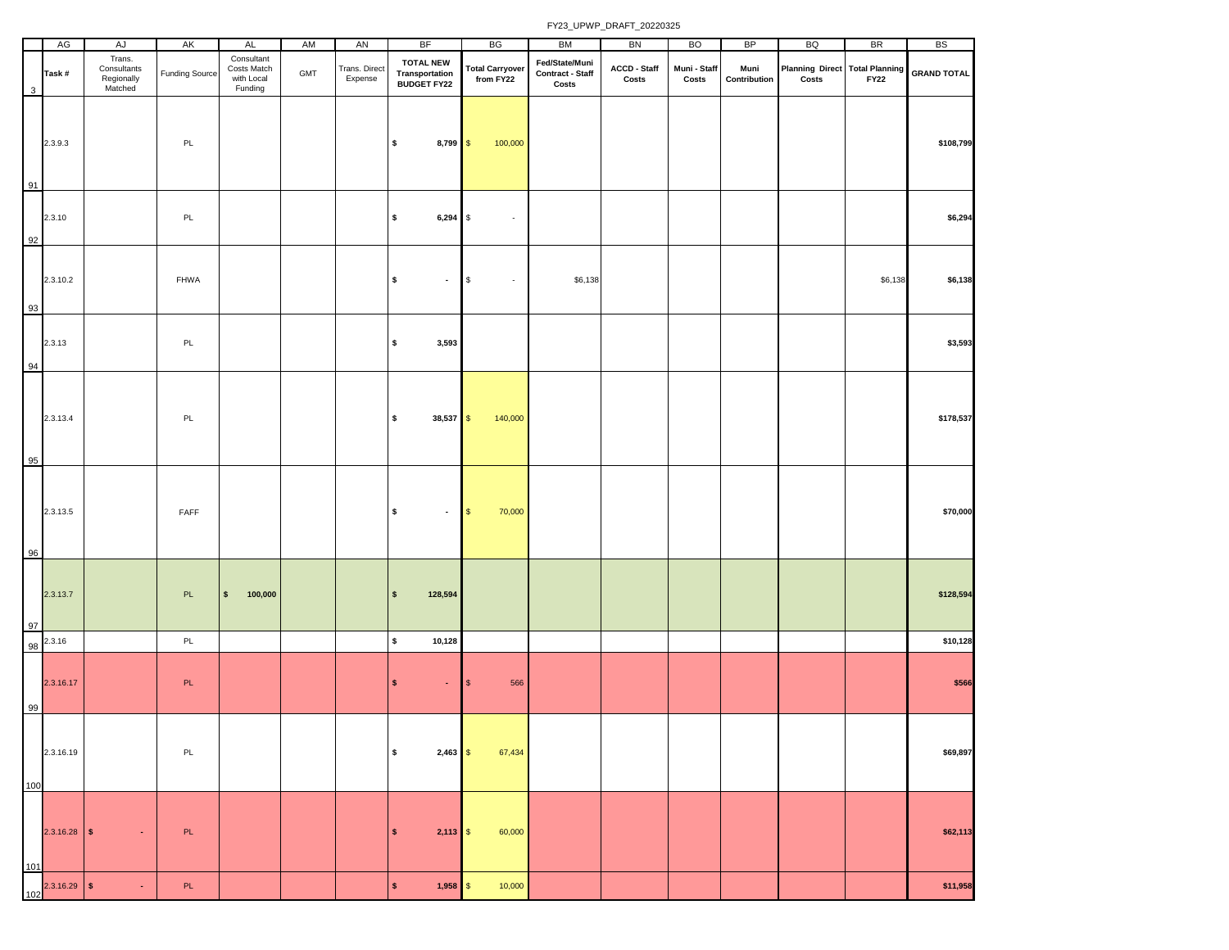|            | AG             | AJ                                             | AK                    | <b>AL</b>                                          | AM  | AN                       | BF                                                        | BG                                  | BM                                          | BN                    | BO                    | <b>BP</b>            | BQ                                                 | <b>BR</b>   | <b>BS</b>          |
|------------|----------------|------------------------------------------------|-----------------------|----------------------------------------------------|-----|--------------------------|-----------------------------------------------------------|-------------------------------------|---------------------------------------------|-----------------------|-----------------------|----------------------|----------------------------------------------------|-------------|--------------------|
| 3          | Task#          | Trans.<br>Consultants<br>Regionally<br>Matched | <b>Funding Source</b> | Consultant<br>Costs Match<br>with Local<br>Funding | GMT | Trans. Direct<br>Expense | <b>TOTAL NEW</b><br><b>Transportation<br/>BUDGET FY22</b> | <b>Total Carryover</b><br>from FY22 | Fed/State/Muni<br>Contract - Staff<br>Costs | ACCD - Staff<br>Costs | Muni - Staff<br>Costs | Muni<br>Contribution | Planning Direct Total Planning<br>$\mathsf{Costs}$ | <b>FY22</b> | <b>GRAND TOTAL</b> |
| 91         | 2.3.9.3        |                                                | PL                    |                                                    |     |                          | $\pmb{\mathsf{s}}$<br>$8,799$ \$                          | 100,000                             |                                             |                       |                       |                      |                                                    |             | \$108,799          |
| 92         | 2.3.10         |                                                | PL                    |                                                    |     |                          | \$<br>$6,294$ \$                                          | $\overline{\phantom{a}}$            |                                             |                       |                       |                      |                                                    |             | \$6,294            |
| 93         | 2.3.10.2       |                                                | FHWA                  |                                                    |     |                          | $\pmb{\mathsf{s}}$<br>$\bullet$                           | <b>\$</b><br>$\sim$                 | \$6,138                                     |                       |                       |                      |                                                    | \$6,138     | \$6,138            |
| 94         | 2.3.13         |                                                | PL                    |                                                    |     |                          | \$<br>3,593                                               |                                     |                                             |                       |                       |                      |                                                    |             | \$3,593            |
|            | 2.3.13.4       |                                                | PL                    |                                                    |     |                          | $\pmb{\mathsf{s}}$<br>38,537 \$                           | 140,000                             |                                             |                       |                       |                      |                                                    |             | \$178,537          |
| 95<br>96   | 2.3.13.5       |                                                | FAFF                  |                                                    |     |                          | $$\mathsf{s}$$<br>$\blacksquare$                          | 70,000<br>$\blacksquare$            |                                             |                       |                       |                      |                                                    |             | \$70,000           |
| 97         | 2.3.13.7       |                                                | PL.                   | 100,000<br>$\sqrt{2}$                              |     |                          | 128,594<br>\$                                             |                                     |                                             |                       |                       |                      |                                                    |             | \$128,594          |
| 98         | 2.3.16         |                                                | PL                    |                                                    |     |                          | $\pmb{\mathsf{s}}$<br>10,128                              |                                     |                                             |                       |                       |                      |                                                    |             | \$10,128           |
| 99         | 2.3.16.17      |                                                | PL.                   |                                                    |     |                          | $\pmb{\mathsf{s}}$<br>$\bullet$                           | 566<br>$\sqrt{3}$                   |                                             |                       |                       |                      |                                                    |             | \$566              |
| 100        | 2.3.16.19      |                                                | $\mathsf{PL}$         |                                                    |     |                          | $\pmb{\mathsf{s}}$<br>$2,463$ \$                          | 67,434                              |                                             |                       |                       |                      |                                                    |             | \$69,897           |
|            | $2.3.16.28$ \$ | $\sim$                                         | PL                    |                                                    |     |                          | $\sqrt{2}$<br>$2,113$ \$                                  | 60,000                              |                                             |                       |                       |                      |                                                    |             | \$62,113           |
| 101<br>102 | $2.3.16.29$ \$ | $\sim$                                         | PL.                   |                                                    |     |                          | $\mathsf{S}$<br>$1,958$ \$                                | 10,000                              |                                             |                       |                       |                      |                                                    |             | \$11,958           |
|            |                |                                                |                       |                                                    |     |                          |                                                           |                                     |                                             |                       |                       |                      |                                                    |             |                    |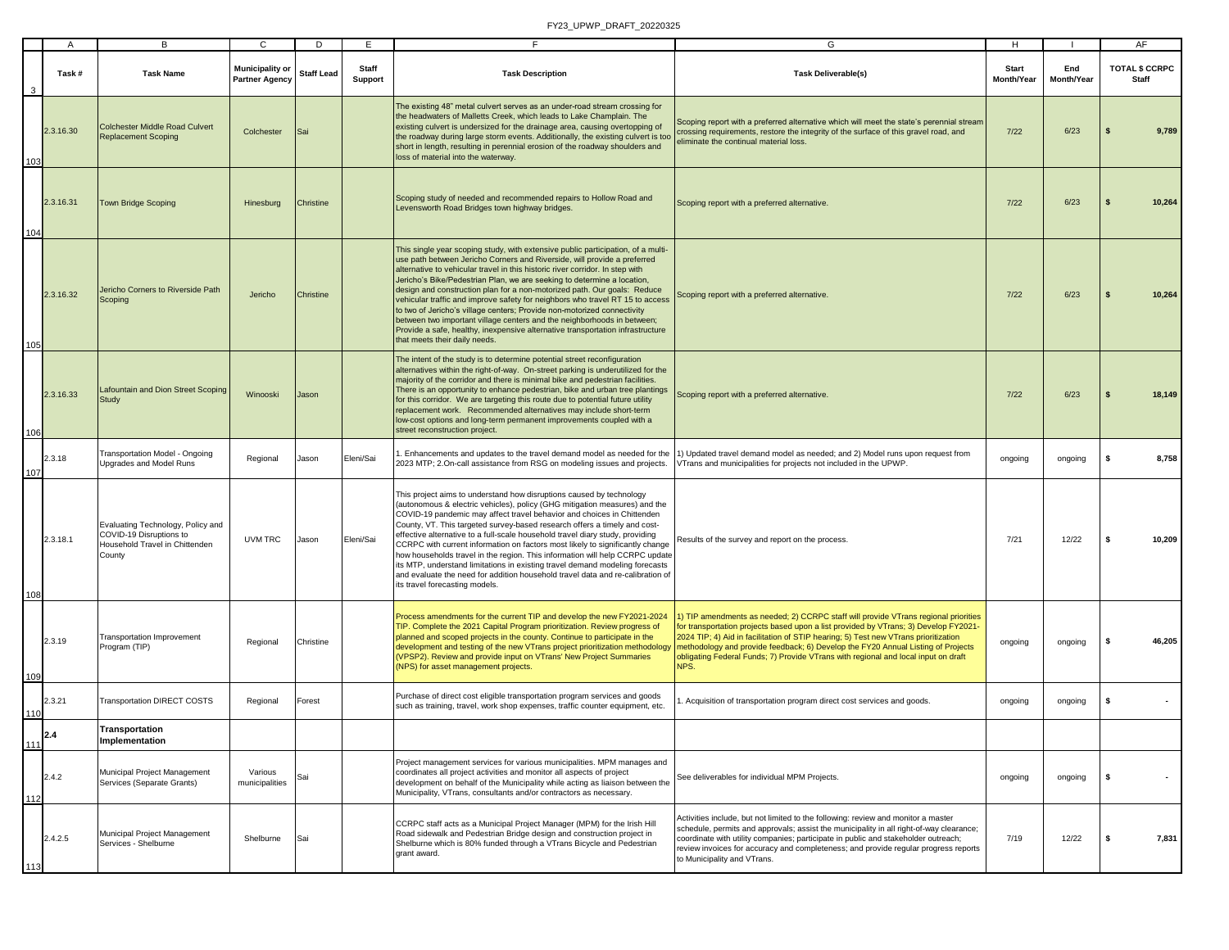|     | A         | В                                                                                                        | C                                               | D                 | E                              | F.                                                                                                                                                                                                                                                                                                                                                                                                                                                                                                                                                                                                                                                                                                                                                              | G                                                                                                                                                                                                                                                                                                                                                                                                                                                    | H                                 |                   | AF                             |
|-----|-----------|----------------------------------------------------------------------------------------------------------|-------------------------------------------------|-------------------|--------------------------------|-----------------------------------------------------------------------------------------------------------------------------------------------------------------------------------------------------------------------------------------------------------------------------------------------------------------------------------------------------------------------------------------------------------------------------------------------------------------------------------------------------------------------------------------------------------------------------------------------------------------------------------------------------------------------------------------------------------------------------------------------------------------|------------------------------------------------------------------------------------------------------------------------------------------------------------------------------------------------------------------------------------------------------------------------------------------------------------------------------------------------------------------------------------------------------------------------------------------------------|-----------------------------------|-------------------|--------------------------------|
| 3   | Task#     | <b>Task Name</b>                                                                                         | <b>Municipality or</b><br><b>Partner Agency</b> | <b>Staff Lead</b> | <b>Staff</b><br><b>Support</b> | <b>Task Description</b>                                                                                                                                                                                                                                                                                                                                                                                                                                                                                                                                                                                                                                                                                                                                         | <b>Task Deliverable(s)</b>                                                                                                                                                                                                                                                                                                                                                                                                                           | <b>Start</b><br><b>Month/Year</b> | End<br>Month/Year | <b>TOTAL \$ CCRPC</b><br>Staff |
| 103 | 2.3.16.30 | <b>Colchester Middle Road Culvert</b><br><b>Replacement Scoping</b>                                      | Colchester                                      | Sai               |                                | The existing 48" metal culvert serves as an under-road stream crossing for<br>the headwaters of Malletts Creek, which leads to Lake Champlain. The<br>existing culvert is undersized for the drainage area, causing overtopping of<br>the roadway during large storm events. Additionally, the existing culvert is too<br>short in length, resulting in perennial erosion of the roadway shoulders and<br>loss of material into the waterway.                                                                                                                                                                                                                                                                                                                   | Scoping report with a preferred alternative which will meet the state's perennial stream<br>crossing requirements, restore the integrity of the surface of this gravel road, and<br>eliminate the continual material loss.                                                                                                                                                                                                                           | $7/22$                            | 6/23              | 9,789                          |
| 104 | 2.3.16.31 | <b>Town Bridge Scoping</b>                                                                               | Hinesburg                                       | Christine         |                                | Scoping study of needed and recommended repairs to Hollow Road and<br>Levensworth Road Bridges town highway bridges.                                                                                                                                                                                                                                                                                                                                                                                                                                                                                                                                                                                                                                            | Scoping report with a preferred alternative.                                                                                                                                                                                                                                                                                                                                                                                                         | 7/22                              | 6/23              | 10,264                         |
| 105 | 2.3.16.32 | Jericho Corners to Riverside Path<br>Scoping                                                             | Jericho                                         | Christine         |                                | This single year scoping study, with extensive public participation, of a multi-<br>use path between Jericho Corners and Riverside, will provide a preferred<br>alternative to vehicular travel in this historic river corridor. In step with<br>Jericho's Bike/Pedestrian Plan, we are seeking to determine a location,<br>design and construction plan for a non-motorized path. Our goals: Reduce<br>vehicular traffic and improve safety for neighbors who travel RT 15 to access<br>to two of Jericho's village centers; Provide non-motorized connectivity<br>between two important village centers and the neighborhoods in between;<br>Provide a safe, healthy, inexpensive alternative transportation infrastructure<br>that meets their daily needs.  | Scoping report with a preferred alternative.                                                                                                                                                                                                                                                                                                                                                                                                         | 7/22                              | 6/23              | 10,264<br>s                    |
| 106 | 2.3.16.33 | Lafountain and Dion Street Scoping<br>Study                                                              | Winooski                                        | Jason             |                                | The intent of the study is to determine potential street reconfiguration<br>alternatives within the right-of-way. On-street parking is underutilized for the<br>majority of the corridor and there is minimal bike and pedestrian facilities.<br>There is an opportunity to enhance pedestrian, bike and urban tree plantings<br>for this corridor. We are targeting this route due to potential future utility<br>replacement work. Recommended alternatives may include short-term<br>low-cost options and long-term permanent improvements coupled with a<br>street reconstruction project.                                                                                                                                                                  | Scoping report with a preferred alternative.                                                                                                                                                                                                                                                                                                                                                                                                         | 7/22                              | 6/23              | 18,149                         |
| 107 | 2.3.18    | <b>Transportation Model - Ongoing</b><br>Upgrades and Model Runs                                         | Regional                                        | Jason             | Eleni/Sai                      | I. Enhancements and updates to the travel demand model as needed for the<br>2023 MTP; 2.On-call assistance from RSG on modeling issues and projects.                                                                                                                                                                                                                                                                                                                                                                                                                                                                                                                                                                                                            | 1) Updated travel demand model as needed; and 2) Model runs upon request from<br>/Trans and municipalities for projects not included in the UPWP.                                                                                                                                                                                                                                                                                                    | ongoing                           | ongoing           | 8,758<br>s.                    |
| 108 | 2.3.18.1  | Evaluating Technology, Policy and<br>COVID-19 Disruptions to<br>Household Travel in Chittenden<br>County | UVM TRC                                         | Jason             | Eleni/Sai                      | This project aims to understand how disruptions caused by technology<br>(autonomous & electric vehicles), policy (GHG mitigation measures) and the<br>COVID-19 pandemic may affect travel behavior and choices in Chittenden<br>County, VT. This targeted survey-based research offers a timely and cost-<br>effective alternative to a full-scale household travel diary study, providing<br>CCRPC with current information on factors most likely to significantly change<br>how households travel in the region. This information will help CCRPC update<br>its MTP, understand limitations in existing travel demand modeling forecasts<br>and evaluate the need for addition household travel data and re-calibration of<br>its travel forecasting models. | Results of the survey and report on the process.                                                                                                                                                                                                                                                                                                                                                                                                     | 7/21                              | 12/22             | 10,209<br>s                    |
| 109 | 2.3.19    | <b>Transportation Improvement</b><br>Program (TIP)                                                       | Regional                                        | Christine         |                                | Process amendments for the current TIP and develop the new FY2021-2024<br>TIP. Complete the 2021 Capital Program prioritization. Review progress of<br>planned and scoped projects in the county. Continue to participate in the<br>development and testing of the new VTrans project prioritization methodology<br>(VPSP2). Review and provide input on VTrans' New Project Summaries<br>(NPS) for asset management projects.                                                                                                                                                                                                                                                                                                                                  | 1) TIP amendments as needed; 2) CCRPC staff will provide VTrans regional priorities<br>for transportation projects based upon a list provided by VTrans; 3) Develop FY2021-<br>2024 TIP; 4) Aid in facilitation of STIP hearing; 5) Test new VTrans prioritization<br>methodology and provide feedback; 6) Develop the FY20 Annual Listing of Projects<br>obligating Federal Funds; 7) Provide VTrans with regional and local input on draft<br>NPS. | ongoing                           | ongoing           | s.<br>46,205                   |
| 110 | 2.3.21    | Transportation DIRECT COSTS                                                                              | Regional                                        | Forest            |                                | Purchase of direct cost eligible transportation program services and goods<br>such as training, travel, work shop expenses, traffic counter equipment, etc.                                                                                                                                                                                                                                                                                                                                                                                                                                                                                                                                                                                                     | Acquisition of transportation program direct cost services and goods.                                                                                                                                                                                                                                                                                                                                                                                | ongoing                           | ongoing           | \$                             |
| 111 |           | Transportation<br>Implementation                                                                         |                                                 |                   |                                |                                                                                                                                                                                                                                                                                                                                                                                                                                                                                                                                                                                                                                                                                                                                                                 |                                                                                                                                                                                                                                                                                                                                                                                                                                                      |                                   |                   |                                |
| 112 | 2.4.2     | Municipal Project Management<br>Services (Separate Grants)                                               | Various<br>municipalities                       | Sai               |                                | Project management services for various municipalities. MPM manages and<br>coordinates all project activities and monitor all aspects of project<br>development on behalf of the Municipality while acting as liaison between the<br>Municipality, VTrans, consultants and/or contractors as necessary.                                                                                                                                                                                                                                                                                                                                                                                                                                                         | See deliverables for individual MPM Projects.                                                                                                                                                                                                                                                                                                                                                                                                        | ongoing                           | ongoing           | s                              |
| 113 | 2.4.2.5   | Municipal Project Management<br>Services - Shelburne                                                     | Shelburne                                       | Sai               |                                | CCRPC staff acts as a Municipal Project Manager (MPM) for the Irish Hill<br>Road sidewalk and Pedestrian Bridge design and construction project in<br>Shelburne which is 80% funded through a VTrans Bicycle and Pedestrian<br>grant award.                                                                                                                                                                                                                                                                                                                                                                                                                                                                                                                     | Activities include, but not limited to the following: review and monitor a master<br>schedule, permits and approvals; assist the municipality in all right-of-way clearance;<br>coordinate with utility companies; participate in public and stakeholder outreach;<br>review invoices for accuracy and completeness; and provide regular progress reports<br>to Municipality and VTrans.                                                             | 7/19                              | 12/22             | 7,831<br>s.                    |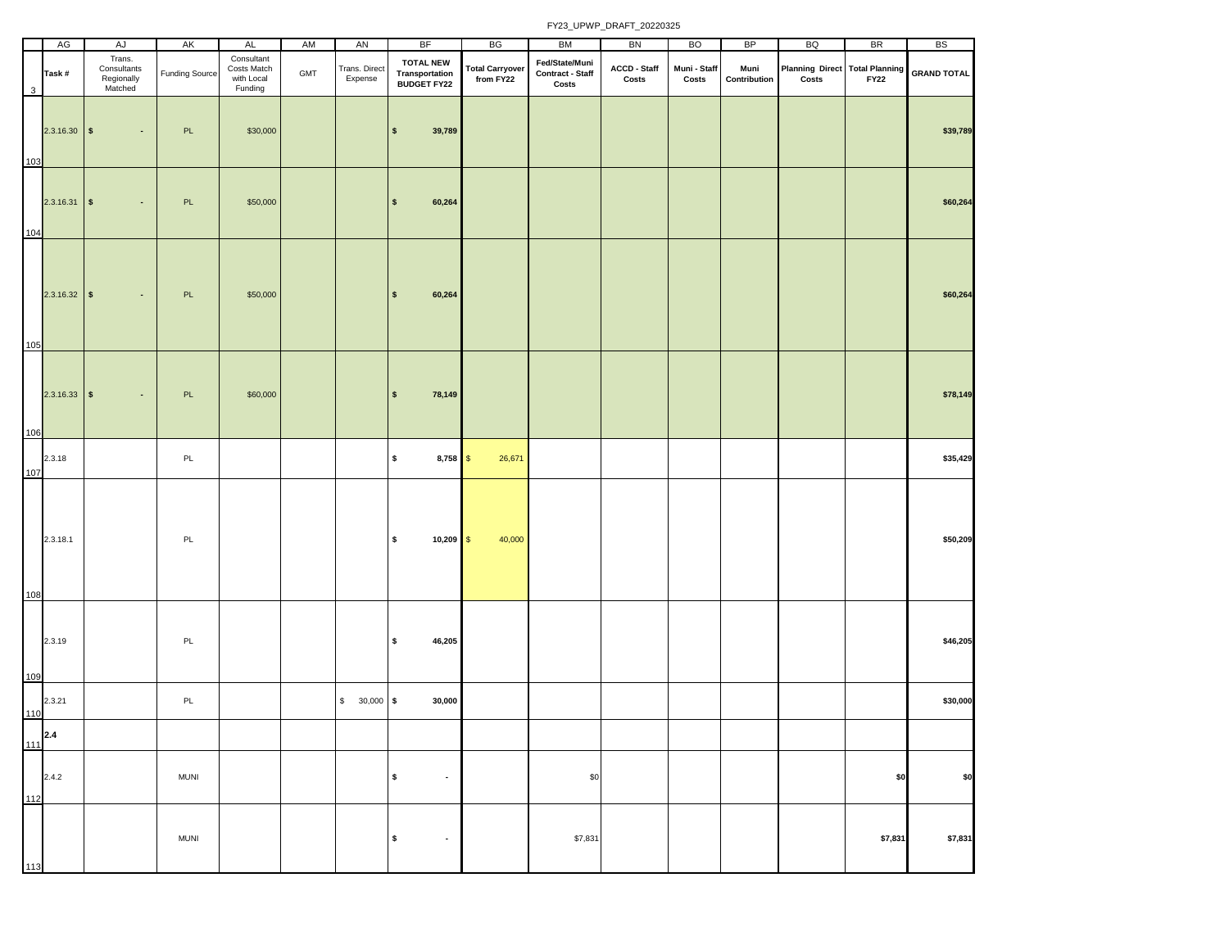|                         | AG             | AJ                                             | AK                    | AL                                                 | AM         | AN                       | <b>BF</b>                                                 | BG                                  | BM                                                 | BN                    | <b>BO</b>             | BP                   | BQ                                                 | <b>BR</b>   | <b>BS</b>          |
|-------------------------|----------------|------------------------------------------------|-----------------------|----------------------------------------------------|------------|--------------------------|-----------------------------------------------------------|-------------------------------------|----------------------------------------------------|-----------------------|-----------------------|----------------------|----------------------------------------------------|-------------|--------------------|
| $\overline{\mathbf{3}}$ | Task#          | Trans.<br>Consultants<br>Regionally<br>Matched | <b>Funding Source</b> | Consultant<br>Costs Match<br>with Local<br>Funding | <b>GMT</b> | Trans. Direct<br>Expense | <b>TOTAL NEW</b><br><b>Transportation<br/>BUDGET FY22</b> | <b>Total Carryover</b><br>from FY22 | Fed/State/Muni<br><b>Contract - Staff</b><br>Costs | ACCD - Staff<br>Costs | Muni - Staff<br>Costs | Muni<br>Contribution | Planning Direct Total Planning<br>$\mathsf{Costs}$ | <b>FY22</b> | <b>GRAND TOTAL</b> |
| 103                     | $2.3.16.30$ \$ | $\blacksquare$                                 | PL                    | \$30,000                                           |            |                          | $\sqrt{2}$<br>39,789                                      |                                     |                                                    |                       |                       |                      |                                                    |             | \$39,789           |
| 104                     | $2.3.16.31$ \$ | $\blacksquare$                                 | PL                    | \$50,000                                           |            |                          | 60,264<br>$\pmb{\mathsf{s}}$                              |                                     |                                                    |                       |                       |                      |                                                    |             | \$60,264           |
| 105                     | $2.3.16.32$ \$ | $\sim$                                         | PL                    | \$50,000                                           |            |                          | $\sqrt{2}$<br>60,264                                      |                                     |                                                    |                       |                       |                      |                                                    |             | \$60,264           |
| 106                     | $2.3.16.33$ \$ | $\bullet$                                      | PL                    | \$60,000                                           |            |                          | $\sqrt{2}$<br>78,149                                      |                                     |                                                    |                       |                       |                      |                                                    |             | \$78,149           |
| 107                     | 2.3.18         |                                                | PL                    |                                                    |            |                          | $\pmb{\mathsf{s}}$<br>$8,758$ \$                          | 26,671                              |                                                    |                       |                       |                      |                                                    |             | \$35,429           |
| 108                     | 2.3.18.1       |                                                | $\mathsf{PL}$         |                                                    |            |                          | $\boldsymbol{s}$<br>$10,209$ \$                           | 40,000                              |                                                    |                       |                       |                      |                                                    |             | \$50,209           |
| 109                     | 2.3.19         |                                                | PL                    |                                                    |            |                          | $\sqrt{2}$<br>46,205                                      |                                     |                                                    |                       |                       |                      |                                                    |             | \$46,205           |
| 110                     | 2.3.21         |                                                | PL                    |                                                    |            | $$30,000$ \$             | 30,000                                                    |                                     |                                                    |                       |                       |                      |                                                    |             | \$30,000           |
|                         | $111^{2.4}$    |                                                |                       |                                                    |            |                          |                                                           |                                     |                                                    |                       |                       |                      |                                                    |             |                    |
| 112                     | 2.4.2          |                                                | <b>MUNI</b>           |                                                    |            |                          | $\pmb{\mathsf{s}}$<br>$\bullet$                           |                                     | \$0                                                |                       |                       |                      |                                                    | \$0         | \$0                |
| 113                     |                |                                                | <b>MUNI</b>           |                                                    |            |                          | $\pmb{\mathsf{s}}$<br>$\bullet$                           |                                     | \$7,831                                            |                       |                       |                      |                                                    | \$7,831     | \$7,831            |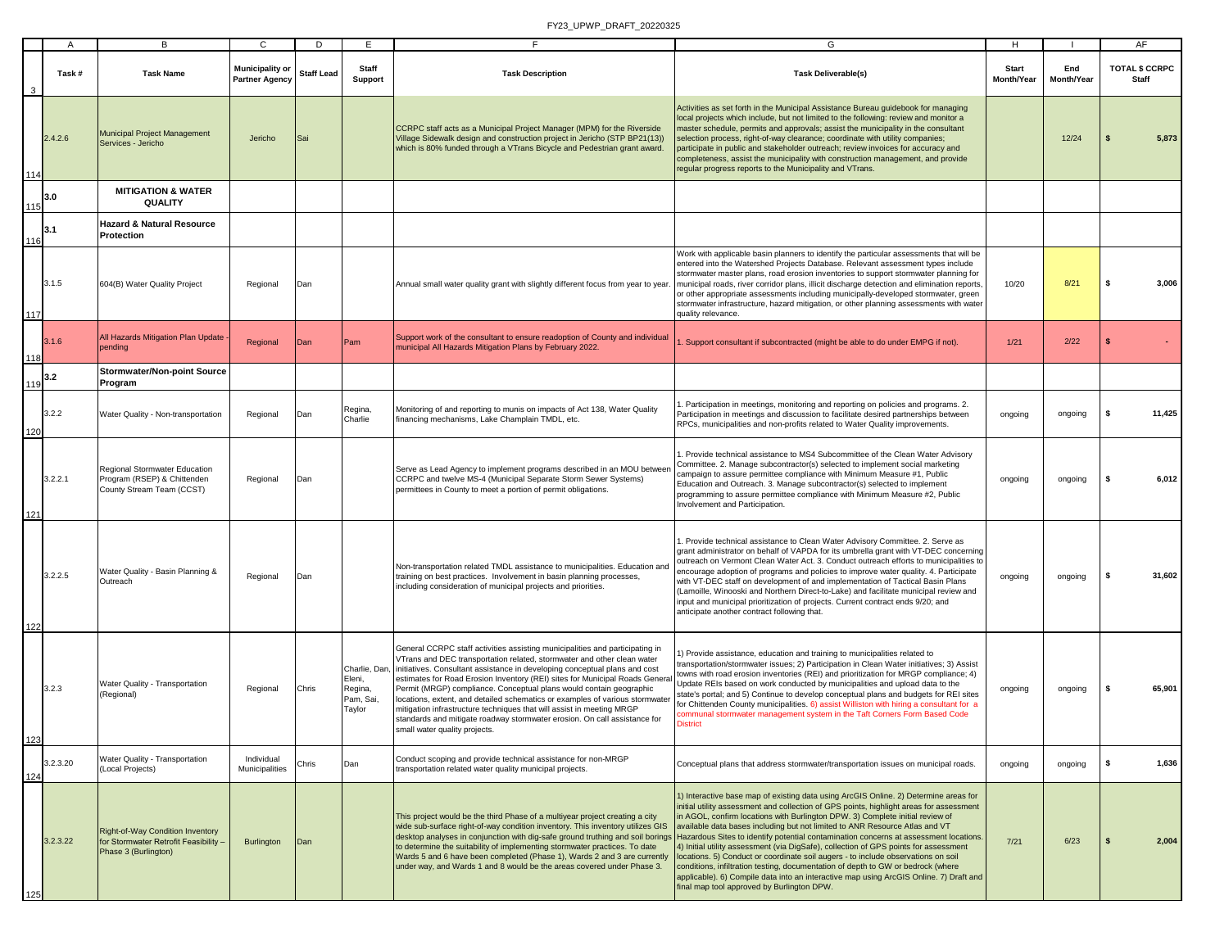|     | $\mathsf{A}$ | B                                                                                                 | $\mathbf{C}$                             | D                 | E                                                        | F                                                                                                                                                                                                                                                                                                                                                                                                                                                                                                                                                                                                                                                                | G                                                                                                                                                                                                                                                                                                                                                                                                                                                                                                                                                                                                                                                                                                                                                                                                                                                                                                                                | H                          | -1                |              | AF                             |
|-----|--------------|---------------------------------------------------------------------------------------------------|------------------------------------------|-------------------|----------------------------------------------------------|------------------------------------------------------------------------------------------------------------------------------------------------------------------------------------------------------------------------------------------------------------------------------------------------------------------------------------------------------------------------------------------------------------------------------------------------------------------------------------------------------------------------------------------------------------------------------------------------------------------------------------------------------------------|----------------------------------------------------------------------------------------------------------------------------------------------------------------------------------------------------------------------------------------------------------------------------------------------------------------------------------------------------------------------------------------------------------------------------------------------------------------------------------------------------------------------------------------------------------------------------------------------------------------------------------------------------------------------------------------------------------------------------------------------------------------------------------------------------------------------------------------------------------------------------------------------------------------------------------|----------------------------|-------------------|--------------|--------------------------------|
|     | Task #       | <b>Task Name</b>                                                                                  | Municipality or<br><b>Partner Agency</b> | <b>Staff Lead</b> | <b>Staff</b><br>Support                                  | <b>Task Description</b>                                                                                                                                                                                                                                                                                                                                                                                                                                                                                                                                                                                                                                          | <b>Task Deliverable(s)</b>                                                                                                                                                                                                                                                                                                                                                                                                                                                                                                                                                                                                                                                                                                                                                                                                                                                                                                       | <b>Start</b><br>Month/Year | End<br>Month/Year |              | <b>TOTAL \$ CCRPC</b><br>Staff |
| 114 | 2.4.2.6      | Municipal Project Management<br>Services - Jericho                                                | Jericho                                  | Sai               |                                                          | CCRPC staff acts as a Municipal Project Manager (MPM) for the Riverside<br>Village Sidewalk design and construction project in Jericho (STP BP21(13))<br>which is 80% funded through a VTrans Bicycle and Pedestrian grant award.                                                                                                                                                                                                                                                                                                                                                                                                                                | Activities as set forth in the Municipal Assistance Bureau guidebook for managing<br>local projects which include, but not limited to the following: review and monitor a<br>master schedule, permits and approvals; assist the municipality in the consultant<br>selection process, right-of-way clearance; coordinate with utility companies;<br>participate in public and stakeholder outreach; review invoices for accuracy and<br>completeness, assist the municipality with construction management, and provide<br>regular progress reports to the Municipality and VTrans.                                                                                                                                                                                                                                                                                                                                               |                            | 12/24             | S            | 5,873                          |
| 115 | 3.0          | <b>MITIGATION &amp; WATER</b><br>QUALITY                                                          |                                          |                   |                                                          |                                                                                                                                                                                                                                                                                                                                                                                                                                                                                                                                                                                                                                                                  |                                                                                                                                                                                                                                                                                                                                                                                                                                                                                                                                                                                                                                                                                                                                                                                                                                                                                                                                  |                            |                   |              |                                |
| 116 | 3.1          | <b>Hazard &amp; Natural Resource</b><br>Protection                                                |                                          |                   |                                                          |                                                                                                                                                                                                                                                                                                                                                                                                                                                                                                                                                                                                                                                                  |                                                                                                                                                                                                                                                                                                                                                                                                                                                                                                                                                                                                                                                                                                                                                                                                                                                                                                                                  |                            |                   |              |                                |
| 117 | 3.1.5        | 604(B) Water Quality Project                                                                      | Regional                                 | Dan               |                                                          |                                                                                                                                                                                                                                                                                                                                                                                                                                                                                                                                                                                                                                                                  | Work with applicable basin planners to identify the particular assessments that will be<br>entered into the Watershed Projects Database. Relevant assessment types include<br>stormwater master plans, road erosion inventories to support stormwater planning for<br>Annual small water quality grant with slightly different focus from year to year. municipal roads, river corridor plans, illicit discharge detection and elimination reports,<br>or other appropriate assessments including municipally-developed stormwater, green<br>stormwater infrastructure, hazard mitigation, or other planning assessments with water<br>quality relevance.                                                                                                                                                                                                                                                                        | 10/20                      | 8/21              | s            | 3,006                          |
| 118 | 3.1.6        | All Hazards Mitigation Plan Update<br>pending                                                     | Regional                                 | Dan               | Pam                                                      | Support work of the consultant to ensure readoption of County and individual<br>municipal All Hazards Mitigation Plans by February 2022.                                                                                                                                                                                                                                                                                                                                                                                                                                                                                                                         | Support consultant if subcontracted (might be able to do under EMPG if not).                                                                                                                                                                                                                                                                                                                                                                                                                                                                                                                                                                                                                                                                                                                                                                                                                                                     | 1/21                       | 2/22              | \$           |                                |
| 119 | 3.2          | <b>Stormwater/Non-point Source</b><br>Program                                                     |                                          |                   |                                                          |                                                                                                                                                                                                                                                                                                                                                                                                                                                                                                                                                                                                                                                                  |                                                                                                                                                                                                                                                                                                                                                                                                                                                                                                                                                                                                                                                                                                                                                                                                                                                                                                                                  |                            |                   |              |                                |
| 120 | 3.2.2        | Water Quality - Non-transportation                                                                | Regional                                 | Dan               | Regina,<br>Charlie                                       | Monitoring of and reporting to munis on impacts of Act 138, Water Quality<br>financing mechanisms, Lake Champlain TMDL, etc.                                                                                                                                                                                                                                                                                                                                                                                                                                                                                                                                     | 1. Participation in meetings, monitoring and reporting on policies and programs. 2.<br>Participation in meetings and discussion to facilitate desired partnerships between<br>RPCs, municipalities and non-profits related to Water Quality improvements.                                                                                                                                                                                                                                                                                                                                                                                                                                                                                                                                                                                                                                                                        | ongoing                    | ongoing           | \$           | 11,425                         |
| 121 | 3.2.2.1      | Regional Stormwater Education<br>Program (RSEP) & Chittenden<br>County Stream Team (CCST)         | Regional                                 | Dan               |                                                          | Serve as Lead Agency to implement programs described in an MOU between<br>CCRPC and twelve MS-4 (Municipal Separate Storm Sewer Systems)<br>permittees in County to meet a portion of permit obligations.                                                                                                                                                                                                                                                                                                                                                                                                                                                        | 1. Provide technical assistance to MS4 Subcommittee of the Clean Water Advisory<br>Committee. 2. Manage subcontractor(s) selected to implement social marketing<br>campaign to assure permittee compliance with Minimum Measure #1, Public<br>Education and Outreach. 3. Manage subcontractor(s) selected to implement<br>programming to assure permittee compliance with Minimum Measure #2, Public<br>Involvement and Participation.                                                                                                                                                                                                                                                                                                                                                                                                                                                                                           | ongoing                    | ongoing           | s.           | 6,012                          |
| 122 | 3.2.2.5      | Water Quality - Basin Planning &<br>Outreach                                                      | Regional                                 | Dan               |                                                          | Non-transportation related TMDL assistance to municipalities. Education and<br>training on best practices. Involvement in basin planning processes,<br>including consideration of municipal projects and priorities.                                                                                                                                                                                                                                                                                                                                                                                                                                             | 1. Provide technical assistance to Clean Water Advisory Committee. 2. Serve as<br>grant administrator on behalf of VAPDA for its umbrella grant with VT-DEC concerning<br>outreach on Vermont Clean Water Act. 3. Conduct outreach efforts to municipalities to<br>encourage adoption of programs and policies to improve water quality. 4. Participate<br>with VT-DEC staff on development of and implementation of Tactical Basin Plans<br>(Lamoille, Winooski and Northern Direct-to-Lake) and facilitate municipal review and<br>input and municipal prioritization of projects. Current contract ends 9/20; and<br>anticipate another contract following that.                                                                                                                                                                                                                                                              | ongoing                    | ongoing           | s.           | 31,602                         |
| 123 | 3.2.3        | Water Quality - Transportation<br>(Regional)                                                      | Regional                                 | Chris             | Charlie, Dan<br>Eleni,<br>Regina,<br>Pam, Sai,<br>Taylor | General CCRPC staff activities assisting municipalities and participating in<br>VTrans and DEC transportation related, stormwater and other clean water<br>initiatives. Consultant assistance in developing conceptual plans and cost<br>estimates for Road Erosion Inventory (REI) sites for Municipal Roads Gener<br>Permit (MRGP) compliance. Conceptual plans would contain geographic<br>locations, extent, and detailed schematics or examples of various stormwate<br>mitigation infrastructure techniques that will assist in meeting MRGP<br>standards and mitigate roadway stormwater erosion. On call assistance for<br>small water quality projects. | 1) Provide assistance, education and training to municipalities related to<br>transportation/stormwater issues; 2) Participation in Clean Water initiatives; 3) Assist<br>towns with road erosion inventories (REI) and prioritization for MRGP compliance; 4)<br>Update REIs based on work conducted by municipalities and upload data to the<br>state's portal; and 5) Continue to develop conceptual plans and budgets for REI sites<br>for Chittenden County municipalities. 6) assist Williston with hiring a consultant for a<br>communal stormwater management system in the Taft Corners Form Based Code<br><b>District</b>                                                                                                                                                                                                                                                                                              | ongoing                    | ongoing           | s            | 65,901                         |
| 124 | 3.2.3.20     | Water Quality - Transportation<br>(Local Projects)                                                | Individual<br>Municipalities             | Chris             | Dan                                                      | Conduct scoping and provide technical assistance for non-MRGP<br>transportation related water quality municipal projects.                                                                                                                                                                                                                                                                                                                                                                                                                                                                                                                                        | Conceptual plans that address stormwater/transportation issues on municipal roads.                                                                                                                                                                                                                                                                                                                                                                                                                                                                                                                                                                                                                                                                                                                                                                                                                                               | ongoing                    | ongoing           | \$           | 1,636                          |
| 125 | 3.2.3.22     | Right-of-Way Condition Inventory<br>For Stormwater Retrofit Feasibility -<br>Phase 3 (Burlington) | Burlington                               | Dan               |                                                          | This project would be the third Phase of a multiyear project creating a city<br>wide sub-surface right-of-way condition inventory. This inventory utilizes GIS<br>to determine the suitability of implementing stormwater practices. To date<br>Wards 5 and 6 have been completed (Phase 1), Wards 2 and 3 are currently<br>under way, and Wards 1 and 8 would be the areas covered under Phase 3.                                                                                                                                                                                                                                                               | 1) Interactive base map of existing data using ArcGIS Online. 2) Determine areas for<br>initial utility assessment and collection of GPS points, highlight areas for assessment<br>in AGOL, confirm locations with Burlington DPW. 3) Complete initial review of<br>available data bases including but not limited to ANR Resource Atlas and VT<br>desktop analyses in conjunction with dig-safe ground truthing and soil borings Hazardous Sites to identify potential contamination concerns at assessment locations.<br>4) Initial utility assessment (via DigSafe), collection of GPS points for assessment<br>locations. 5) Conduct or coordinate soil augers - to include observations on soil<br>conditions, infiltration testing, documentation of depth to GW or bedrock (where<br>applicable). 6) Compile data into an interactive map using ArcGIS Online. 7) Draft and<br>final map tool approved by Burlington DPW. | 7/21                       | 6/23              | $\mathbf{s}$ | 2,004                          |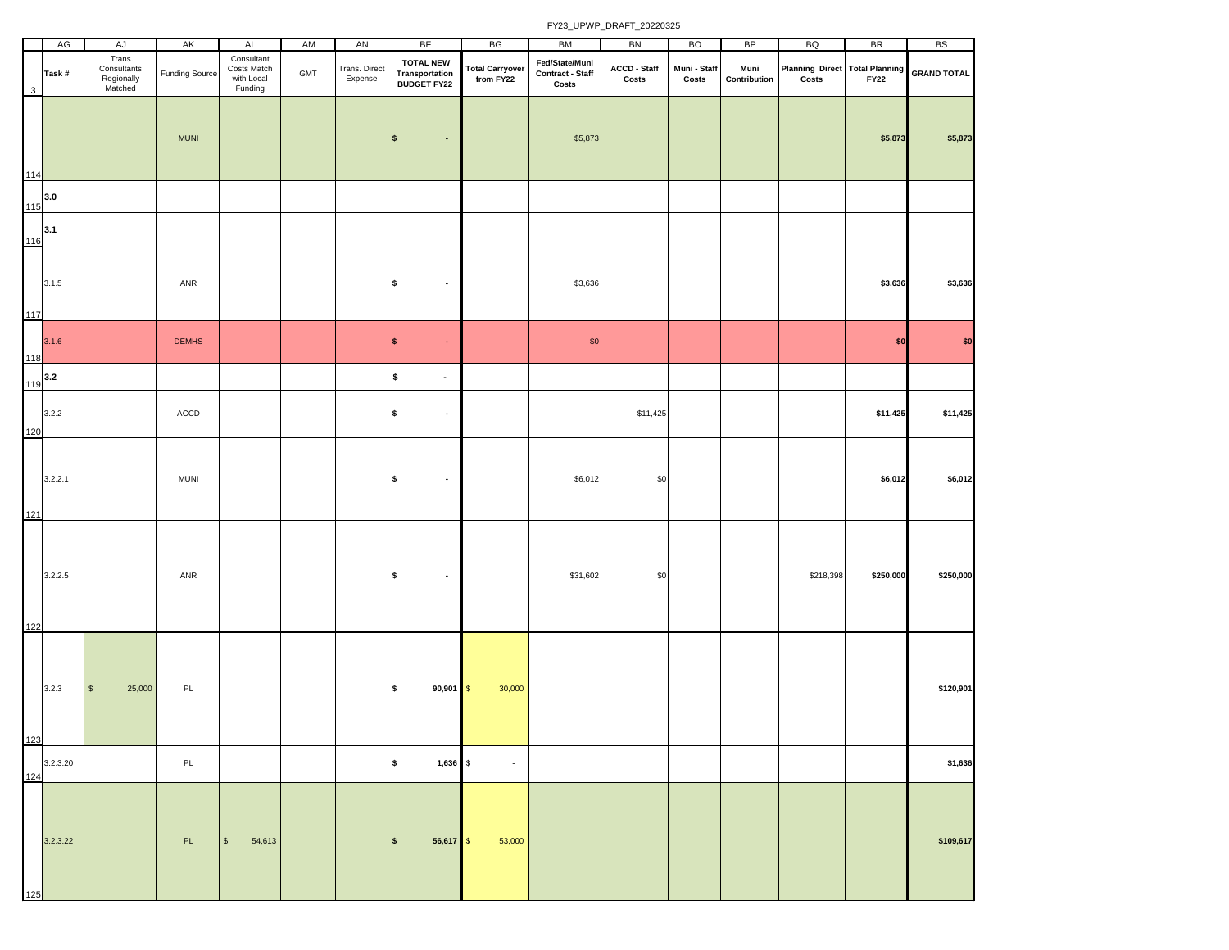|              | AG       | AJ                                             | AK                    | <b>AL</b>                                          | AM  | AN                       | BF                                                       | BG                                  | BM                                          | BN                    | <b>BO</b>             | BP                   | BQ                                             | <b>BR</b>   | <b>BS</b>          |
|--------------|----------|------------------------------------------------|-----------------------|----------------------------------------------------|-----|--------------------------|----------------------------------------------------------|-------------------------------------|---------------------------------------------|-----------------------|-----------------------|----------------------|------------------------------------------------|-------------|--------------------|
| $\mathbf{3}$ | Task#    | Trans.<br>Consultants<br>Regionally<br>Matched | <b>Funding Source</b> | Consultant<br>Costs Match<br>with Local<br>Funding | GMT | Trans. Direct<br>Expense | <b>TOTAL NEW</b><br>Transportation<br><b>BUDGET FY22</b> | <b>Total Carryover</b><br>from FY22 | Fed/State/Muni<br>Contract - Staff<br>Costs | ACCD - Staff<br>Costs | Muni - Staff<br>Costs | Muni<br>Contribution | <b>Planning Direct Total Planning</b><br>Costs | <b>FY22</b> | <b>GRAND TOTAL</b> |
| 114          |          |                                                | <b>MUNI</b>           |                                                    |     |                          | $\pmb{\mathsf{s}}$<br>$\bullet$                          |                                     | \$5,873                                     |                       |                       |                      |                                                | \$5,873     | \$5,873            |
| 115          | 3.0      |                                                |                       |                                                    |     |                          |                                                          |                                     |                                             |                       |                       |                      |                                                |             |                    |
| 116          | 3.1      |                                                |                       |                                                    |     |                          |                                                          |                                     |                                             |                       |                       |                      |                                                |             |                    |
| 117          | 3.1.5    |                                                | ANR                   |                                                    |     |                          | \$<br>$\blacksquare$                                     |                                     | \$3,636                                     |                       |                       |                      |                                                | \$3,636     | \$3,636            |
| 118          | 3.1.6    |                                                | <b>DEMHS</b>          |                                                    |     |                          | \$<br>$\bullet$                                          |                                     | \$0                                         |                       |                       |                      |                                                | \$0         | \$0                |
| 119          | 3.2      |                                                |                       |                                                    |     |                          | \$<br>$\blacksquare$                                     |                                     |                                             |                       |                       |                      |                                                |             |                    |
| 120          | 3.2.2    |                                                | ACCD                  |                                                    |     |                          | \$<br>$\bullet$                                          |                                     |                                             | \$11,425              |                       |                      |                                                | \$11,425    | \$11,425           |
| 121          | 3.2.2.1  |                                                | <b>MUNI</b>           |                                                    |     |                          | \$<br>$\blacksquare$                                     |                                     | \$6,012                                     | \$0                   |                       |                      |                                                | \$6,012     | \$6,012            |
| 122          | 3.2.2.5  |                                                | ANR                   |                                                    |     |                          | $\pmb{\mathsf{s}}$<br>$\bullet$                          |                                     | \$31,602                                    | \$0                   |                       |                      | \$218,398                                      | \$250,000   | \$250,000          |
| 123          | 3.2.3    | $\mathbb S$<br>25,000                          | PL                    |                                                    |     |                          | $\pmb{\mathsf{s}}$<br>$90,901$ \$                        | 30,000                              |                                             |                       |                       |                      |                                                |             | \$120,901          |
| 124          | 3.2.3.20 |                                                | PL                    |                                                    |     |                          | $\pmb{\mathsf{s}}$<br>$1,636$ \$                         | $\sim$                              |                                             |                       |                       |                      |                                                |             | \$1,636            |
| 125          | 3.2.3.22 |                                                | PL                    | S<br>54,613                                        |     |                          | $56,617$ \$<br>$\sqrt{2}$                                | 53,000                              |                                             |                       |                       |                      |                                                |             | \$109,617          |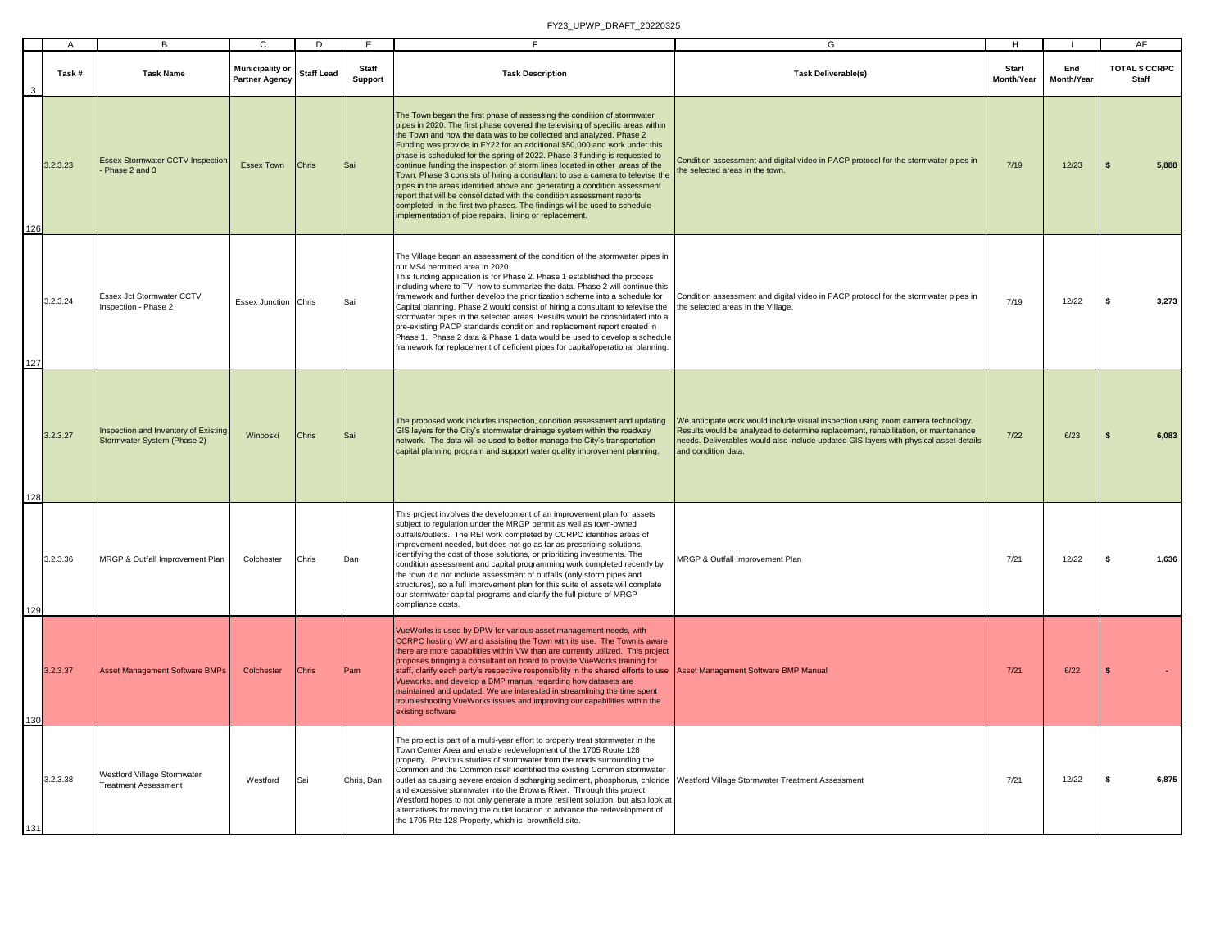|     |          | R.                                                                  |                                                 | <sub>D</sub>      | F.                      |                                                                                                                                                                                                                                                                                                                                                                                                                                                                                                                                                                                                                                                                                                                                                                                                                                                            | G                                                                                                                                                                                                                                                                                      | н                          |                   |     | AF                                    |
|-----|----------|---------------------------------------------------------------------|-------------------------------------------------|-------------------|-------------------------|------------------------------------------------------------------------------------------------------------------------------------------------------------------------------------------------------------------------------------------------------------------------------------------------------------------------------------------------------------------------------------------------------------------------------------------------------------------------------------------------------------------------------------------------------------------------------------------------------------------------------------------------------------------------------------------------------------------------------------------------------------------------------------------------------------------------------------------------------------|----------------------------------------------------------------------------------------------------------------------------------------------------------------------------------------------------------------------------------------------------------------------------------------|----------------------------|-------------------|-----|---------------------------------------|
|     | Task#    | <b>Task Name</b>                                                    | <b>Municipality or</b><br><b>Partner Agency</b> | <b>Staff Lead</b> | Staff<br><b>Support</b> | <b>Task Description</b>                                                                                                                                                                                                                                                                                                                                                                                                                                                                                                                                                                                                                                                                                                                                                                                                                                    | <b>Task Deliverable(s)</b>                                                                                                                                                                                                                                                             | <b>Start</b><br>Month/Year | End<br>Month/Year |     | <b>TOTAL \$ CCRPC</b><br><b>Staff</b> |
| 126 | 3.2.3.23 | <b>Essex Stormwater CCTV Inspection</b><br>Phase 2 and 3            | Essex Town                                      | <b>Chris</b>      | Sai                     | The Town began the first phase of assessing the condition of stormwater<br>pipes in 2020. The first phase covered the televising of specific areas within<br>the Town and how the data was to be collected and analyzed. Phase 2<br>Funding was provide in FY22 for an additional \$50,000 and work under this<br>phase is scheduled for the spring of 2022. Phase 3 funding is requested to<br>continue funding the inspection of storm lines located in other areas of the<br>Town. Phase 3 consists of hiring a consultant to use a camera to televise the<br>pipes in the areas identified above and generating a condition assessment<br>report that will be consolidated with the condition assessment reports<br>completed in the first two phases. The findings will be used to schedule<br>implementation of pipe repairs, lining or replacement. | Condition assessment and digital video in PACP protocol for the stormwater pipes in<br>he selected areas in the town.                                                                                                                                                                  | 7/19                       | 12/23             |     | 5,888                                 |
|     | 3.2.3.24 | Essex Jct Stormwater CCTV<br>Inspection - Phase 2                   | Essex Junction Chris                            |                   | Sai                     | The Village began an assessment of the condition of the stormwater pipes in<br>our MS4 permitted area in 2020.<br>This funding application is for Phase 2. Phase 1 established the process<br>including where to TV, how to summarize the data. Phase 2 will continue this<br>framework and further develop the prioritization scheme into a schedule for<br>Capital planning. Phase 2 would consist of hiring a consultant to televise the<br>stormwater pipes in the selected areas. Results would be consolidated into a<br>pre-existing PACP standards condition and replacement report created in<br>Phase 1. Phase 2 data & Phase 1 data would be used to develop a schedule<br>framework for replacement of deficient pipes for capital/operational planning.                                                                                       | Condition assessment and digital video in PACP protocol for the stormwater pipes in<br>the selected areas in the Village.                                                                                                                                                              | 7/19                       | 12/22             | \$. | 3.273                                 |
| 128 | 3.2.3.27 | Inspection and Inventory of Existing<br>Stormwater System (Phase 2) | Winooski                                        | Chris             | Sai                     | The proposed work includes inspection, condition assessment and updating<br>GIS layers for the City's stormwater drainage system within the roadway<br>network. The data will be used to better manage the City's transportation<br>capital planning program and support water quality improvement planning.                                                                                                                                                                                                                                                                                                                                                                                                                                                                                                                                               | We anticipate work would include visual inspection using zoom camera technology.<br>Results would be analyzed to determine replacement, rehabilitation, or maintenance<br>needs. Deliverables would also include updated GIS layers with physical asset details<br>and condition data. | 7/22                       | 6/23              |     | 6.083                                 |
|     | 3.2.3.36 | MRGP & Outfall Improvement Plan                                     | Colchester                                      | Chris             | Dan                     | This project involves the development of an improvement plan for assets<br>subject to regulation under the MRGP permit as well as town-owned<br>outfalls/outlets. The REI work completed by CCRPC identifies areas of<br>improvement needed, but does not go as far as prescribing solutions,<br>identifying the cost of those solutions, or prioritizing investments. The<br>condition assessment and capital programming work completed recently by<br>the town did not include assessment of outfalls (only storm pipes and<br>structures), so a full improvement plan for this suite of assets will complete<br>our stormwater capital programs and clarify the full picture of MRGP<br>compliance costs.                                                                                                                                              | MRGP & Outfall Improvement Plan                                                                                                                                                                                                                                                        | 7/21                       | 12/22             | \$. | 1,636                                 |
| 130 | 3.2.3.37 | <b>Asset Management Software BMPs</b>                               | Colchester                                      | <b>Chris</b>      | Pam                     | VueWorks is used by DPW for various asset management needs, with<br>CCRPC hosting VW and assisting the Town with its use. The Town is aware<br>there are more capabilities within VW than are currently utilized. This project<br>proposes bringing a consultant on board to provide VueWorks training for<br>staff, clarify each party's respective responsibility in the shared efforts to use Asset Management Software BMP Manual<br>Vueworks, and develop a BMP manual regarding how datasets are<br>maintained and updated. We are interested in streamlining the time spent<br>troubleshooting VueWorks issues and improving our capabilities within the<br>existing software                                                                                                                                                                       |                                                                                                                                                                                                                                                                                        | 7/21                       | 6/22              |     |                                       |
|     | 3.2.3.38 | Westford Village Stormwater<br><b>Treatment Assessment</b>          | Westford                                        | Sai               | Chris, Dan              | The project is part of a multi-year effort to properly treat stormwater in the<br>Town Center Area and enable redevelopment of the 1705 Route 128<br>property. Previous studies of stormwater from the roads surrounding the<br>Common and the Common itself identified the existing Common stormwater<br>outlet as causing severe erosion discharging sediment, phosphorus, chloride Westford Village Stormwater Treatment Assessment<br>and excessive stormwater into the Browns River. Through this project,<br>Westford hopes to not only generate a more resilient solution, but also look at<br>alternatives for moving the outlet location to advance the redevelopment of<br>the 1705 Rte 128 Property, which is brownfield site.                                                                                                                  |                                                                                                                                                                                                                                                                                        | 7/21                       | 12/22             | \$  | 6,875                                 |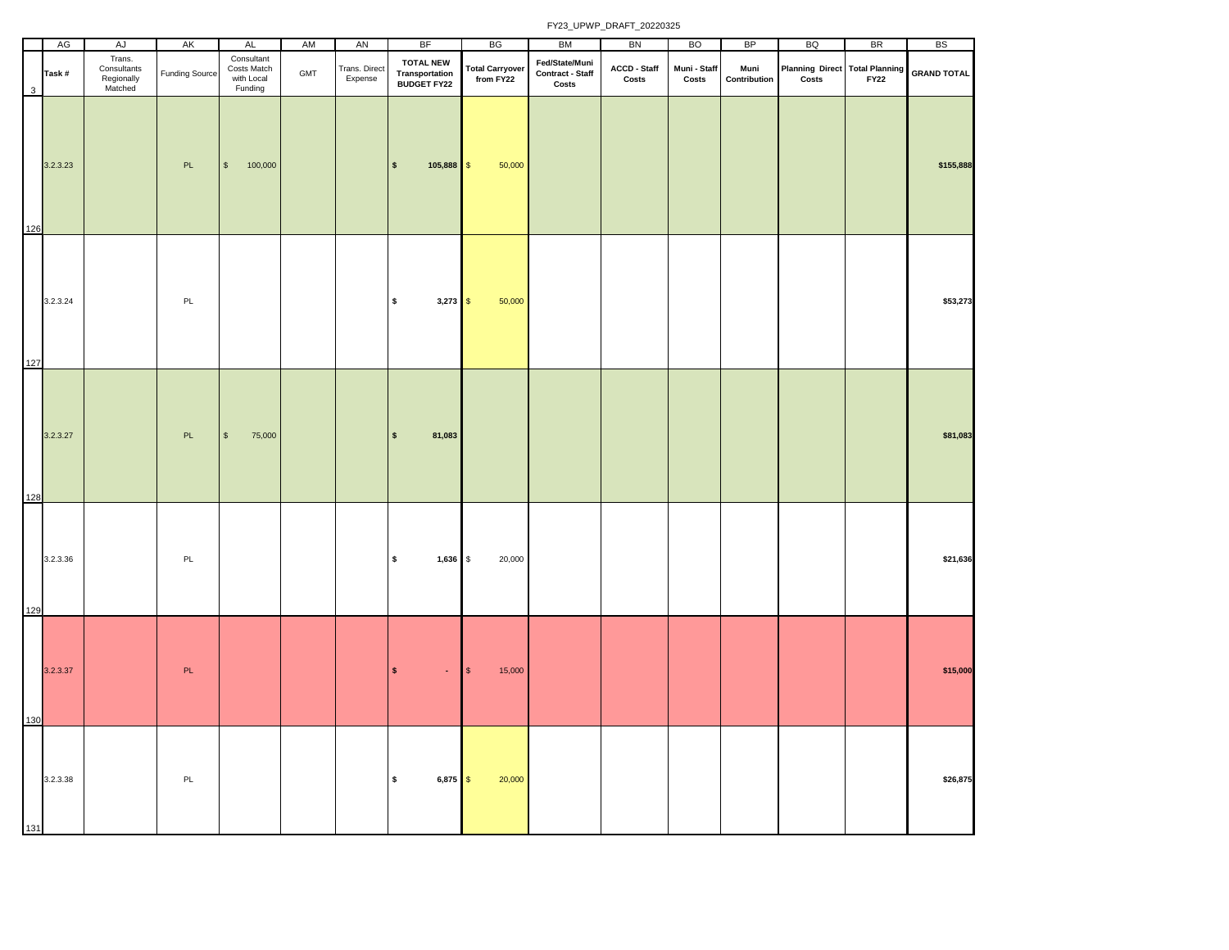|     | AG       | AJ                                             | AK                    | AL                                                 | AM  | AN                       | BF                                                       | BG                                  | BM                                          | BN                                      | <b>BO</b>             | BP                   | <b>BQ</b>                                    | BR | BS                 |
|-----|----------|------------------------------------------------|-----------------------|----------------------------------------------------|-----|--------------------------|----------------------------------------------------------|-------------------------------------|---------------------------------------------|-----------------------------------------|-----------------------|----------------------|----------------------------------------------|----|--------------------|
| 3   | Task#    | Trans.<br>Consultants<br>Regionally<br>Matched | <b>Funding Source</b> | Consultant<br>Costs Match<br>with Local<br>Funding | GMT | Trans. Direct<br>Expense | <b>TOTAL NEW</b><br>Transportation<br><b>BUDGET FY22</b> | <b>Total Carryover</b><br>from FY22 | Fed/State/Muni<br>Contract - Staff<br>Costs | ACCD - Staff<br>$\mathsf{Costs}\xspace$ | Muni - Staff<br>Costs | Muni<br>Contribution | Planning Direct Total Planning<br>Costs FY22 |    | <b>GRAND TOTAL</b> |
| 126 | 3.2.3.23 |                                                | $\mathsf{PL}$         | 100,000<br>$\mathbb{S}$                            |     |                          | $105,888$ \$<br>$\mathbf{s}$                             | 50,000                              |                                             |                                         |                       |                      |                                              |    | \$155,888          |
| 127 | 3.2.3.24 |                                                | PL                    |                                                    |     |                          | $\pmb{\mathsf{s}}$<br>$3,273$ \$                         | 50,000                              |                                             |                                         |                       |                      |                                              |    | \$53,273           |
| 128 | 3.2.3.27 |                                                | PL                    | $\mathbb{S}$<br>75,000                             |     |                          | 81,083<br>$\mathsf{s}$                                   |                                     |                                             |                                         |                       |                      |                                              |    | \$81,083           |
| 129 | 3.2.3.36 |                                                | $\mathsf{PL}$         |                                                    |     |                          | \$<br>1,636 \$                                           | 20,000                              |                                             |                                         |                       |                      |                                              |    | \$21,636           |
| 130 | 3.2.3.37 |                                                | $\mathsf{PL}$         |                                                    |     |                          | $\pmb{\mathsf{s}}$<br>$\bullet$                          | $\sqrt{3}$<br>15,000                |                                             |                                         |                       |                      |                                              |    | \$15,000           |
| 131 | 3.2.3.38 |                                                | PL                    |                                                    |     |                          | $\pmb{\mathsf{s}}$<br>$6,875$ \$                         | 20,000                              |                                             |                                         |                       |                      |                                              |    | \$26,875           |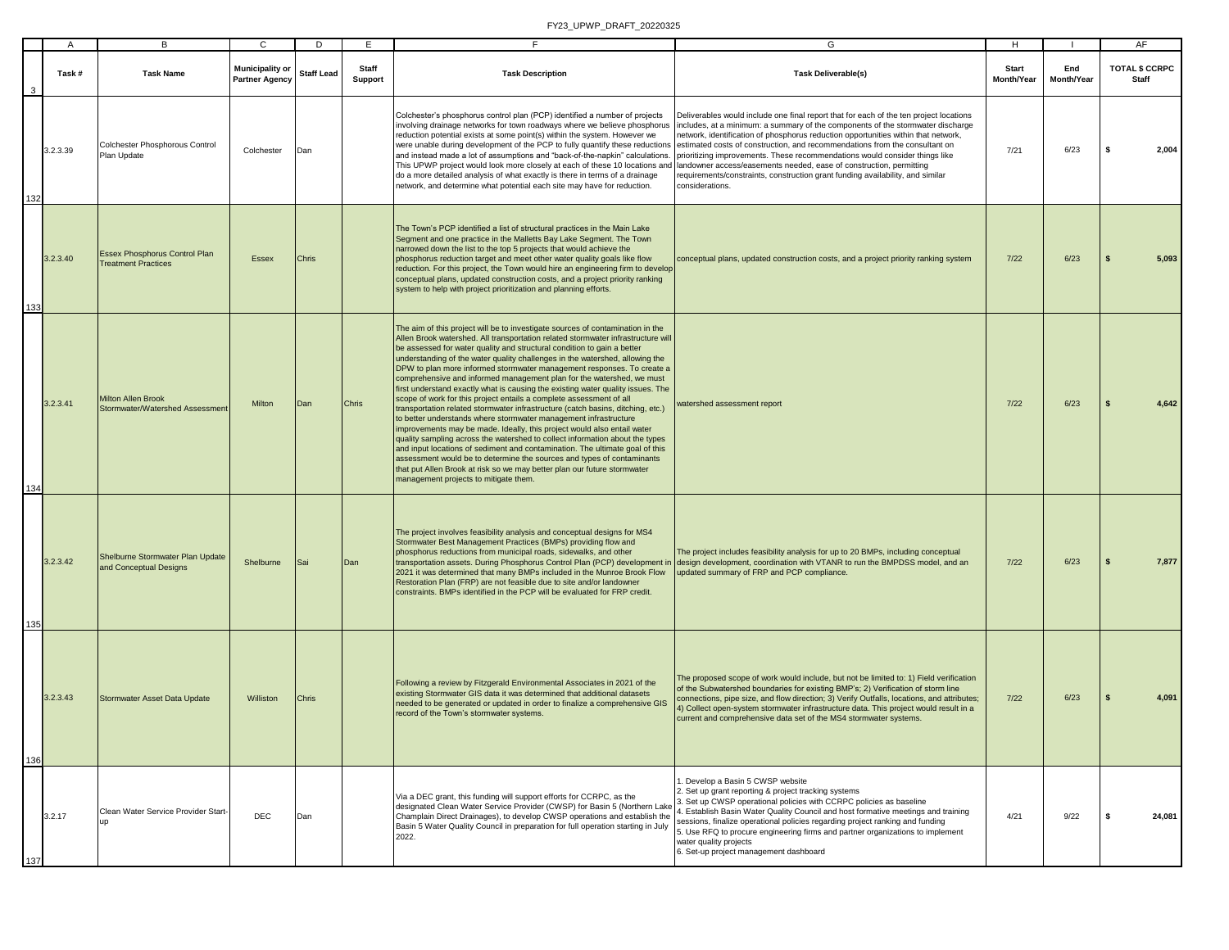|     | A        | В                                                                  | $\mathbf{C}$                             | D                 | E                       | E.                                                                                                                                                                                                                                                                                                                                                                                                                                                                                                                                                                                                                                                                                                                                                                                                                                                                                                                                                                                                                                                                                                                                                                                                                                          | G                                                                                                                                                                                                                                                                                                                                                                                                                                                                                                                                 | н                          |                   | AF                                    |
|-----|----------|--------------------------------------------------------------------|------------------------------------------|-------------------|-------------------------|---------------------------------------------------------------------------------------------------------------------------------------------------------------------------------------------------------------------------------------------------------------------------------------------------------------------------------------------------------------------------------------------------------------------------------------------------------------------------------------------------------------------------------------------------------------------------------------------------------------------------------------------------------------------------------------------------------------------------------------------------------------------------------------------------------------------------------------------------------------------------------------------------------------------------------------------------------------------------------------------------------------------------------------------------------------------------------------------------------------------------------------------------------------------------------------------------------------------------------------------|-----------------------------------------------------------------------------------------------------------------------------------------------------------------------------------------------------------------------------------------------------------------------------------------------------------------------------------------------------------------------------------------------------------------------------------------------------------------------------------------------------------------------------------|----------------------------|-------------------|---------------------------------------|
| 3   | Task#    | <b>Task Name</b>                                                   | <b>Municipality or</b><br>Partner Agency | <b>Staff Lead</b> | <b>Staff</b><br>Support | <b>Task Description</b>                                                                                                                                                                                                                                                                                                                                                                                                                                                                                                                                                                                                                                                                                                                                                                                                                                                                                                                                                                                                                                                                                                                                                                                                                     | <b>Task Deliverable(s)</b>                                                                                                                                                                                                                                                                                                                                                                                                                                                                                                        | <b>Start</b><br>Month/Year | End<br>Month/Year | <b>TOTAL \$ CCRPC</b><br><b>Staff</b> |
| 132 | 3.2.3.39 | Colchester Phosphorous Control<br>Plan Update                      | Colchester                               | Dan               |                         | Colchester's phosphorus control plan (PCP) identified a number of projects<br>involving drainage networks for town roadways where we believe phosphorus<br>reduction potential exists at some point(s) within the system. However we<br>were unable during development of the PCP to fully quantify these reductions<br>and instead made a lot of assumptions and "back-of-the-napkin" calculations.<br>This UPWP project would look more closely at each of these 10 locations and landowner access/easements needed, ease of construction, permitting<br>do a more detailed analysis of what exactly is there in terms of a drainage<br>network, and determine what potential each site may have for reduction.                                                                                                                                                                                                                                                                                                                                                                                                                                                                                                                           | Deliverables would include one final report that for each of the ten project locations<br>includes, at a minimum: a summary of the components of the stormwater discharge<br>network, identification of phosphorus reduction opportunities within that network,<br>estimated costs of construction, and recommendations from the consultant on<br>prioritizing improvements. These recommendations would consider things like<br>equirements/constraints, construction grant funding availability, and similar<br>considerations. | 7/21                       | 6/23              | 2,004<br>S                            |
| 133 | 3.2.3.40 | <b>Essex Phosphorus Control Plan</b><br><b>Treatment Practices</b> | Essex                                    | Chris             |                         | The Town's PCP identified a list of structural practices in the Main Lake<br>Segment and one practice in the Malletts Bay Lake Segment. The Town<br>narrowed down the list to the top 5 projects that would achieve the<br>phosphorus reduction target and meet other water quality goals like flow<br>reduction. For this project, the Town would hire an engineering firm to develop<br>conceptual plans, updated construction costs, and a project priority ranking<br>system to help with project prioritization and planning efforts.                                                                                                                                                                                                                                                                                                                                                                                                                                                                                                                                                                                                                                                                                                  | conceptual plans, updated construction costs, and a project priority ranking system                                                                                                                                                                                                                                                                                                                                                                                                                                               | $7/22$                     | 6/23              | 5,093                                 |
| 134 | 3.2.3.41 | <b>Milton Allen Brook</b><br>Stormwater/Watershed Assessment       | Milton                                   | Dan               | <b>Chris</b>            | The aim of this project will be to investigate sources of contamination in the<br>Allen Brook watershed. All transportation related stormwater infrastructure will<br>be assessed for water quality and structural condition to gain a better<br>understanding of the water quality challenges in the watershed, allowing the<br>DPW to plan more informed stormwater management responses. To create a<br>comprehensive and informed management plan for the watershed, we must<br>first understand exactly what is causing the existing water quality issues. The<br>scope of work for this project entails a complete assessment of all<br>transportation related stormwater infrastructure (catch basins, ditching, etc.)<br>to better understands where stormwater management infrastructure<br>improvements may be made. Ideally, this project would also entail water<br>quality sampling across the watershed to collect information about the types<br>and input locations of sediment and contamination. The ultimate goal of this<br>assessment would be to determine the sources and types of contaminants<br>that put Allen Brook at risk so we may better plan our future stormwater<br>management projects to mitigate them. | vatershed assessment report                                                                                                                                                                                                                                                                                                                                                                                                                                                                                                       | $7/22$                     | 6/23              | 4,642                                 |
| 135 | 3.2.3.42 | Shelburne Stormwater Plan Update<br>and Conceptual Designs         | Shelburne                                | Sai               | Dan                     | The project involves feasibility analysis and conceptual designs for MS4<br>Stormwater Best Management Practices (BMPs) providing flow and<br>phosphorus reductions from municipal roads, sidewalks, and other<br>transportation assets. During Phosphorus Control Plan (PCP) development in<br>2021 it was determined that many BMPs included in the Munroe Brook Flow<br>Restoration Plan (FRP) are not feasible due to site and/or landowner<br>constraints. BMPs identified in the PCP will be evaluated for FRP credit.                                                                                                                                                                                                                                                                                                                                                                                                                                                                                                                                                                                                                                                                                                                | The project includes feasibility analysis for up to 20 BMPs, including conceptual<br>design development, coordination with VTANR to run the BMPDSS model, and an<br>updated summary of FRP and PCP compliance.                                                                                                                                                                                                                                                                                                                    | $7/22$                     | 6/23              | 7,877                                 |
| 136 | 3.2.3.43 | Stormwater Asset Data Update                                       | Williston                                | <b>Chris</b>      |                         | Following a review by Fitzgerald Environmental Associates in 2021 of the<br>existing Stormwater GIS data it was determined that additional datasets<br>needed to be generated or updated in order to finalize a comprehensive GIS<br>record of the Town's stormwater systems.                                                                                                                                                                                                                                                                                                                                                                                                                                                                                                                                                                                                                                                                                                                                                                                                                                                                                                                                                               | The proposed scope of work would include, but not be limited to: 1) Field verification<br>of the Subwatershed boundaries for existing BMP's; 2) Verification of storm line<br>connections, pipe size, and flow direction; 3) Verify Outfalls, locations, and attributes;<br>4) Collect open-system stormwater infrastructure data. This project would result in a<br>current and comprehensive data set of the MS4 stormwater systems.                                                                                            | $7/22$                     | 6/23              | 4,091                                 |
| 137 | 3.2.17   | Clean Water Service Provider Start                                 | <b>DEC</b>                               | Dan               |                         | Via a DEC grant, this funding will support efforts for CCRPC, as the<br>designated Clean Water Service Provider (CWSP) for Basin 5 (Northern Lake<br>Champlain Direct Drainages), to develop CWSP operations and establish the<br>Basin 5 Water Quality Council in preparation for full operation starting in July<br>2022.                                                                                                                                                                                                                                                                                                                                                                                                                                                                                                                                                                                                                                                                                                                                                                                                                                                                                                                 | Develop a Basin 5 CWSP website<br>Set up grant reporting & project tracking systems<br>Set up CWSP operational policies with CCRPC policies as baseline<br>Establish Basin Water Quality Council and host formative meetings and training<br>sessions, finalize operational policies regarding project ranking and funding<br>Use RFQ to procure engineering firms and partner organizations to implement<br>water quality projects<br>6. Set-up project management dashboard                                                     | 4/21                       | 9/22              | 24,081<br>-S                          |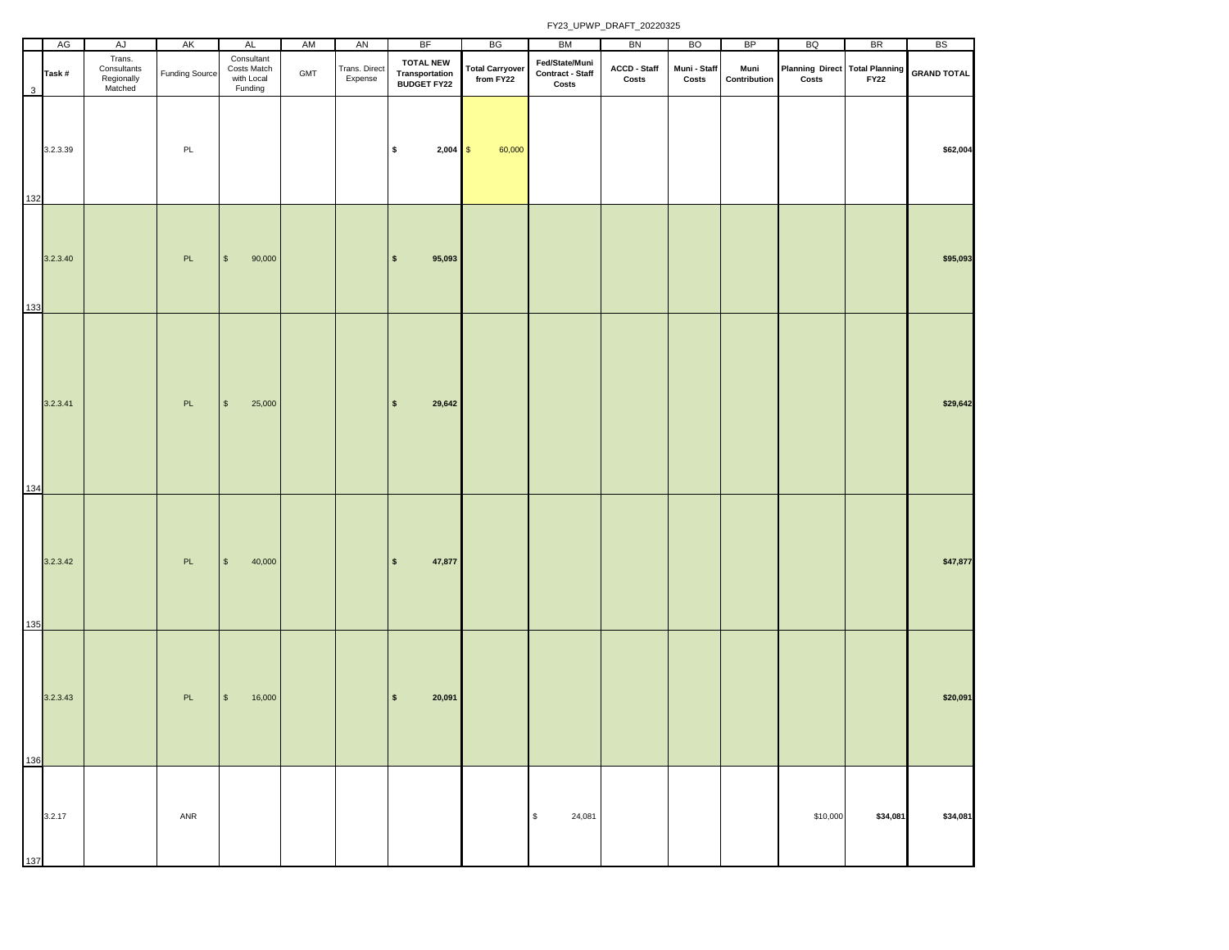|     | AG       | AJ                                             | AK                    | AL                                                 | AM  | AN                       | <b>BF</b>                                                | BG                                  | BM                                          | BN                    | <b>BO</b>             | BP                   | BQ                                      | <b>BR</b>   | <b>BS</b>          |
|-----|----------|------------------------------------------------|-----------------------|----------------------------------------------------|-----|--------------------------|----------------------------------------------------------|-------------------------------------|---------------------------------------------|-----------------------|-----------------------|----------------------|-----------------------------------------|-------------|--------------------|
| 3   | Task#    | Trans.<br>Consultants<br>Regionally<br>Matched | <b>Funding Source</b> | Consultant<br>Costs Match<br>with Local<br>Funding | GMT | Trans. Direct<br>Expense | <b>TOTAL NEW</b><br>Transportation<br><b>BUDGET FY22</b> | <b>Total Carryover</b><br>from FY22 | Fed/State/Muni<br>Contract - Staff<br>Costs | ACCD - Staff<br>Costs | Muni - Staff<br>Costs | Muni<br>Contribution | Planning Direct Total Planning<br>Costs | <b>FY22</b> | <b>GRAND TOTAL</b> |
| 132 | 3.2.3.39 |                                                | PL                    |                                                    |     |                          | $2,004$ \$<br>\$                                         | 60,000                              |                                             |                       |                       |                      |                                         |             | \$62,004           |
| 133 | 3.2.3.40 |                                                | PL                    | $\sqrt{3}$<br>90,000                               |     |                          | 95,093<br>$\sqrt{ }$                                     |                                     |                                             |                       |                       |                      |                                         |             | \$95,093           |
| 134 | 3.2.3.41 |                                                | PL                    | $$\mathbb{S}$$<br>25,000                           |     |                          | $\sqrt{2}$<br>29,642                                     |                                     |                                             |                       |                       |                      |                                         |             | \$29,642           |
| 135 | 3.2.3.42 |                                                | PL                    | $\mathbb{S}$<br>40,000                             |     |                          | 47,877<br>$\vert$ \$                                     |                                     |                                             |                       |                       |                      |                                         |             | \$47,877           |
| 136 | 3.2.3.43 |                                                | PL                    | \$<br>16,000                                       |     |                          | $\sqrt{2}$<br>20,091                                     |                                     |                                             |                       |                       |                      |                                         |             | \$20,091           |
| 137 | 3.2.17   |                                                | ANR                   |                                                    |     |                          |                                                          |                                     | $\mathbb{S}$<br>24,081                      |                       |                       |                      | \$10,000                                | \$34,081    | \$34,081           |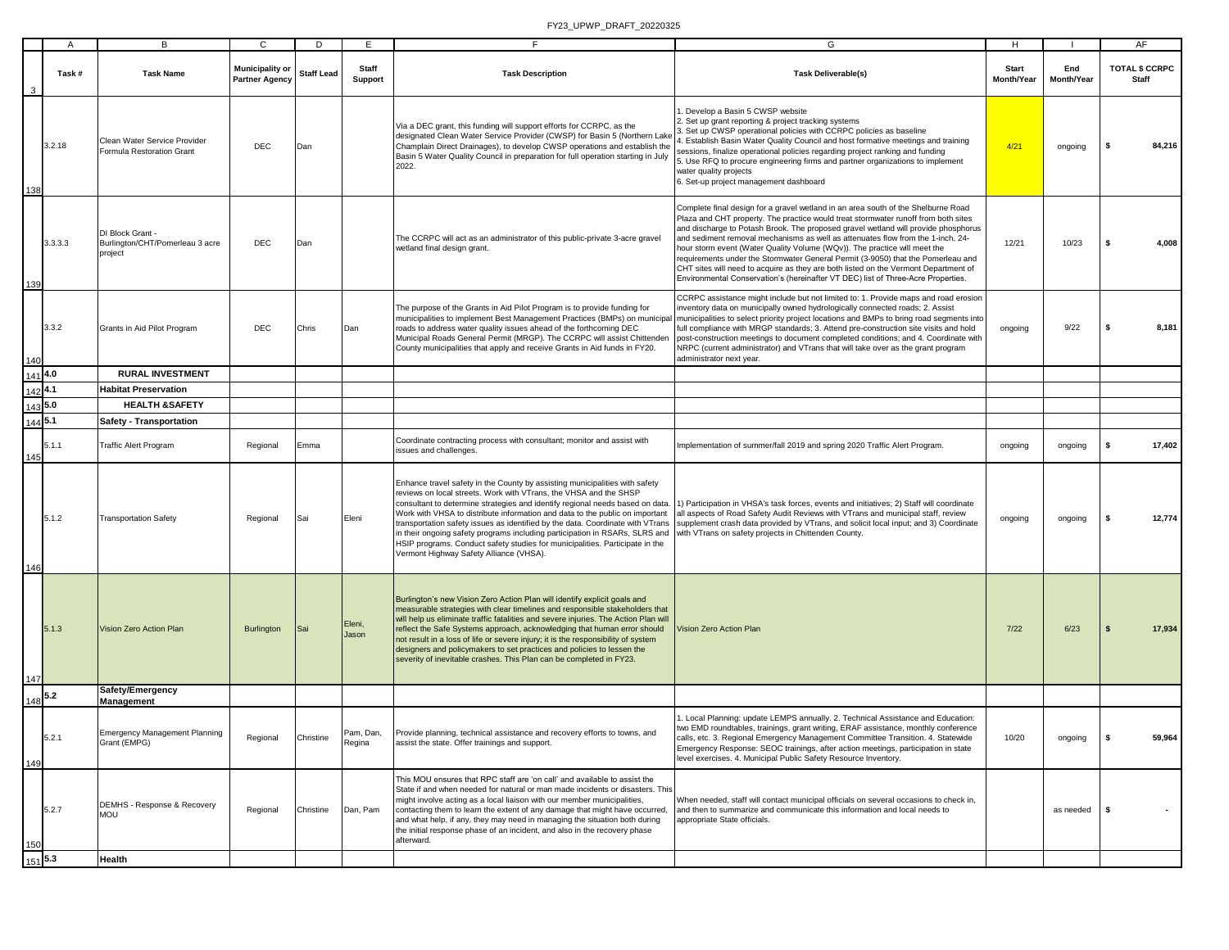|                      | $\mathsf{A}$ | В                                                              | C                                               | D                 | E                       | F.                                                                                                                                                                                                                                                                                                                                                                                                                                                                                                                                                                                                            | G                                                                                                                                                                                                                                                                                                                                                                                                                                                                                                                                                                                                                                                                                            | H                                 |                   | AF                             |
|----------------------|--------------|----------------------------------------------------------------|-------------------------------------------------|-------------------|-------------------------|---------------------------------------------------------------------------------------------------------------------------------------------------------------------------------------------------------------------------------------------------------------------------------------------------------------------------------------------------------------------------------------------------------------------------------------------------------------------------------------------------------------------------------------------------------------------------------------------------------------|----------------------------------------------------------------------------------------------------------------------------------------------------------------------------------------------------------------------------------------------------------------------------------------------------------------------------------------------------------------------------------------------------------------------------------------------------------------------------------------------------------------------------------------------------------------------------------------------------------------------------------------------------------------------------------------------|-----------------------------------|-------------------|--------------------------------|
|                      | Task#        | <b>Task Name</b>                                               | <b>Municipality or</b><br><b>Partner Agency</b> | <b>Staff Lead</b> | <b>Staff</b><br>Support | <b>Task Description</b>                                                                                                                                                                                                                                                                                                                                                                                                                                                                                                                                                                                       | <b>Task Deliverable(s)</b>                                                                                                                                                                                                                                                                                                                                                                                                                                                                                                                                                                                                                                                                   | <b>Start</b><br><b>Month/Year</b> | End<br>Month/Year | <b>TOTAL \$ CCRPC</b><br>Staff |
| 138                  | 3.2.18       | Clean Water Service Provider<br>Formula Restoration Grant      | DEC                                             | Dan               |                         | Via a DEC grant, this funding will support efforts for CCRPC, as the<br>designated Clean Water Service Provider (CWSP) for Basin 5 (Northern Lake<br>Champlain Direct Drainages), to develop CWSP operations and establish the<br>Basin 5 Water Quality Council in preparation for full operation starting in July<br>2022.                                                                                                                                                                                                                                                                                   | Develop a Basin 5 CWSP website<br>. Set up grant reporting & project tracking systems<br>. Set up CWSP operational policies with CCRPC policies as baseline<br>. Establish Basin Water Quality Council and host formative meetings and training<br>sessions, finalize operational policies regarding project ranking and funding<br>5. Use RFQ to procure engineering firms and partner organizations to implement<br>water quality projects<br>6. Set-up project management dashboard                                                                                                                                                                                                       | 4/21                              | ongoing           | l S<br>84,216                  |
| 139                  | 3.3.3.3      | DI Block Grant -<br>Burlington/CHT/Pomerleau 3 acre<br>project | <b>DEC</b>                                      | Dan               |                         | The CCRPC will act as an administrator of this public-private 3-acre gravel<br>wetland final design grant.                                                                                                                                                                                                                                                                                                                                                                                                                                                                                                    | Complete final design for a gravel wetland in an area south of the Shelburne Road<br>Plaza and CHT property. The practice would treat stormwater runoff from both sites<br>and discharge to Potash Brook. The proposed gravel wetland will provide phosphorus<br>and sediment removal mechanisms as well as attenuates flow from the 1-inch, 24-<br>hour storm event (Water Quality Volume (WQv)). The practice will meet the<br>requirements under the Stormwater General Permit (3-9050) that the Pomerleau and<br>CHT sites will need to acquire as they are both listed on the Vermont Department of<br>Environmental Conservation's (hereinafter VT DEC) list of Three-Acre Properties. | 12/21                             | 10/23             | s.<br>4,008                    |
| 140                  | 3.3.2        | Grants in Aid Pilot Program                                    | DEC                                             | Chris             | Dan                     | The purpose of the Grants in Aid Pilot Program is to provide funding for<br>municipalities to implement Best Management Practices (BMPs) on municipal<br>roads to address water quality issues ahead of the forthcoming DEC<br>Municipal Roads General Permit (MRGP). The CCRPC will assist Chittenden<br>County municipalities that apply and receive Grants in Aid funds in FY20.                                                                                                                                                                                                                           | CCRPC assistance might include but not limited to: 1. Provide maps and road erosion<br>nventory data on municipally owned hydrologically connected roads; 2. Assist<br>municipalities to select priority project locations and BMPs to bring road segments into<br>full compliance with MRGP standards; 3. Attend pre-construction site visits and hold<br>post-construction meetings to document completed conditions; and 4. Coordinate with<br>NRPC (current administrator) and VTrans that will take over as the grant program<br>administrator next year.                                                                                                                               | ongoing                           | 9/22              | l S<br>8,181                   |
| 1414.0               |              | <b>RURAL INVESTMENT</b>                                        |                                                 |                   |                         |                                                                                                                                                                                                                                                                                                                                                                                                                                                                                                                                                                                                               |                                                                                                                                                                                                                                                                                                                                                                                                                                                                                                                                                                                                                                                                                              |                                   |                   |                                |
| $142$ <sup>4.1</sup> |              | <b>Habitat Preservation</b>                                    |                                                 |                   |                         |                                                                                                                                                                                                                                                                                                                                                                                                                                                                                                                                                                                                               |                                                                                                                                                                                                                                                                                                                                                                                                                                                                                                                                                                                                                                                                                              |                                   |                   |                                |
| $\frac{143}{5.0}$    |              | <b>HEALTH &amp;SAFETY</b>                                      |                                                 |                   |                         |                                                                                                                                                                                                                                                                                                                                                                                                                                                                                                                                                                                                               |                                                                                                                                                                                                                                                                                                                                                                                                                                                                                                                                                                                                                                                                                              |                                   |                   |                                |
| $144$ 5.1            |              | Safety - Transportation                                        |                                                 |                   |                         |                                                                                                                                                                                                                                                                                                                                                                                                                                                                                                                                                                                                               |                                                                                                                                                                                                                                                                                                                                                                                                                                                                                                                                                                                                                                                                                              |                                   |                   |                                |
| 145                  | 5.1.1        | Traffic Alert Program                                          | Regional                                        | Emma              |                         | Coordinate contracting process with consultant; monitor and assist with<br>issues and challenges.                                                                                                                                                                                                                                                                                                                                                                                                                                                                                                             | Implementation of summer/fall 2019 and spring 2020 Traffic Alert Program.                                                                                                                                                                                                                                                                                                                                                                                                                                                                                                                                                                                                                    | ongoing                           | ongoing           | 17,402<br>l S                  |
| 146                  | 5.1.2        | <b>Transportation Safety</b>                                   | Regional                                        | Sai               | Eleni                   | Enhance travel safety in the County by assisting municipalities with safety<br>reviews on local streets. Work with VTrans, the VHSA and the SHSP<br>consultant to determine strategies and identify regional needs based on data.<br>Work with VHSA to distribute information and data to the public on important<br>transportation safety issues as identified by the data. Coordinate with VTrans<br>in their ongoing safety programs including participation in RSARs, SLRS and<br>HSIP programs. Conduct safety studies for municipalities. Participate in the<br>Vermont Highway Safety Alliance (VHSA). | 1) Participation in VHSA's task forces, events and initiatives; 2) Staff will coordinate<br>all aspects of Road Safety Audit Reviews with VTrans and municipal staff, review<br>supplement crash data provided by VTrans, and solicit local input; and 3) Coordinate<br>with VTrans on safety projects in Chittenden County.                                                                                                                                                                                                                                                                                                                                                                 | ongoing                           | ongoing           | -S<br>12,774                   |
| 147                  | 5.1.3        | Vision Zero Action Plan                                        | <b>Burlington</b>                               | Sai               | Eleni,<br>Jason         | Burlington's new Vision Zero Action Plan will identify explicit goals and<br>measurable strategies with clear timelines and responsible stakeholders that<br>will help us eliminate traffic fatalities and severe injuries. The Action Plan will<br>reflect the Safe Systems approach, acknowledging that human error should<br>not result in a loss of life or severe injury; it is the responsibility of system<br>designers and policymakers to set practices and policies to lessen the<br>severity of inevitable crashes. This Plan can be completed in FY23.                                            | Vision Zero Action Plan                                                                                                                                                                                                                                                                                                                                                                                                                                                                                                                                                                                                                                                                      | 7/22                              | 6/23              | $\sqrt{5}$<br>17,934           |
| $148$ <sup>5.2</sup> |              | Safety/Emergency<br><b>Management</b>                          |                                                 |                   |                         |                                                                                                                                                                                                                                                                                                                                                                                                                                                                                                                                                                                                               |                                                                                                                                                                                                                                                                                                                                                                                                                                                                                                                                                                                                                                                                                              |                                   |                   |                                |
| 149                  | 5.2.1        | Emergency Management Planning<br>Grant (EMPG)                  | Regional                                        | Christine         | Pam, Dan,<br>Regina     | Provide planning, technical assistance and recovery efforts to towns, and<br>assist the state. Offer trainings and support.                                                                                                                                                                                                                                                                                                                                                                                                                                                                                   | 1. Local Planning: update LEMPS annually. 2. Technical Assistance and Education:<br>two EMD roundtables, trainings, grant writing, ERAF assistance, monthly conference<br>calls, etc. 3. Regional Emergency Management Committee Transition. 4. Statewide<br>Emergency Response: SEOC trainings, after action meetings, participation in state<br>level exercises. 4. Municipal Public Safety Resource Inventory.                                                                                                                                                                                                                                                                            | 10/20                             | ongoing           | 59,964                         |
| 150                  | 5.2.7        | DEMHS - Response & Recovery<br><b>MOU</b>                      | Regional                                        | Christine         | Dan, Pam                | This MOU ensures that RPC staff are 'on call' and available to assist the<br>State if and when needed for natural or man made incidents or disasters. This<br>might involve acting as a local liaison with our member municipalities,<br>contacting them to learn the extent of any damage that might have occurred,<br>and what help, if any, they may need in managing the situation both during<br>the initial response phase of an incident, and also in the recovery phase<br>afterward.                                                                                                                 | When needed, staff will contact municipal officials on several occasions to check in,<br>and then to summarize and communicate this information and local needs to<br>appropriate State officials.                                                                                                                                                                                                                                                                                                                                                                                                                                                                                           |                                   | as needed         | l S                            |
| 151 5.3              |              | Health                                                         |                                                 |                   |                         |                                                                                                                                                                                                                                                                                                                                                                                                                                                                                                                                                                                                               |                                                                                                                                                                                                                                                                                                                                                                                                                                                                                                                                                                                                                                                                                              |                                   |                   |                                |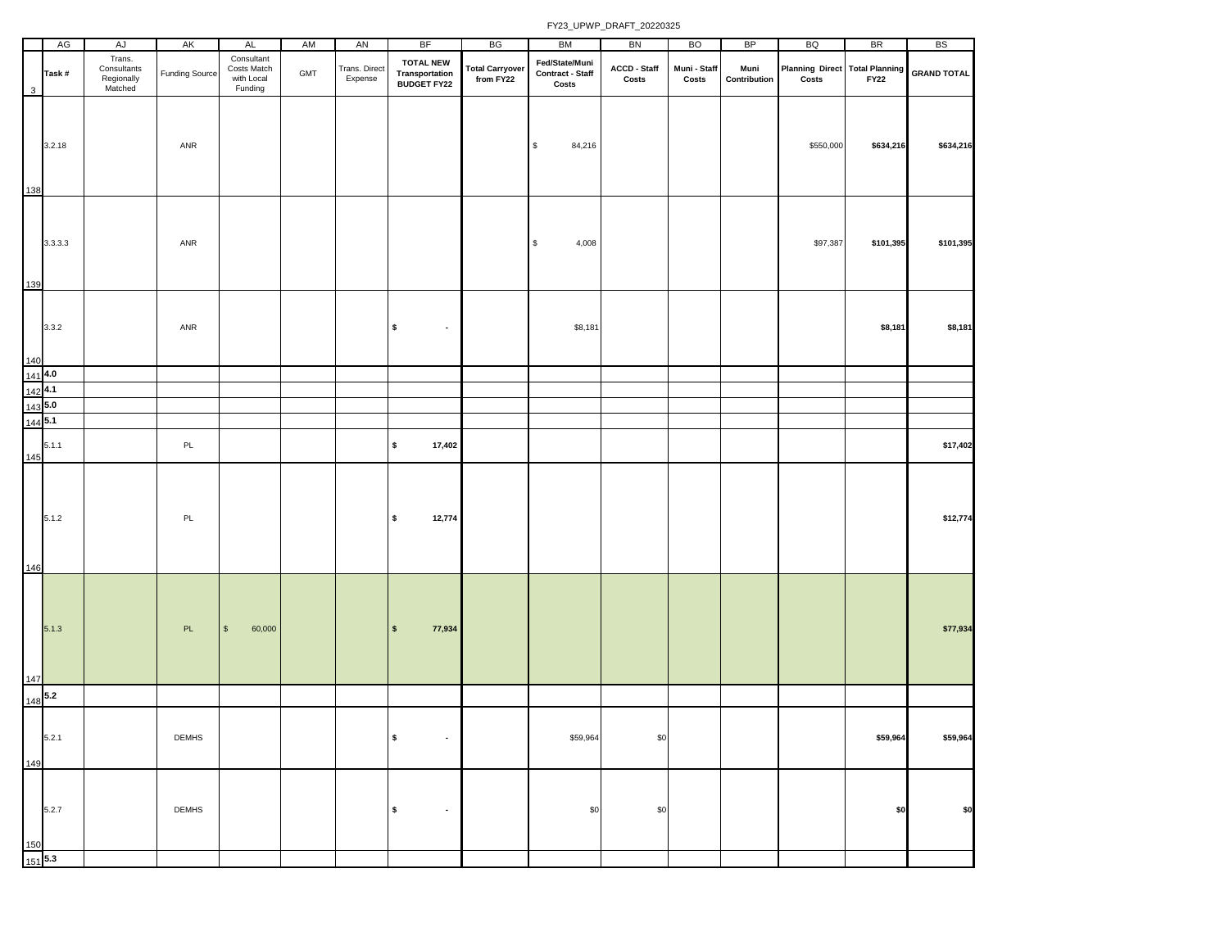|     | AG                    | AJ                                             | AK                    | <b>AL</b>                                          | AM             | AN                       | <b>BF</b>                                                 | BG                                  | BM                                                 | BN                    | <b>BO</b>             | <b>BP</b>            | BQ                                             | <b>BR</b>   | <b>BS</b>          |
|-----|-----------------------|------------------------------------------------|-----------------------|----------------------------------------------------|----------------|--------------------------|-----------------------------------------------------------|-------------------------------------|----------------------------------------------------|-----------------------|-----------------------|----------------------|------------------------------------------------|-------------|--------------------|
| 3   | Task#                 | Trans.<br>Consultants<br>Regionally<br>Matched | <b>Funding Source</b> | Consultant<br>Costs Match<br>with Local<br>Funding | $\mathsf{GMT}$ | Trans. Direct<br>Expense | <b>TOTAL NEW</b><br><b>Transportation<br/>BUDGET FY22</b> | <b>Total Carryover</b><br>from FY22 | Fed/State/Muni<br><b>Contract - Staff</b><br>Costs | ACCD - Staff<br>Costs | Muni - Staff<br>Costs | Muni<br>Contribution | <b>Planning Direct Total Planning</b><br>Costs | <b>FY22</b> | <b>GRAND TOTAL</b> |
| 138 | 3.2.18                |                                                | ANR                   |                                                    |                |                          |                                                           |                                     | \$<br>84,216                                       |                       |                       |                      | \$550,000                                      | \$634,216   | \$634,216          |
| 139 | 3.3.3.3               |                                                | ANR                   |                                                    |                |                          |                                                           |                                     | 4,008<br>\$                                        |                       |                       |                      | \$97,387                                       | \$101,395   | \$101,395          |
| 140 | 3.3.2                 |                                                | ANR                   |                                                    |                |                          | \$<br>$\sim$                                              |                                     | \$8,181                                            |                       |                       |                      |                                                | \$8,181     | \$8,181            |
|     | 1414.0                |                                                |                       |                                                    |                |                          |                                                           |                                     |                                                    |                       |                       |                      |                                                |             |                    |
|     | $142$ 4.1             |                                                |                       |                                                    |                |                          |                                                           |                                     |                                                    |                       |                       |                      |                                                |             |                    |
|     | 1435.0                |                                                |                       |                                                    |                |                          |                                                           |                                     |                                                    |                       |                       |                      |                                                |             |                    |
|     | $144$ 5.1             |                                                |                       |                                                    |                |                          |                                                           |                                     |                                                    |                       |                       |                      |                                                |             |                    |
| 145 | 5.1.1                 |                                                | PL                    |                                                    |                |                          | \$<br>17,402                                              |                                     |                                                    |                       |                       |                      |                                                |             | \$17,402           |
| 146 | 5.1.2                 |                                                | $\mathsf{PL}$         |                                                    |                |                          | \$<br>12,774                                              |                                     |                                                    |                       |                       |                      |                                                |             | \$12,774           |
| 147 | 5.1.3                 |                                                | PL                    | $\mathbb{S}$<br>60,000                             |                |                          | $\pmb{\mathsf{s}}$<br>77,934                              |                                     |                                                    |                       |                       |                      |                                                |             | \$77,934           |
|     | $148$ <sup>5.2</sup>  |                                                |                       |                                                    |                |                          |                                                           |                                     |                                                    |                       |                       |                      |                                                |             |                    |
| 149 | 5.2.1                 |                                                | DEMHS                 |                                                    |                |                          | \$<br>$\blacksquare$                                      |                                     | \$59,964                                           | \$0                   |                       |                      |                                                | \$59,964    | \$59,964           |
|     | 5.2.7                 |                                                | <b>DEMHS</b>          |                                                    |                |                          | \$<br>$\bullet$                                           |                                     | \$0                                                | \$0                   |                       |                      |                                                | \$0         | \$0                |
|     | $\frac{150}{151}$ 5.3 |                                                |                       |                                                    |                |                          |                                                           |                                     |                                                    |                       |                       |                      |                                                |             |                    |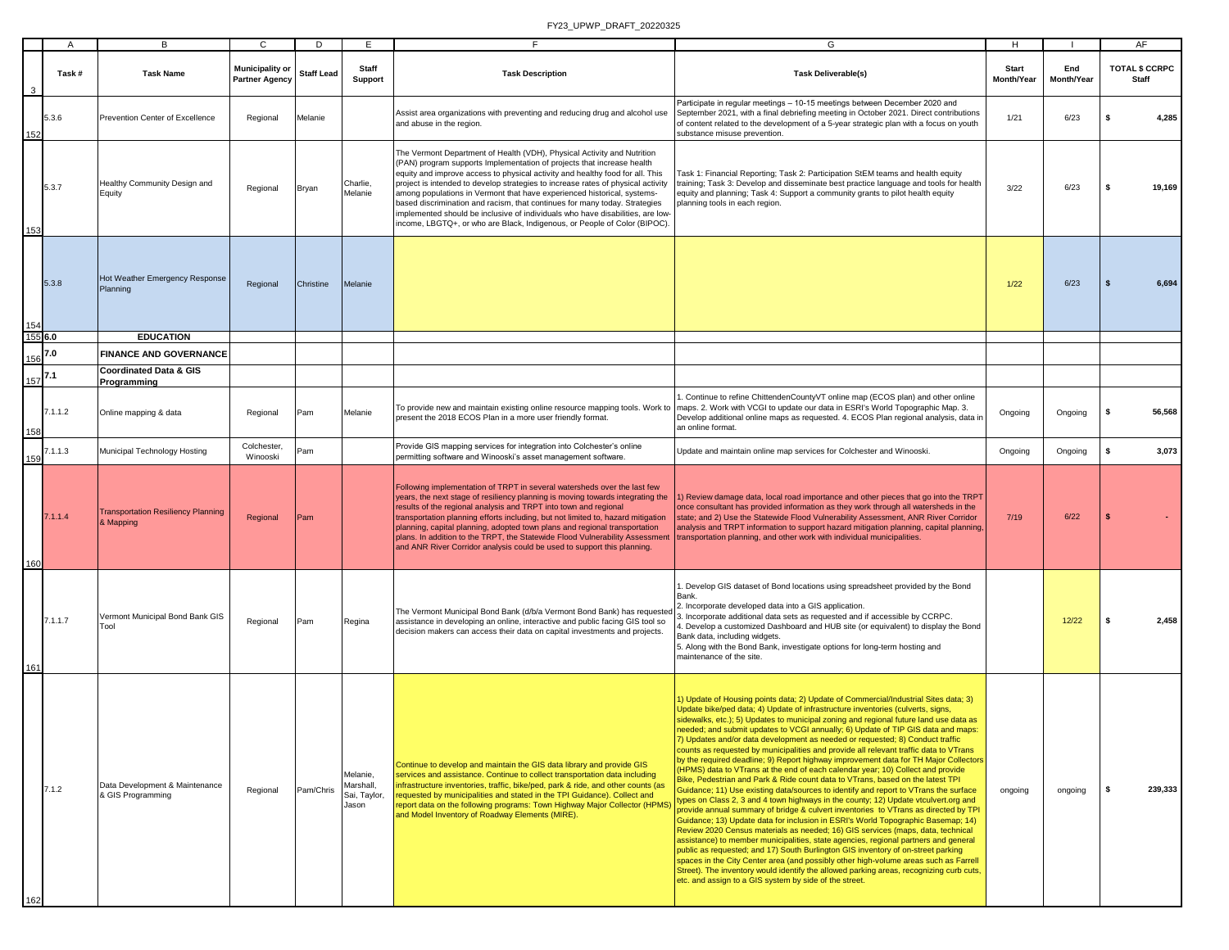|                         | A       | В                                                      | $\mathbf{C}$                                    | D                 | E                                              | F                                                                                                                                                                                                                                                                                                                                                                                                                                                                                                                                                                                                                                              | G                                                                                                                                                                                                                                                                                                                                                                                                                                                                                                                                                                                                                                                                                                                                                                                                                                                                                                                                                                                                                                                                                                                                                                                                                                                                                                                                                                                                                                                                                                                                                                                                                                                               | H                          |                   | AF                                    |
|-------------------------|---------|--------------------------------------------------------|-------------------------------------------------|-------------------|------------------------------------------------|------------------------------------------------------------------------------------------------------------------------------------------------------------------------------------------------------------------------------------------------------------------------------------------------------------------------------------------------------------------------------------------------------------------------------------------------------------------------------------------------------------------------------------------------------------------------------------------------------------------------------------------------|-----------------------------------------------------------------------------------------------------------------------------------------------------------------------------------------------------------------------------------------------------------------------------------------------------------------------------------------------------------------------------------------------------------------------------------------------------------------------------------------------------------------------------------------------------------------------------------------------------------------------------------------------------------------------------------------------------------------------------------------------------------------------------------------------------------------------------------------------------------------------------------------------------------------------------------------------------------------------------------------------------------------------------------------------------------------------------------------------------------------------------------------------------------------------------------------------------------------------------------------------------------------------------------------------------------------------------------------------------------------------------------------------------------------------------------------------------------------------------------------------------------------------------------------------------------------------------------------------------------------------------------------------------------------|----------------------------|-------------------|---------------------------------------|
| $\overline{\mathbf{3}}$ | Task#   | <b>Task Name</b>                                       | <b>Municipality or</b><br><b>Partner Agency</b> | <b>Staff Lead</b> | <b>Staff</b><br>Support                        | <b>Task Description</b>                                                                                                                                                                                                                                                                                                                                                                                                                                                                                                                                                                                                                        | <b>Task Deliverable(s)</b>                                                                                                                                                                                                                                                                                                                                                                                                                                                                                                                                                                                                                                                                                                                                                                                                                                                                                                                                                                                                                                                                                                                                                                                                                                                                                                                                                                                                                                                                                                                                                                                                                                      | <b>Start</b><br>Month/Year | End<br>Month/Year | <b>TOTAL \$ CCRPC</b><br><b>Staff</b> |
| 152                     | 5.3.6   | Prevention Center of Excellence                        | Regional                                        | Melanie           |                                                | Assist area organizations with preventing and reducing drug and alcohol use<br>and abuse in the region.                                                                                                                                                                                                                                                                                                                                                                                                                                                                                                                                        | Participate in regular meetings - 10-15 meetings between December 2020 and<br>September 2021, with a final debriefing meeting in October 2021. Direct contributions<br>of content related to the development of a 5-year strategic plan with a focus on youth<br>substance misuse prevention.                                                                                                                                                                                                                                                                                                                                                                                                                                                                                                                                                                                                                                                                                                                                                                                                                                                                                                                                                                                                                                                                                                                                                                                                                                                                                                                                                                   | 1/21                       | 6/23              | -S<br>4,285                           |
| 153                     | 5.3.7   | lealthy Community Design and<br>Equity                 | Regional                                        | Bryan             | Charlie,<br>Melanie                            | The Vermont Department of Health (VDH), Physical Activity and Nutrition<br>(PAN) program supports Implementation of projects that increase health<br>equity and improve access to physical activity and healthy food for all. This<br>project is intended to develop strategies to increase rates of physical activity<br>among populations in Vermont that have experienced historical, systems-<br>based discrimination and racism, that continues for many today. Strategies<br>implemented should be inclusive of individuals who have disabilities, are low-<br>income, LBGTQ+, or who are Black, Indigenous, or People of Color (BIPOC). | Task 1: Financial Reporting; Task 2: Participation StEM teams and health equity<br>training; Task 3: Develop and disseminate best practice language and tools for health<br>equity and planning; Task 4: Support a community grants to pilot health equity<br>planning tools in each region.                                                                                                                                                                                                                                                                                                                                                                                                                                                                                                                                                                                                                                                                                                                                                                                                                                                                                                                                                                                                                                                                                                                                                                                                                                                                                                                                                                    | 3/22                       | 6/23              | -S<br>19,169                          |
| 154                     | 5.3.8   | Hot Weather Emergency Response<br>Planning             | Regional                                        | Christine         | Melanie                                        |                                                                                                                                                                                                                                                                                                                                                                                                                                                                                                                                                                                                                                                |                                                                                                                                                                                                                                                                                                                                                                                                                                                                                                                                                                                                                                                                                                                                                                                                                                                                                                                                                                                                                                                                                                                                                                                                                                                                                                                                                                                                                                                                                                                                                                                                                                                                 | 1/22                       | 6/23              | 6,694<br>s.                           |
| 155 6.0                 |         | <b>EDUCATION</b>                                       |                                                 |                   |                                                |                                                                                                                                                                                                                                                                                                                                                                                                                                                                                                                                                                                                                                                |                                                                                                                                                                                                                                                                                                                                                                                                                                                                                                                                                                                                                                                                                                                                                                                                                                                                                                                                                                                                                                                                                                                                                                                                                                                                                                                                                                                                                                                                                                                                                                                                                                                                 |                            |                   |                                       |
| 156                     | 7.0     | <b>FINANCE AND GOVERNANCE</b>                          |                                                 |                   |                                                |                                                                                                                                                                                                                                                                                                                                                                                                                                                                                                                                                                                                                                                |                                                                                                                                                                                                                                                                                                                                                                                                                                                                                                                                                                                                                                                                                                                                                                                                                                                                                                                                                                                                                                                                                                                                                                                                                                                                                                                                                                                                                                                                                                                                                                                                                                                                 |                            |                   |                                       |
| $157$ <sup>7.1</sup>    |         | <b>Coordinated Data &amp; GIS</b><br>Programming       |                                                 |                   |                                                |                                                                                                                                                                                                                                                                                                                                                                                                                                                                                                                                                                                                                                                |                                                                                                                                                                                                                                                                                                                                                                                                                                                                                                                                                                                                                                                                                                                                                                                                                                                                                                                                                                                                                                                                                                                                                                                                                                                                                                                                                                                                                                                                                                                                                                                                                                                                 |                            |                   |                                       |
| 158                     | 7.1.1.2 | Online mapping & data                                  | Regional                                        | Pam               | Melanie                                        | To provide new and maintain existing online resource mapping tools. Work to<br>present the 2018 ECOS Plan in a more user friendly format.                                                                                                                                                                                                                                                                                                                                                                                                                                                                                                      | Continue to refine ChittendenCountyVT online map (ECOS plan) and other online<br>maps. 2. Work with VCGI to update our data in ESRI's World Topographic Map. 3.<br>Develop additional online maps as requested. 4. ECOS Plan regional analysis, data ir<br>an online format.                                                                                                                                                                                                                                                                                                                                                                                                                                                                                                                                                                                                                                                                                                                                                                                                                                                                                                                                                                                                                                                                                                                                                                                                                                                                                                                                                                                    | Ongoing                    | Ongoing           | s.<br>56,568                          |
| 159                     | 7.1.1.3 | Municipal Technology Hosting                           | Colchester,<br>Winooski                         | Pam               |                                                | Provide GIS mapping services for integration into Colchester's online<br>permitting software and Winooski's asset management software.                                                                                                                                                                                                                                                                                                                                                                                                                                                                                                         | Update and maintain online map services for Colchester and Winooski.                                                                                                                                                                                                                                                                                                                                                                                                                                                                                                                                                                                                                                                                                                                                                                                                                                                                                                                                                                                                                                                                                                                                                                                                                                                                                                                                                                                                                                                                                                                                                                                            | Ongoing                    | Ongoing           | s.<br>3,073                           |
| 160                     | 7.1.1.4 | <b>Transportation Resiliency Planning</b><br>& Mapping | Regional                                        | Pam               |                                                | Following implementation of TRPT in several watersheds over the last few<br>years, the next stage of resiliency planning is moving towards integrating the<br>results of the regional analysis and TRPT into town and regional<br>transportation planning efforts including, but not limited to, hazard mitigation<br>planning, capital planning, adopted town plans and regional transportation<br>plans. In addition to the TRPT, the Statewide Flood Vulnerability Assessment<br>and ANR River Corridor analysis could be used to support this planning.                                                                                    | 1) Review damage data, local road importance and other pieces that go into the TRPT<br>once consultant has provided information as they work through all watersheds in the<br>state; and 2) Use the Statewide Flood Vulnerability Assessment, ANR River Corridor<br>analysis and TRPT information to support hazard mitigation planning, capital planning,<br>transportation planning, and other work with individual municipalities.                                                                                                                                                                                                                                                                                                                                                                                                                                                                                                                                                                                                                                                                                                                                                                                                                                                                                                                                                                                                                                                                                                                                                                                                                           | 7/19                       | 6/22              | - \$                                  |
| 161                     | 7.1.1.7 | Vermont Municipal Bond Bank GIS<br>Tool                | Regional                                        | Pam               | Regina                                         | The Vermont Municipal Bond Bank (d/b/a Vermont Bond Bank) has requested<br>assistance in developing an online, interactive and public facing GIS tool so<br>decision makers can access their data on capital investments and projects.                                                                                                                                                                                                                                                                                                                                                                                                         | . Develop GIS dataset of Bond locations using spreadsheet provided by the Bond<br>Bank.<br>2. Incorporate developed data into a GIS application.<br>3. Incorporate additional data sets as requested and if accessible by CCRPC.<br>. Develop a customized Dashboard and HUB site (or equivalent) to display the Bond<br>Bank data, including widgets.<br>5. Along with the Bond Bank, investigate options for long-term hosting and<br>maintenance of the site.                                                                                                                                                                                                                                                                                                                                                                                                                                                                                                                                                                                                                                                                                                                                                                                                                                                                                                                                                                                                                                                                                                                                                                                                |                            | 12/22             | ls.<br>2,458                          |
| 162                     | 7.1.2   | Data Development & Maintenance<br>& GIS Programming    | Regional                                        | Pam/Chris         | Melanie,<br>Marshall,<br>Sai, Taylor,<br>Jason | Continue to develop and maintain the GIS data library and provide GIS<br>services and assistance. Continue to collect transportation data including<br>infrastructure inventories, traffic, bike/ped, park & ride, and other counts (as<br>requested by municipalities and stated in the TPI Guidance). Collect and<br>report data on the following programs: Town Highway Major Collector (HPMS)<br>and Model Inventory of Roadway Elements (MIRE).                                                                                                                                                                                           | 1) Update of Housing points data; 2) Update of Commercial/Industrial Sites data; 3)<br>Update bike/ped data; 4) Update of infrastructure inventories (culverts, signs,<br>sidewalks, etc.); 5) Updates to municipal zoning and regional future land use data as<br>needed; and submit updates to VCGI annually; 6) Update of TIP GIS data and maps:<br>7) Updates and/or data development as needed or requested; 8) Conduct traffic<br>counts as requested by municipalities and provide all relevant traffic data to VTrans<br>by the required deadline; 9) Report highway improvement data for TH Major Collectors<br>(HPMS) data to VTrans at the end of each calendar year; 10) Collect and provide<br>Bike, Pedestrian and Park & Ride count data to VTrans, based on the latest TPI<br>Guidance; 11) Use existing data/sources to identify and report to VTrans the surface<br>types on Class 2, 3 and 4 town highways in the county; 12) Update vtculvert.org and<br>provide annual summary of bridge & culvert inventories to VTrans as directed by TPI<br>Guidance; 13) Update data for inclusion in ESRI's World Topographic Basemap; 14)<br>Review 2020 Census materials as needed; 16) GIS services (maps, data, technical<br>assistance) to member municipalities, state agencies, regional partners and general<br>public as requested; and 17) South Burlington GIS inventory of on-street parking<br>spaces in the City Center area (and possibly other high-volume areas such as Farrell<br>Street). The inventory would identify the allowed parking areas, recognizing curb cuts,<br>etc. and assign to a GIS system by side of the street. | ongoing                    | ongoing           | 239,333<br>l S                        |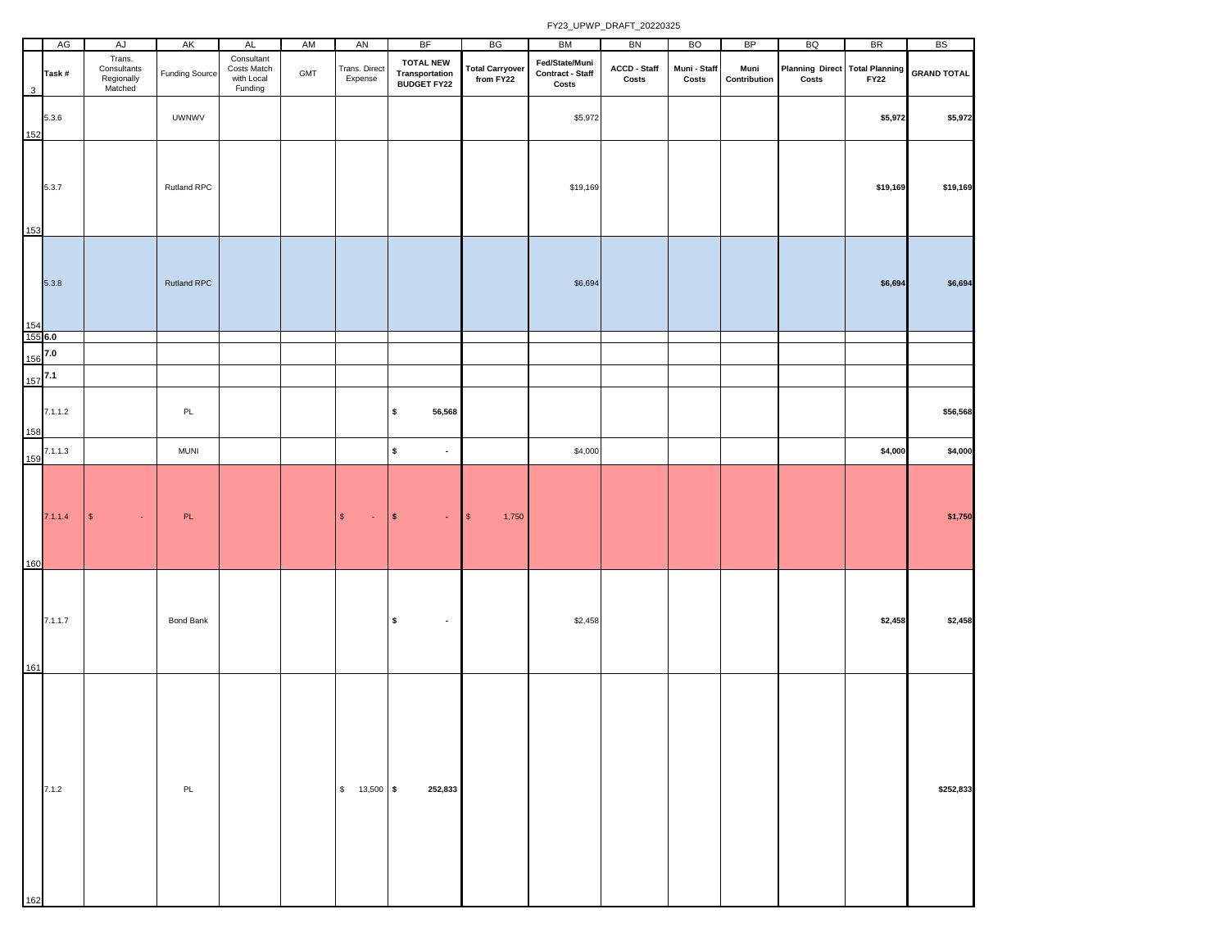|              | AG             | AJ                                             | AK                    | AL                                                 | AM  | AN                       | <b>BF</b>                                                | BG                                  | BM                                                 | BN                    | <b>BO</b>             | <b>BP</b>            | BQ                                      | <b>BR</b>   | <b>BS</b>          |
|--------------|----------------|------------------------------------------------|-----------------------|----------------------------------------------------|-----|--------------------------|----------------------------------------------------------|-------------------------------------|----------------------------------------------------|-----------------------|-----------------------|----------------------|-----------------------------------------|-------------|--------------------|
| $\mathbf{3}$ | Task#          | Trans.<br>Consultants<br>Regionally<br>Matched | <b>Funding Source</b> | Consultant<br>Costs Match<br>with Local<br>Funding | GMT | Trans. Direct<br>Expense | <b>TOTAL NEW</b><br>Transportation<br><b>BUDGET FY22</b> | <b>Total Carryover</b><br>from FY22 | Fed/State/Muni<br><b>Contract - Staff</b><br>Costs | ACCD - Staff<br>Costs | Muni - Staff<br>Costs | Muni<br>Contribution | Planning Direct Total Planning<br>Costs | <b>FY22</b> | <b>GRAND TOTAL</b> |
| 152          | 5.3.6          |                                                | <b>UWNWV</b>          |                                                    |     |                          |                                                          |                                     | \$5,972                                            |                       |                       |                      |                                         | \$5,972     | \$5,972            |
| 153          | 5.3.7          |                                                | Rutland RPC           |                                                    |     |                          |                                                          |                                     | \$19,169                                           |                       |                       |                      |                                         | \$19,169    | \$19,169           |
| 154          | 5.3.8          |                                                | Rutland RPC           |                                                    |     |                          |                                                          |                                     | \$6,694                                            |                       |                       |                      |                                         | \$6,694     | \$6,694            |
|              | 155 6.0<br>7.0 |                                                |                       |                                                    |     |                          |                                                          |                                     |                                                    |                       |                       |                      |                                         |             |                    |
| 156          | 7.1            |                                                |                       |                                                    |     |                          |                                                          |                                     |                                                    |                       |                       |                      |                                         |             |                    |
| 157          |                |                                                |                       |                                                    |     |                          |                                                          |                                     |                                                    |                       |                       |                      |                                         |             |                    |
| 158          | 7.1.1.2        |                                                | $\mathsf{PL}$         |                                                    |     |                          | \$<br>56,568                                             |                                     |                                                    |                       |                       |                      |                                         |             | \$56,568           |
| 159          | 7.1.1.3        |                                                | <b>MUNI</b>           |                                                    |     |                          | $\pmb{\mathsf{s}}$<br>$\blacksquare$                     |                                     | \$4,000                                            |                       |                       |                      |                                         | \$4,000     | \$4,000            |
| 160          | 7.1.1.4        | $\mathbb{S}$<br>$\bullet$                      | PL                    |                                                    |     | $\mathbb{S}$<br>$\sim$   | $\pmb{\mathsf{s}}$<br>$\bullet$                          | $\sqrt{3}$<br>1,750                 |                                                    |                       |                       |                      |                                         |             | \$1,750            |
| 161          | 7.1.1.7        |                                                | <b>Bond Bank</b>      |                                                    |     |                          | $\pmb{\mathsf{s}}$<br>$\bullet$                          |                                     | \$2,458                                            |                       |                       |                      |                                         | \$2,458     | \$2,458            |
| 162          | 7.1.2          |                                                | PL                    |                                                    |     | $$ 13,500$ \$            | 252,833                                                  |                                     |                                                    |                       |                       |                      |                                         |             | \$252,833          |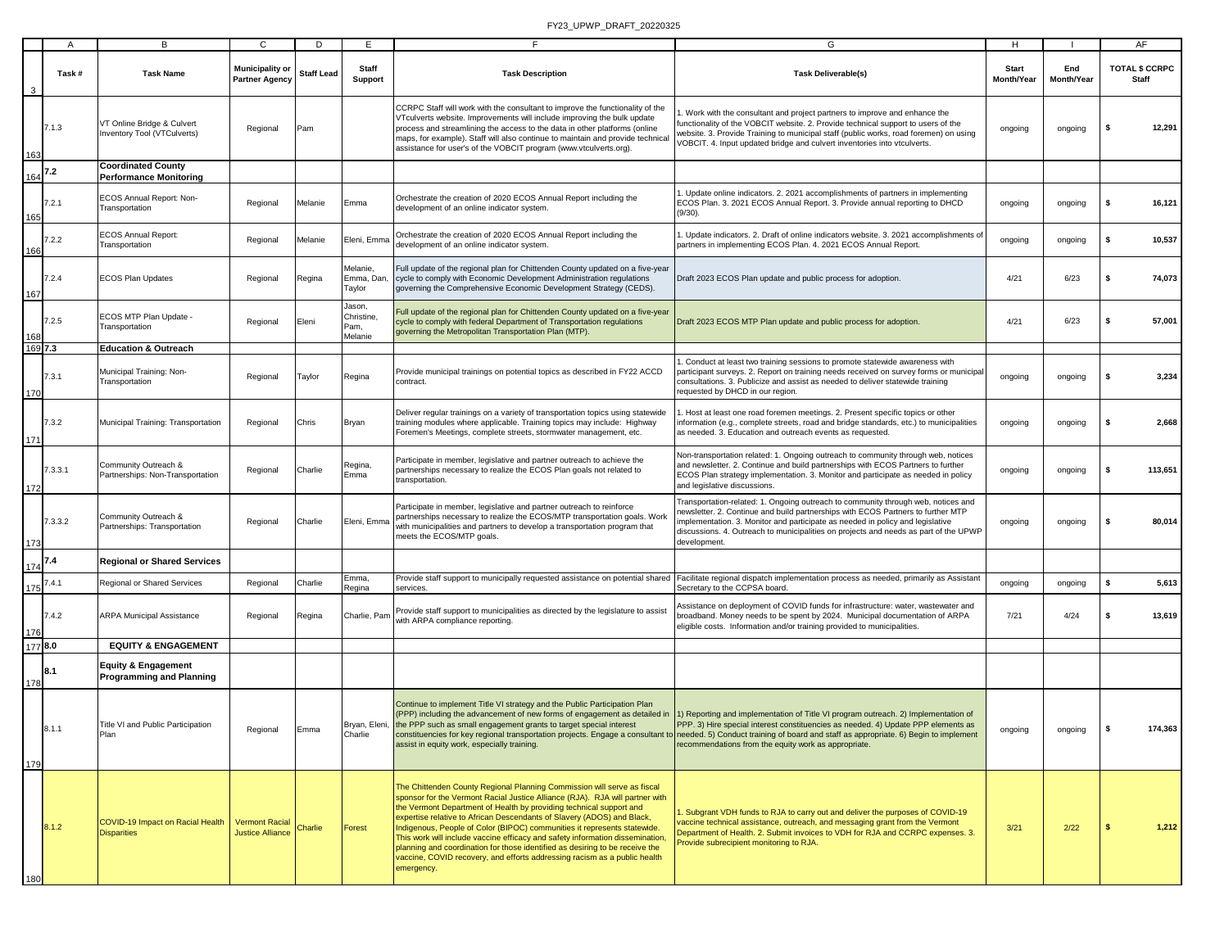|         | A       | В                                                                 | C                                                | D                 | Е                                      |                                                                                                                                                                                                                                                                                                                                                                                                                                                                                                                                                                                                                                                 | G                                                                                                                                                                                                                                                                                                                                                                                                      | н                          |                   | AF                                    |
|---------|---------|-------------------------------------------------------------------|--------------------------------------------------|-------------------|----------------------------------------|-------------------------------------------------------------------------------------------------------------------------------------------------------------------------------------------------------------------------------------------------------------------------------------------------------------------------------------------------------------------------------------------------------------------------------------------------------------------------------------------------------------------------------------------------------------------------------------------------------------------------------------------------|--------------------------------------------------------------------------------------------------------------------------------------------------------------------------------------------------------------------------------------------------------------------------------------------------------------------------------------------------------------------------------------------------------|----------------------------|-------------------|---------------------------------------|
|         | Task #  | <b>Task Name</b>                                                  | Municipality or<br><b>Partner Agency</b>         | <b>Staff Lead</b> | Staff<br><b>Support</b>                | <b>Task Description</b>                                                                                                                                                                                                                                                                                                                                                                                                                                                                                                                                                                                                                         | <b>Task Deliverable(s)</b>                                                                                                                                                                                                                                                                                                                                                                             | <b>Start</b><br>Month/Year | End<br>Month/Year | <b>TOTAL \$ CCRPC</b><br><b>Staff</b> |
| 163     | 7.1.3   | VT Online Bridge & Culvert<br>Inventory Tool (VTCulverts)         | Regional                                         | Pam               |                                        | CCRPC Staff will work with the consultant to improve the functionality of the<br>VTculverts website. Improvements will include improving the bulk update<br>process and streamlining the access to the data in other platforms (online<br>maps, for example). Staff will also continue to maintain and provide technical<br>assistance for user's of the VOBCIT program (www.vtculverts.org).                                                                                                                                                                                                                                                   | . Work with the consultant and project partners to improve and enhance the<br>functionality of the VOBCIT website. 2. Provide technical support to users of the<br>vebsite. 3. Provide Training to municipal staff (public works, road foremen) on using<br>OBCIT. 4. Input updated bridge and culvert inventories into vtculverts.                                                                    | ongoing                    | ongoing           | 12,291<br>-S                          |
|         | 7.2     | Coordinated County<br><b>Performance Monitoring</b>               |                                                  |                   |                                        |                                                                                                                                                                                                                                                                                                                                                                                                                                                                                                                                                                                                                                                 |                                                                                                                                                                                                                                                                                                                                                                                                        |                            |                   |                                       |
| 165     | 7.2.1   | ECOS Annual Report: Non-<br>Transportation                        | Regional                                         | Melanie           | Emma                                   | Orchestrate the creation of 2020 ECOS Annual Report including the<br>development of an online indicator system.                                                                                                                                                                                                                                                                                                                                                                                                                                                                                                                                 | Update online indicators. 2. 2021 accomplishments of partners in implementing<br>ECOS Plan. 3. 2021 ECOS Annual Report. 3. Provide annual reporting to DHCD<br>$(9/30)$ .                                                                                                                                                                                                                              | ongoing                    | ongoing           | \$<br>16,121                          |
| 166     | 7.2.2   | <b>ECOS Annual Report:</b><br>Transportation                      | Regional                                         | Melanie           | Eleni, Emma                            | Orchestrate the creation of 2020 ECOS Annual Report including the<br>development of an online indicator system.                                                                                                                                                                                                                                                                                                                                                                                                                                                                                                                                 | Update indicators. 2. Draft of online indicators website. 3. 2021 accomplishments of<br>partners in implementing ECOS Plan. 4. 2021 ECOS Annual Report.                                                                                                                                                                                                                                                | ongoing                    | ongoing           | 10,537<br>\$                          |
| 167     | 7.2.4   | <b>ECOS Plan Updates</b>                                          | Regional                                         | Regina            | Melanie,<br>Emma, Dan<br>Taylor        | Full update of the regional plan for Chittenden County updated on a five-year<br>cycle to comply with Economic Development Administration regulations<br>governing the Comprehensive Economic Development Strategy (CEDS).                                                                                                                                                                                                                                                                                                                                                                                                                      | Draft 2023 ECOS Plan update and public process for adoption.                                                                                                                                                                                                                                                                                                                                           | 4/21                       | 6/23              | s<br>74,073                           |
|         | 7.2.5   | ECOS MTP Plan Update -<br>Transportation                          | Regional                                         | Eleni             | Jason,<br>Christine<br>Pam,<br>Melanie | Full update of the regional plan for Chittenden County updated on a five-year<br>cycle to comply with federal Department of Transportation regulations<br>governing the Metropolitan Transportation Plan (MTP).                                                                                                                                                                                                                                                                                                                                                                                                                                 | Draft 2023 ECOS MTP Plan update and public process for adoption.                                                                                                                                                                                                                                                                                                                                       | 4/21                       | 6/23              | s<br>57,001                           |
| 169 7.3 |         | <b>Education &amp; Outreach</b>                                   |                                                  |                   |                                        |                                                                                                                                                                                                                                                                                                                                                                                                                                                                                                                                                                                                                                                 |                                                                                                                                                                                                                                                                                                                                                                                                        |                            |                   |                                       |
| 170     | 7.3.1   | Municipal Training: Non-<br>Transportation                        | Regional                                         | Taylor            | Regina                                 | Provide municipal trainings on potential topics as described in FY22 ACCD<br>contract.                                                                                                                                                                                                                                                                                                                                                                                                                                                                                                                                                          | Conduct at least two training sessions to promote statewide awareness with<br>participant surveys. 2. Report on training needs received on survey forms or municipa<br>consultations. 3. Publicize and assist as needed to deliver statewide training<br>requested by DHCD in our region.                                                                                                              | ongoing                    | ongoing           | \$<br>3,234                           |
| 171     | 7.3.2   | Municipal Training: Transportation                                | Regional                                         | Chris             | Bryan                                  | Deliver regular trainings on a variety of transportation topics using statewide<br>training modules where applicable. Training topics may include: Highway<br>Foremen's Meetings, complete streets, stormwater management, etc.                                                                                                                                                                                                                                                                                                                                                                                                                 | Host at least one road foremen meetings. 2. Present specific topics or other<br>nformation (e.g., complete streets, road and bridge standards, etc.) to municipalities<br>as needed. 3. Education and outreach events as requested.                                                                                                                                                                    | ongoing                    | ongoing           | s<br>2,668                            |
| 172     | 7.3.3.1 | Community Outreach &<br>Partnerships: Non-Transportation          | Regional                                         | Charlie           | Regina,<br>Emma                        | Participate in member, legislative and partner outreach to achieve the<br>partnerships necessary to realize the ECOS Plan goals not related to<br>transportation.                                                                                                                                                                                                                                                                                                                                                                                                                                                                               | Von-transportation related: 1. Ongoing outreach to community through web, notices<br>and newsletter. 2. Continue and build partnerships with ECOS Partners to further<br>ECOS Plan strategy implementation. 3. Monitor and participate as needed in policy<br>and legislative discussions.                                                                                                             | ongoing                    | ongoing           | 113,651<br>\$                         |
| 173     | 7.3.3.2 | Community Outreach &<br>Partnerships: Transportation              | Regional                                         | Charlie           | Eleni, Emma                            | Participate in member, legislative and partner outreach to reinforce<br>partnerships necessary to realize the ECOS/MTP transportation goals. Work<br>with municipalities and partners to develop a transportation program that<br>meets the ECOS/MTP goals.                                                                                                                                                                                                                                                                                                                                                                                     | Transportation-related: 1. Ongoing outreach to community through web, notices and<br>newsletter. 2. Continue and build partnerships with ECOS Partners to further MTP<br>mplementation. 3. Monitor and participate as needed in policy and legislative<br>discussions. 4. Outreach to municipalities on projects and needs as part of the UPWP<br>development.                                         | ongoing                    | ongoing           | 80,014<br>s                           |
| 174     | 7.4     | <b>Regional or Shared Services</b>                                |                                                  |                   |                                        |                                                                                                                                                                                                                                                                                                                                                                                                                                                                                                                                                                                                                                                 |                                                                                                                                                                                                                                                                                                                                                                                                        |                            |                   |                                       |
| 175     | 7.4.1   | Regional or Shared Services                                       | Regional                                         | Charlie           | Emma.<br>Regina                        | Provide staff support to municipally requested assistance on potential shared<br>services.                                                                                                                                                                                                                                                                                                                                                                                                                                                                                                                                                      | Facilitate regional dispatch implementation process as needed, primarily as Assistant<br>Secretary to the CCPSA board.                                                                                                                                                                                                                                                                                 | ongoing                    | ongoing           | s.<br>5,613                           |
| 176     | 7.4.2   | ARPA Municipal Assistance                                         | Regional                                         | Regina            | Charlie, Pam                           | Provide staff support to municipalities as directed by the legislature to assist<br>with ARPA compliance reporting.                                                                                                                                                                                                                                                                                                                                                                                                                                                                                                                             | Assistance on deployment of COVID funds for infrastructure: water, wastewater and<br>roadband. Money needs to be spent by 2024. Municipal documentation of ARPA<br>eligible costs. Information and/or training provided to municipalities.                                                                                                                                                             | 7/21                       | 4/24              | s.<br>13,619                          |
| 1778.0  |         | <b>EQUITY &amp; ENGAGEMENT</b>                                    |                                                  |                   |                                        |                                                                                                                                                                                                                                                                                                                                                                                                                                                                                                                                                                                                                                                 |                                                                                                                                                                                                                                                                                                                                                                                                        |                            |                   |                                       |
| 178     | 8.1     | <b>Equity &amp; Engagement</b><br><b>Programming and Planning</b> |                                                  |                   |                                        |                                                                                                                                                                                                                                                                                                                                                                                                                                                                                                                                                                                                                                                 |                                                                                                                                                                                                                                                                                                                                                                                                        |                            |                   |                                       |
| 179     | 8.1.1   | Title VI and Public Participation<br>lan                          | Regional                                         | Emma              | ∶harlie                                | Continue to implement Title VI strategy and the Public Participation Plan<br>(PPP) including the advancement of new forms of engagement as detailed in<br>Bryan, Eleni, the PPP such as small engagement grants to target special interest<br>assist in equity work, especially training.                                                                                                                                                                                                                                                                                                                                                       | ) Reporting and implementation of Title VI program outreach. 2) Implementation of<br>PPP. 3) Hire special interest constituencies as needed. 4) Update PPP elements as<br>constituencies for key regional transportation projects. Engage a consultant to needed. 5) Conduct training of board and staff as appropriate. 6) Begin to implement<br>recommendations from the equity work as appropriate. | ongoing                    | ongoing           | 174,363<br>I\$                        |
| 180     | 8.1.2   | <b>COVID-19 Impact on Racial Health</b><br><b>Disparities</b>     | <b>Vermont Racial</b><br><b>Justice Alliance</b> | Charlie           | Forest                                 | The Chittenden County Regional Planning Commission will serve as fiscal<br>sponsor for the Vermont Racial Justice Alliance (RJA). RJA will partner with<br>the Vermont Department of Health by providing technical support and<br>expertise relative to African Descendants of Slavery (ADOS) and Black,<br>Indigenous, People of Color (BIPOC) communities it represents statewide.<br>This work will include vaccine efficacy and safety information dissemination<br>planning and coordination for those identified as desiring to be receive the<br>vaccine, COVID recovery, and efforts addressing racism as a public health<br>emergency. | 1. Subgrant VDH funds to RJA to carry out and deliver the purposes of COVID-19<br>accine technical assistance, outreach, and messaging grant from the Vermont<br>Department of Health. 2. Submit invoices to VDH for RJA and CCRPC expenses. 3.<br>Provide subrecipient monitoring to RJA.                                                                                                             | 3/21                       | 2/22              | 1,212                                 |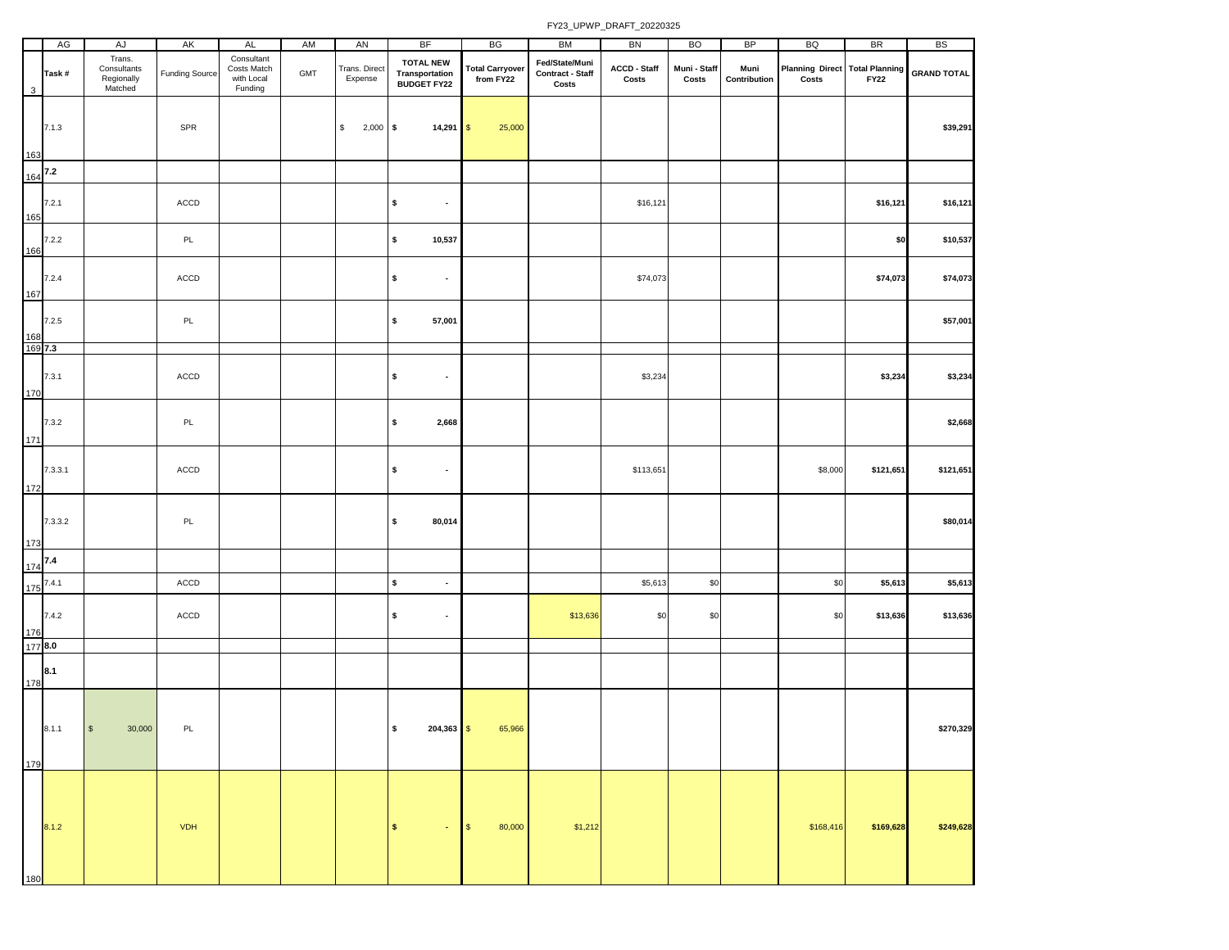|     | AG               | AJ                                             | AK                    | AL                                                 | AM             | AN                       | <b>BF</b>                                                 | BG                                  | BM                                                 | <b>BN</b>             | <b>BO</b>             | <b>BP</b>            | BQ                                             | <b>BR</b>   | <b>BS</b>          |
|-----|------------------|------------------------------------------------|-----------------------|----------------------------------------------------|----------------|--------------------------|-----------------------------------------------------------|-------------------------------------|----------------------------------------------------|-----------------------|-----------------------|----------------------|------------------------------------------------|-------------|--------------------|
| 3   | Task#            | Trans.<br>Consultants<br>Regionally<br>Matched | <b>Funding Source</b> | Consultant<br>Costs Match<br>with Local<br>Funding | $\mathsf{GMT}$ | Trans. Direct<br>Expense | <b>TOTAL NEW</b><br><b>Transportation<br/>BUDGET FY22</b> | <b>Total Carryover</b><br>from FY22 | Fed/State/Muni<br><b>Contract - Staff</b><br>Costs | ACCD - Staff<br>Costs | Muni - Staff<br>Costs | Muni<br>Contribution | <b>Planning Direct Total Planning</b><br>Costs | <b>FY22</b> | <b>GRAND TOTAL</b> |
| 163 | 7.1.3            |                                                | SPR                   |                                                    |                | \$<br>$2,000$ \$         | $14,291$ \$                                               | 25,000                              |                                                    |                       |                       |                      |                                                |             | \$39,291           |
| 164 | 7.2              |                                                |                       |                                                    |                |                          |                                                           |                                     |                                                    |                       |                       |                      |                                                |             |                    |
| 165 | 7.2.1            |                                                | ACCD                  |                                                    |                |                          | \$<br>$\blacksquare$                                      |                                     |                                                    | \$16,121              |                       |                      |                                                | \$16,121    | \$16,121           |
| 166 | 7.2.2            |                                                | PL                    |                                                    |                |                          | \$<br>10,537                                              |                                     |                                                    |                       |                       |                      |                                                | \$0         | \$10,537           |
| 167 | 7.2.4            |                                                | ACCD                  |                                                    |                |                          | \$<br>$\blacksquare$                                      |                                     |                                                    | \$74,073              |                       |                      |                                                | \$74,073    | \$74,073           |
| 168 | 7.2.5            |                                                | PL                    |                                                    |                |                          | \$<br>57,001                                              |                                     |                                                    |                       |                       |                      |                                                |             | \$57,001           |
| 170 | 169 7.3<br>7.3.1 |                                                | $\mathsf{ACCD}$       |                                                    |                |                          | \$<br>$\bullet$                                           |                                     |                                                    | \$3,234               |                       |                      |                                                | \$3,234     | \$3,234            |
| 171 | 7.3.2            |                                                | PL                    |                                                    |                |                          | \$<br>2,668                                               |                                     |                                                    |                       |                       |                      |                                                |             | \$2,668            |
| 172 | 7.3.3.1          |                                                | $\mathsf{ACCD}$       |                                                    |                |                          | \$<br>$\bullet$                                           |                                     |                                                    | \$113,651             |                       |                      | \$8,000                                        | \$121,651   | \$121,651          |
| 173 | 7.3.3.2          |                                                | PL                    |                                                    |                |                          | \$<br>80,014                                              |                                     |                                                    |                       |                       |                      |                                                |             | \$80,014           |
| 174 | 7.4              |                                                |                       |                                                    |                |                          |                                                           |                                     |                                                    |                       |                       |                      |                                                |             |                    |
| 175 | 7.4.1            |                                                | $\mathsf{ACCD}$       |                                                    |                |                          | \$<br>$\blacksquare$                                      |                                     |                                                    | \$5,613               | \$0                   |                      | \$0                                            | \$5,613     | \$5,613            |
| 176 | 7.4.2            |                                                | $\mathsf{ACCD}$       |                                                    |                |                          | \$<br>$\bullet$                                           |                                     | \$13,636                                           | \$0                   | \$0                   |                      | \$0                                            | \$13,636    | \$13,636           |
|     | 1778.0           |                                                |                       |                                                    |                |                          |                                                           |                                     |                                                    |                       |                       |                      |                                                |             |                    |
| 178 | 8.1              |                                                |                       |                                                    |                |                          |                                                           |                                     |                                                    |                       |                       |                      |                                                |             |                    |
| 179 | 8.1.1            | $$\mathbb{S}$$<br>30,000                       | PL                    |                                                    |                |                          | \$<br>$204,363$ \$                                        | 65,966                              |                                                    |                       |                       |                      |                                                |             | \$270,329          |
| 180 | 8.1.2            |                                                | <b>VDH</b>            |                                                    |                |                          | $\mathsf{s}$<br>$\bullet$                                 | 80,000<br>$\sqrt{3}$                | \$1,212                                            |                       |                       |                      | \$168,416                                      | \$169,628   | \$249,628          |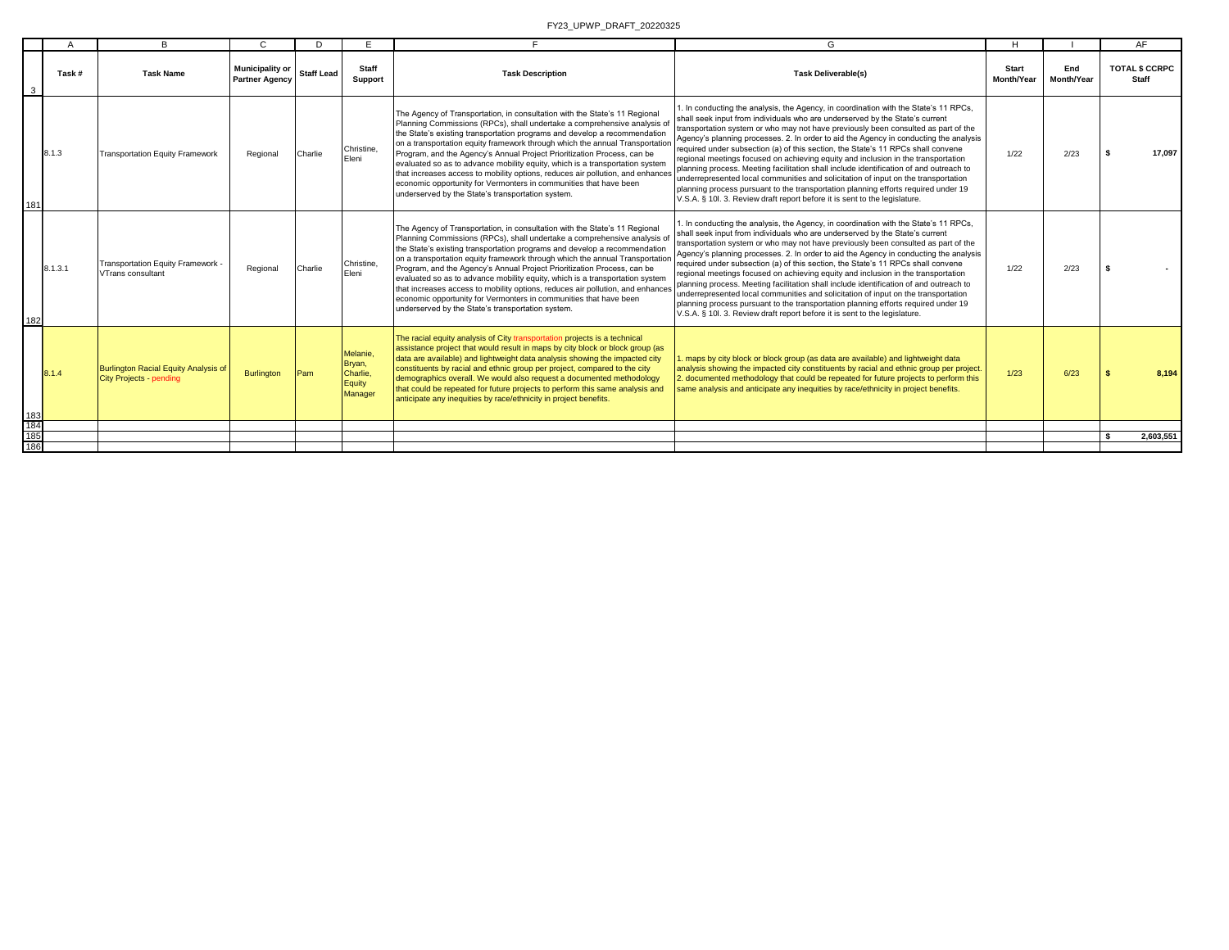| Task #<br>3<br>8.1.3<br>181<br>8.1.3.1<br>VTrans consultant<br>182<br>8.1.4 |                                                                        |                                                 |                   |                                                     |                                                                                                                                                                                                                                                                                                                                                                                                                                                                                                                                                                                                                                                                                            |                                                                                                                                                                                                                                                                                                                                                                                                                                                                                                                                                                                                                                                                                                                                                                                                                                                                                  | H                                 |                   | AF                                    |
|-----------------------------------------------------------------------------|------------------------------------------------------------------------|-------------------------------------------------|-------------------|-----------------------------------------------------|--------------------------------------------------------------------------------------------------------------------------------------------------------------------------------------------------------------------------------------------------------------------------------------------------------------------------------------------------------------------------------------------------------------------------------------------------------------------------------------------------------------------------------------------------------------------------------------------------------------------------------------------------------------------------------------------|----------------------------------------------------------------------------------------------------------------------------------------------------------------------------------------------------------------------------------------------------------------------------------------------------------------------------------------------------------------------------------------------------------------------------------------------------------------------------------------------------------------------------------------------------------------------------------------------------------------------------------------------------------------------------------------------------------------------------------------------------------------------------------------------------------------------------------------------------------------------------------|-----------------------------------|-------------------|---------------------------------------|
|                                                                             | <b>Task Name</b>                                                       | <b>Municipality or</b><br><b>Partner Agency</b> | <b>Staff Lead</b> | <b>Staff</b><br>Support                             | <b>Task Description</b>                                                                                                                                                                                                                                                                                                                                                                                                                                                                                                                                                                                                                                                                    | <b>Task Deliverable(s)</b>                                                                                                                                                                                                                                                                                                                                                                                                                                                                                                                                                                                                                                                                                                                                                                                                                                                       | <b>Start</b><br><b>Month/Year</b> | End<br>Month/Year | <b>TOTAL \$ CCRPC</b><br><b>Staff</b> |
|                                                                             | <b>Transportation Equity Framework</b>                                 | Regional                                        | Charlie           | Christine.<br>Eleni                                 | The Agency of Transportation, in consultation with the State's 11 Regional<br>Planning Commissions (RPCs), shall undertake a comprehensive analysis of<br>the State's existing transportation programs and develop a recommendation<br>on a transportation equity framework through which the annual Transportation<br>Program, and the Agency's Annual Project Prioritization Process, can be<br>evaluated so as to advance mobility equity, which is a transportation system<br>that increases access to mobility options, reduces air pollution, and enhances<br>economic opportunity for Vermonters in communities that have been<br>underserved by the State's transportation system. | . In conducting the analysis, the Agency, in coordination with the State's 11 RPCs,<br>shall seek input from individuals who are underserved by the State's current<br>transportation system or who may not have previously been consulted as part of the<br>Agency's planning processes. 2. In order to aid the Agency in conducting the analysis<br>required under subsection (a) of this section, the State's 11 RPCs shall convene<br>regional meetings focused on achieving equity and inclusion in the transportation<br>planning process. Meeting facilitation shall include identification of and outreach to<br>underrepresented local communities and solicitation of input on the transportation<br>planning process pursuant to the transportation planning efforts required under 19<br>V.S.A. § 10l. 3. Review draft report before it is sent to the legislature.  | 1/22                              | 2/23              | 17,097                                |
|                                                                             | Transportation Equity Framework -                                      | Regional                                        | Charlie           | Christine,<br>Eleni                                 | The Agency of Transportation, in consultation with the State's 11 Regional<br>Planning Commissions (RPCs), shall undertake a comprehensive analysis of<br>the State's existing transportation programs and develop a recommendation<br>on a transportation equity framework through which the annual Transportation<br>Program, and the Agency's Annual Project Prioritization Process, can be<br>evaluated so as to advance mobility equity, which is a transportation system<br>that increases access to mobility options, reduces air pollution, and enhances<br>economic opportunity for Vermonters in communities that have been<br>underserved by the State's transportation system. | I. In conducting the analysis, the Agency, in coordination with the State's 11 RPCs,<br>shall seek input from individuals who are underserved by the State's current<br>transportation system or who may not have previously been consulted as part of the<br>Agency's planning processes. 2. In order to aid the Agency in conducting the analysis<br>required under subsection (a) of this section, the State's 11 RPCs shall convene<br>regional meetings focused on achieving equity and inclusion in the transportation<br>planning process. Meeting facilitation shall include identification of and outreach to<br>underrepresented local communities and solicitation of input on the transportation<br>planning process pursuant to the transportation planning efforts required under 19<br>V.S.A. § 10l. 3. Review draft report before it is sent to the legislature. | 1/22                              | 2/23              |                                       |
| $\frac{183}{184}$<br>185                                                    | Burlington Racial Equity Analysis of<br><b>City Projects - pending</b> | Burlington                                      | Pam               | Melanie.<br>Bryan,<br>Charlie.<br>Equity<br>Manager | The racial equity analysis of City transportation projects is a technical<br>assistance project that would result in maps by city block or block group (as<br>data are available) and lightweight data analysis showing the impacted city<br>constituents by racial and ethnic group per project, compared to the city<br>demographics overall. We would also request a documented methodology<br>that could be repeated for future projects to perform this same analysis and<br>anticipate any inequities by race/ethnicity in project benefits.                                                                                                                                         | . maps by city block or block group (as data are available) and lightweight data<br>analysis showing the impacted city constituents by racial and ethnic group per project.<br>2. documented methodology that could be repeated for future projects to perform this<br>same analysis and anticipate any inequities by race/ethnicity in project benefits.                                                                                                                                                                                                                                                                                                                                                                                                                                                                                                                        | 1/23                              | 6/23              | 8,194                                 |
|                                                                             |                                                                        |                                                 |                   |                                                     |                                                                                                                                                                                                                                                                                                                                                                                                                                                                                                                                                                                                                                                                                            |                                                                                                                                                                                                                                                                                                                                                                                                                                                                                                                                                                                                                                                                                                                                                                                                                                                                                  |                                   |                   | 2.603.551                             |
| 186                                                                         |                                                                        |                                                 |                   |                                                     |                                                                                                                                                                                                                                                                                                                                                                                                                                                                                                                                                                                                                                                                                            |                                                                                                                                                                                                                                                                                                                                                                                                                                                                                                                                                                                                                                                                                                                                                                                                                                                                                  |                                   |                   |                                       |